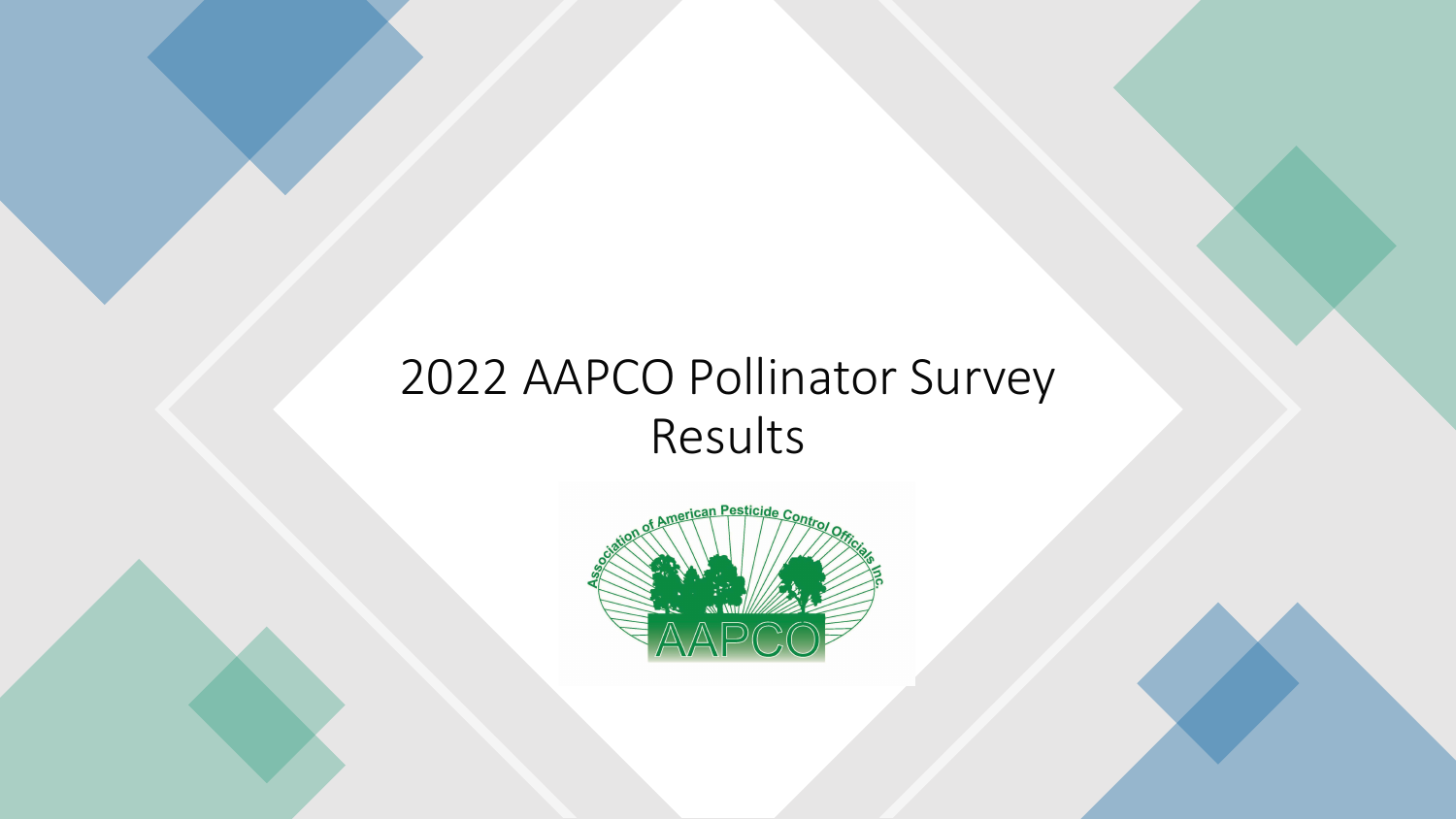### 2022 AAPCO Pollinator Survey Results

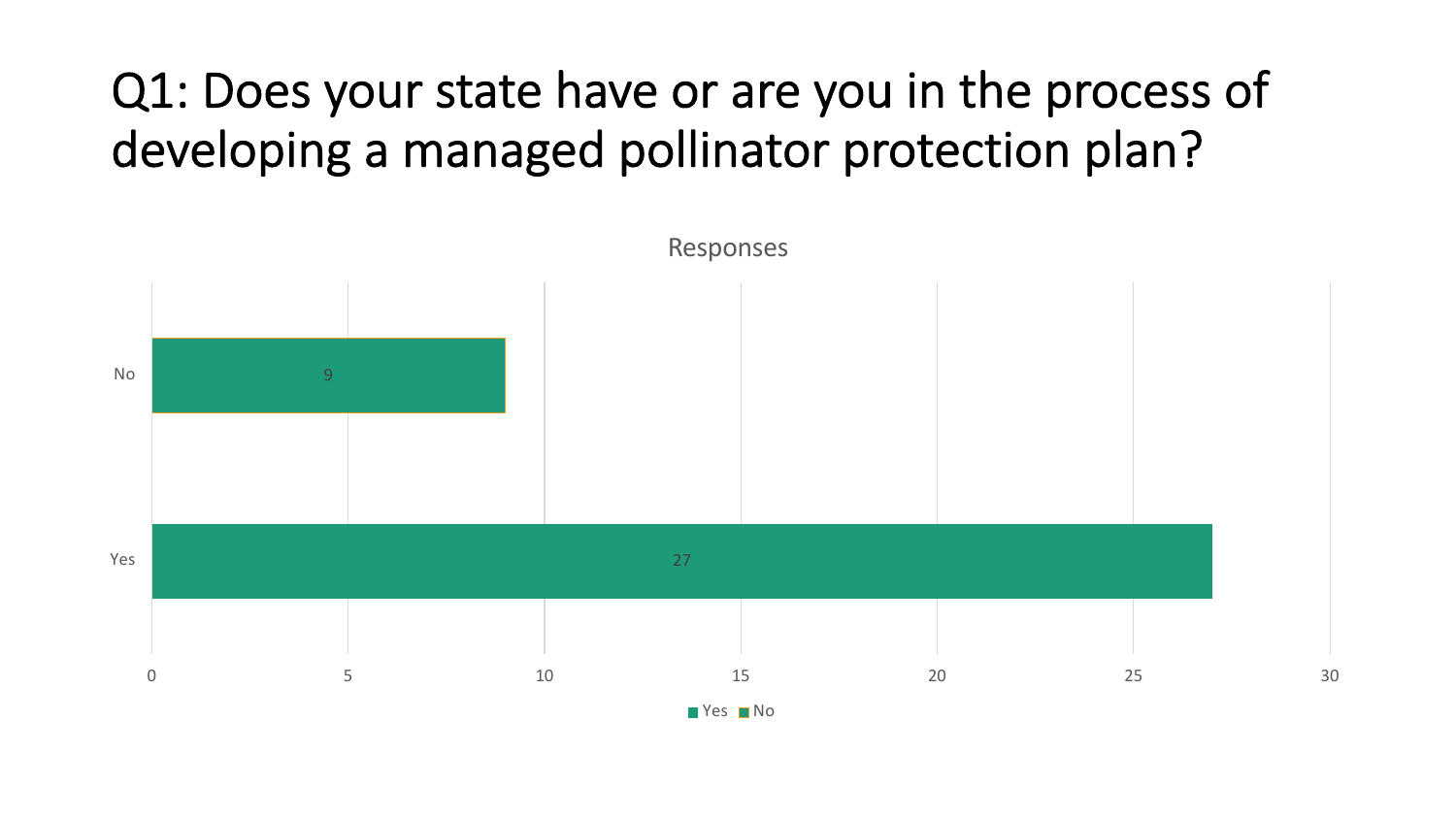### Q1: Does your state have or are you in the process of developing a managed pollinator protection plan?

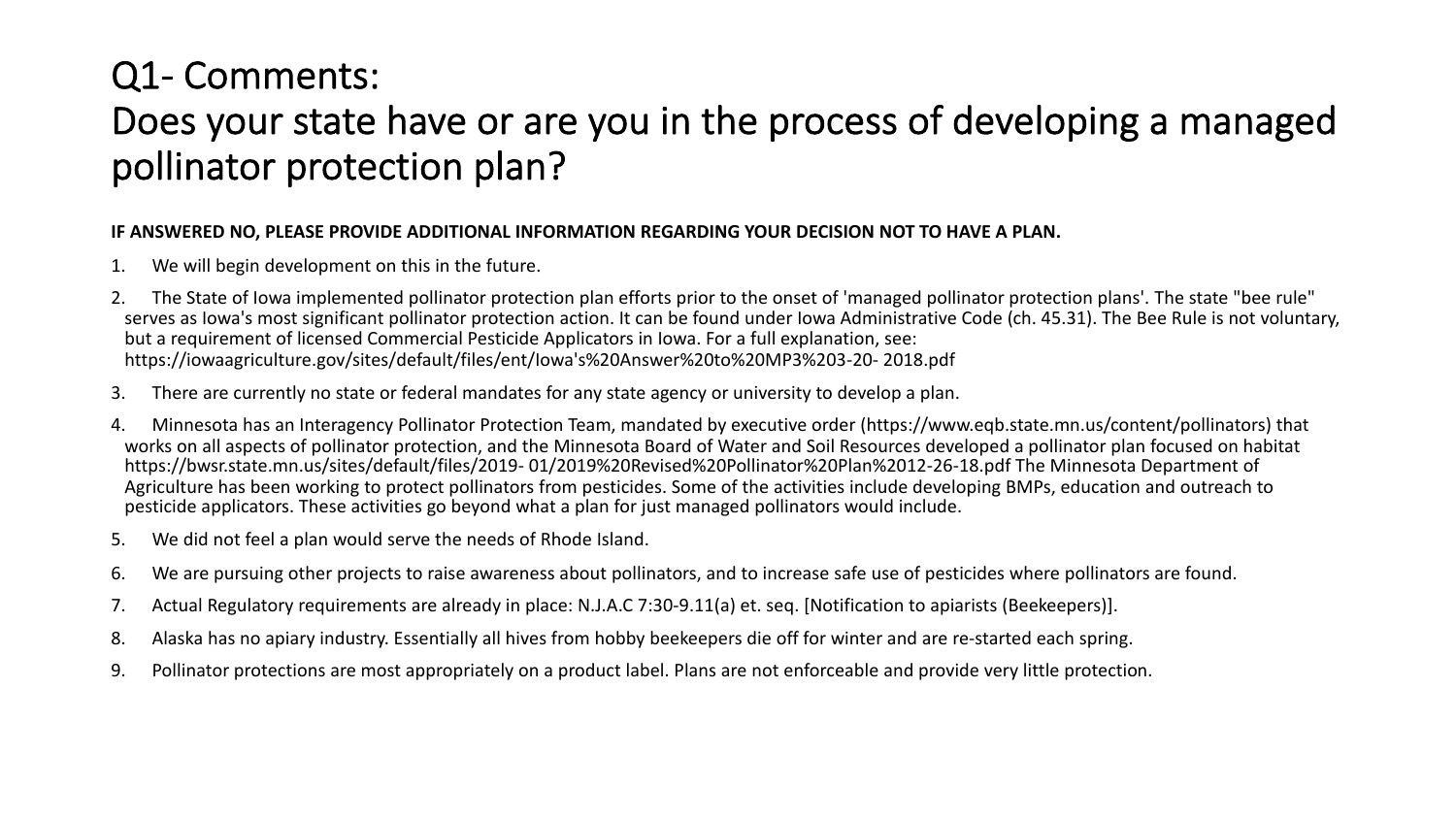### Q1- Comments: Does your state have or are you in the process of developing a managed pollinator protection plan?

#### **IF ANSWERED NO, PLEASE PROVIDE ADDITIONAL INFORMATION REGARDING YOUR DECISION NOT TO HAVE A PLAN.**

- 1. We will begin development on this in the future.
- 2. The State of Iowa implemented pollinator protection plan efforts prior to the onset of 'managed pollinator protection plans'. The state "bee rule" serves as Iowa's most significant pollinator protection action. It can be found under Iowa Administrative Code (ch. 45.31). The Bee Rule is not voluntary, but a requirement of licensed Commercial Pesticide Applicators in Iowa. For a full explanation, see: https://iowaagriculture.gov/sites/default/files/ent/Iowa's%20Answer%20to%20MP3%203-20- 2018.pdf
- 3. There are currently no state or federal mandates for any state agency or university to develop a plan.
- 4. Minnesota has an Interagency Pollinator Protection Team, mandated by executive order (https://www.eqb.state.mn.us/content/pollinators) that works on all aspects of pollinator protection, and the Minnesota Board of Water and Soil Resources developed a pollinator plan focused on habitat https://bwsr.state.mn.us/sites/default/files/2019- 01/2019%20Revised%20Pollinator%20Plan%2012-26-18.pdf The Minnesota Department of Agriculture has been working to protect pollinators from pesticides. Some of the activities include developing BMPs, education and outreach to pesticide applicators. These activities go beyond what a plan for just managed pollinators would include.
- 5. We did not feel a plan would serve the needs of Rhode Island.
- 6. We are pursuing other projects to raise awareness about pollinators, and to increase safe use of pesticides where pollinators are found.
- 7. Actual Regulatory requirements are already in place: N.J.A.C 7:30-9.11(a) et. seq. [Notification to apiarists (Beekeepers)].
- 8. Alaska has no apiary industry. Essentially all hives from hobby beekeepers die off for winter and are re-started each spring.
- 9. Pollinator protections are most appropriately on a product label. Plans are not enforceable and provide very little protection.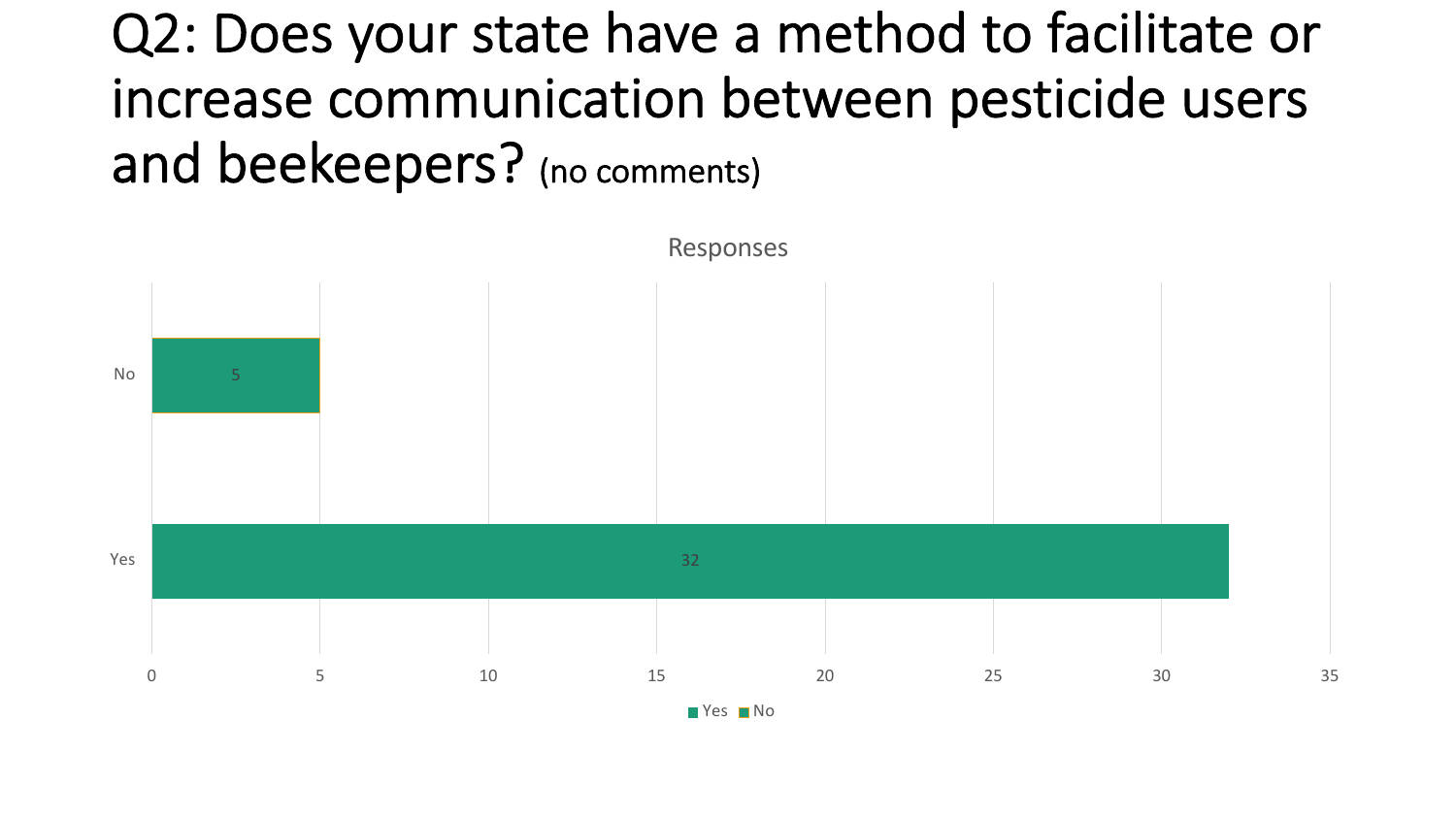## Q2: Does your state have a method to facilitate or increase communication between pesticide users and beekeepers? (no comments)

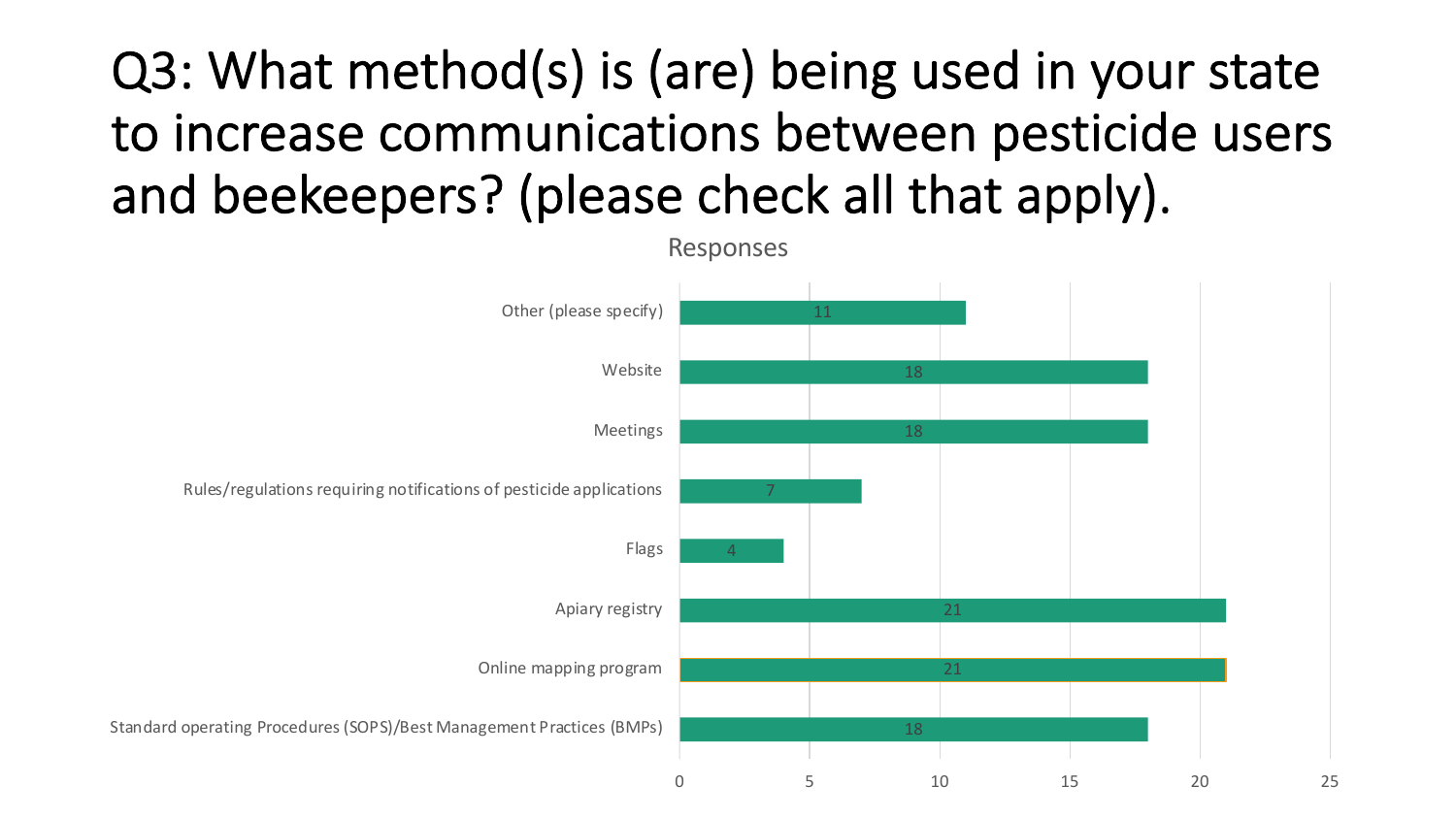## Q3: What method(s) is (are) being used in your state to increase communications between pesticide users and beekeepers? (please check all that apply).

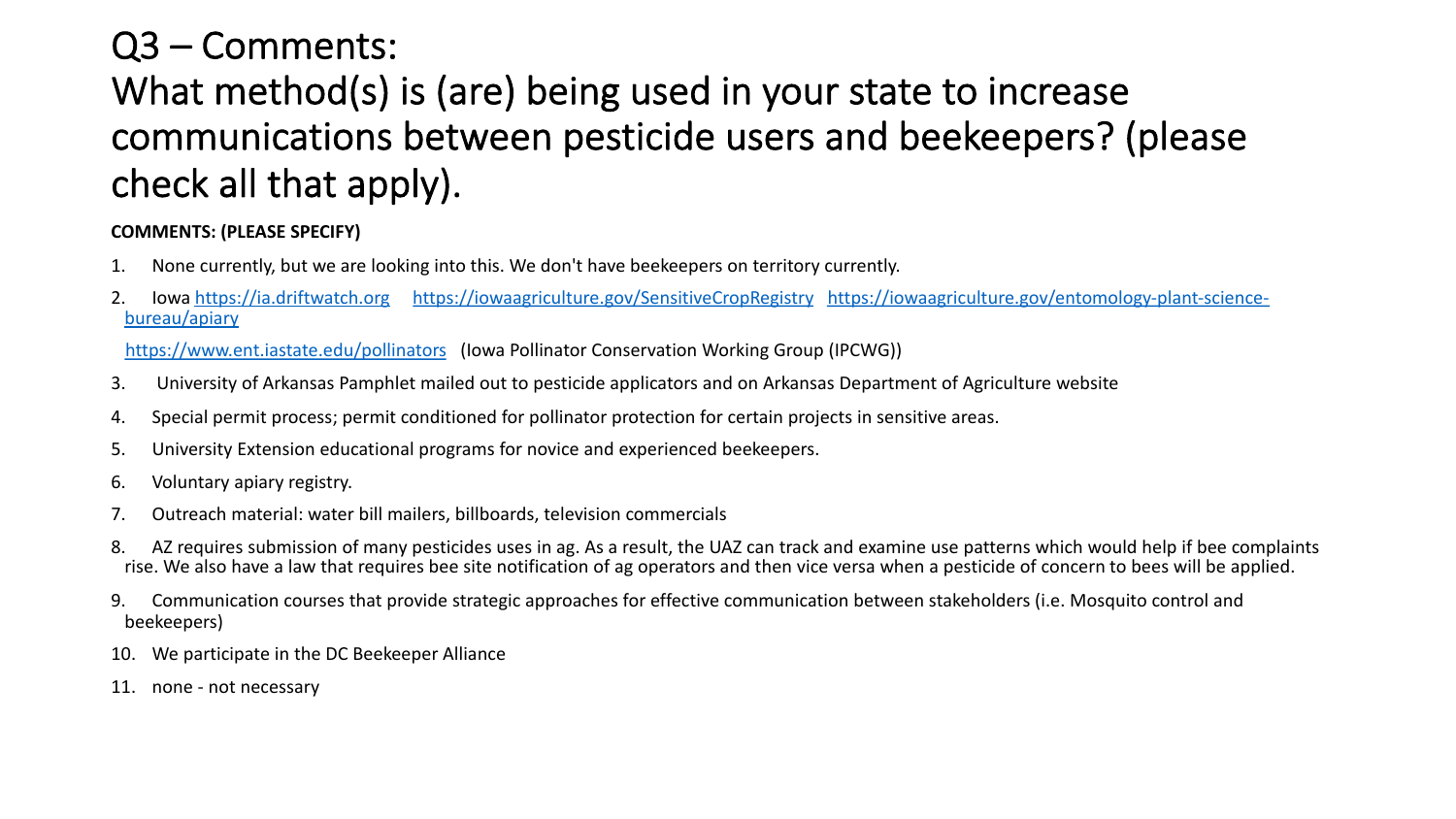### Q3 – Comments:

### What method(s) is (are) being used in your state communications between pesticide users and be check all that apply).

#### **COMMENTS: (PLEASE SPECIFY)**

- 1. None currently, but we are looking into this. We don't have beekeepers on territory currently.
- 2. Iowa https://ia.driftwatch.org https://iowaagriculture.gov/SensitiveCropRegistry https://iowa bureau/apiary

https://www.ent.iastate.edu/pollinators (Iowa Pollinator Conservation Working Group (IPCWG))

- 3. University of Arkansas Pamphlet mailed out to pesticide applicators and on Arkansas Departmer
- 4. Special permit process; permit conditioned for pollinator protection for certain projects in sensiti
- 5. University Extension educational programs for novice and experienced beekeepers.
- 6. Voluntary apiary registry.
- 7. Outreach material: water bill mailers, billboards, television commercials
- 8. AZ requires submission of many pesticides uses in ag. As a result, the UAZ can track and examine rise. We also have a law that requires bee site notification of ag operators and then vice versa when
- 9. Communication courses that provide strategic approaches for effective communication between beekeepers)
- 10. We participate in the DC Beekeeper Alliance
- 11. none not necessary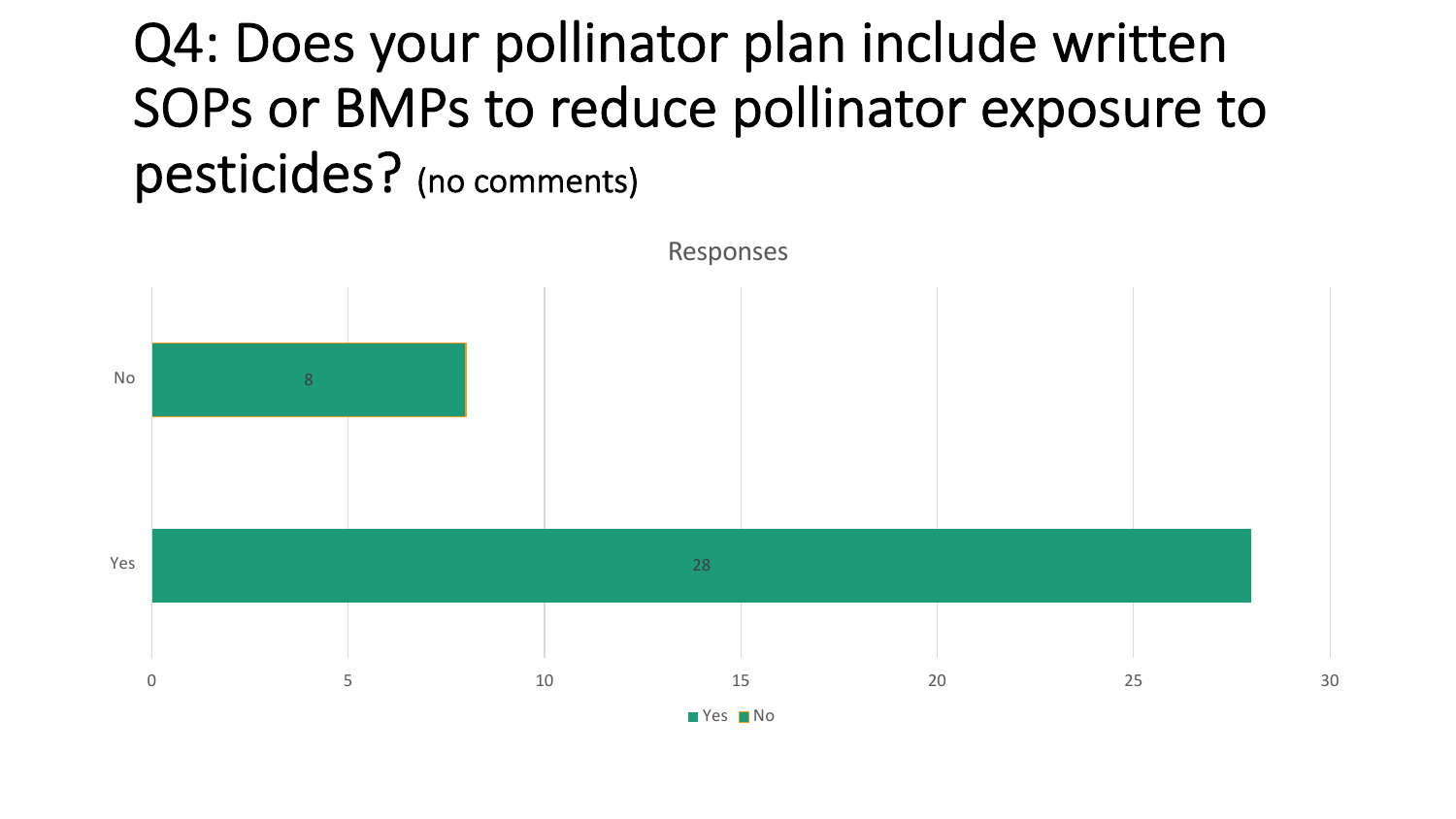## Q4: Does your pollinator plan include written SOPs or BMPs to reduce pollinator exposure to pesticides? (no comments)

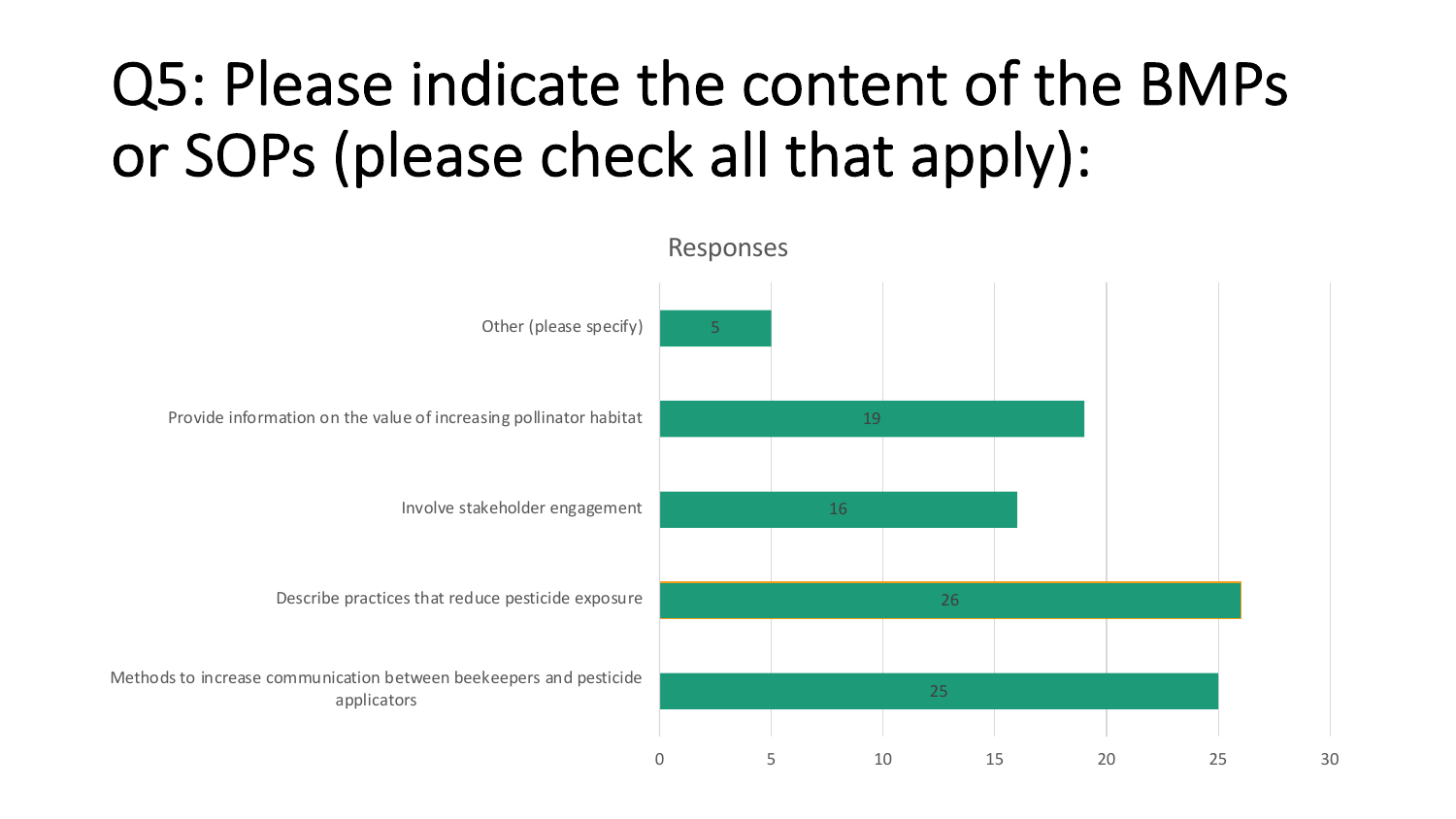## Q5: Please indicate the content of the BMPs or SOPs (please check all that apply):

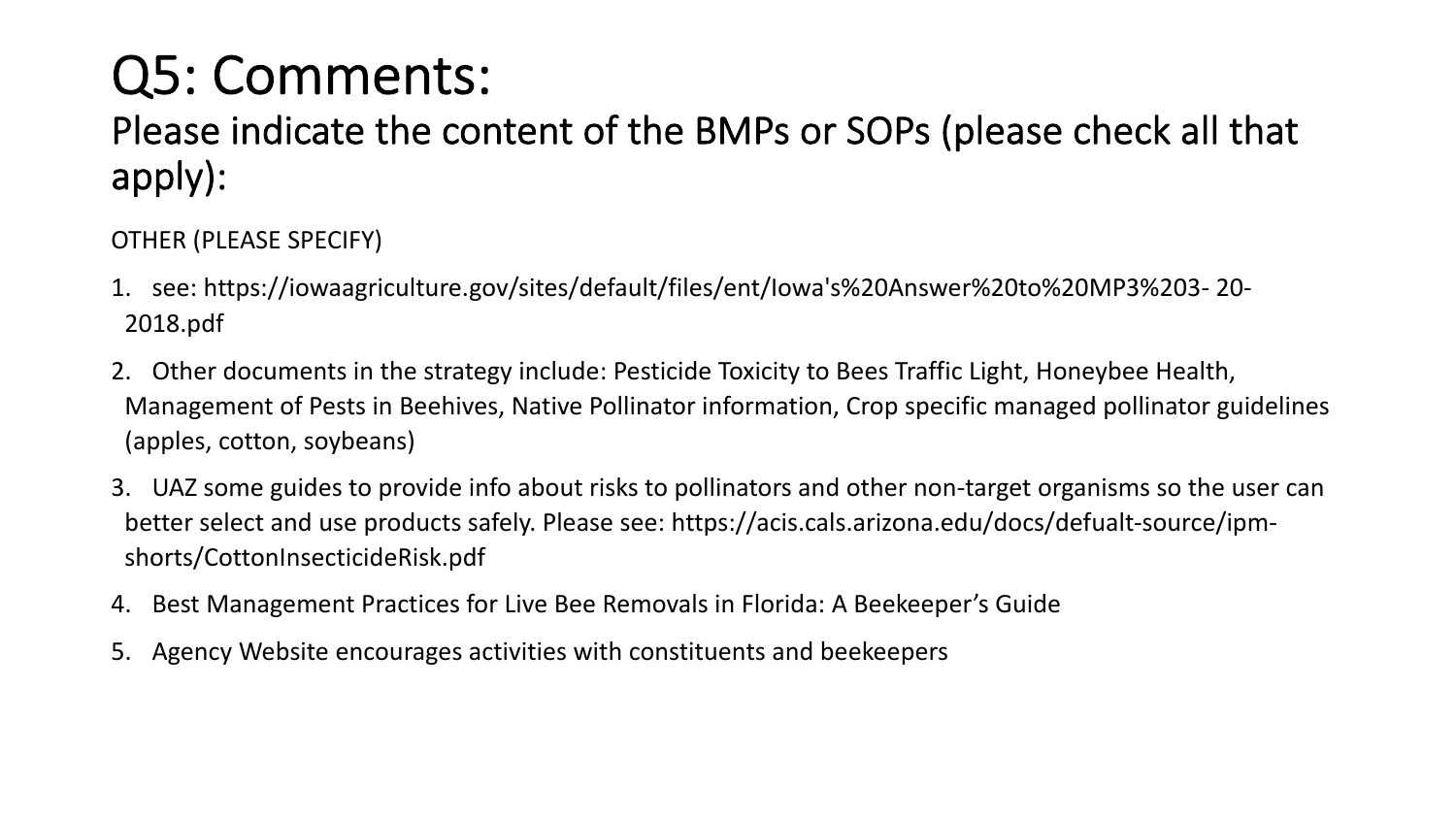## Q5: Comments:

### Please indicate the content of the BMPs or SOPs (please check all that apply):

OTHER (PLEASE SPECIFY)

- 1. see: https://iowaagriculture.gov/sites/default/files/ent/Iowa's%20Answer%20to%20MP3%203- 20- 2018.pdf
- 2. Other documents in the strategy include: Pesticide Toxicity to Bees Traffic Light, Honeybee Health, Management of Pests in Beehives, Native Pollinator information, Crop specific managed pollinator guidelines (apples, cotton, soybeans)
- 3. UAZ some guides to provide info about risks to pollinators and other non-target organisms so the user can better select and use products safely. Please see: https://acis.cals.arizona.edu/docs/defualt-source/ipmshorts/CottonInsecticideRisk.pdf
- 4. Best Management Practices for Live Bee Removals in Florida: A Beekeeper's Guide
- 5. Agency Website encourages activities with constituents and beekeepers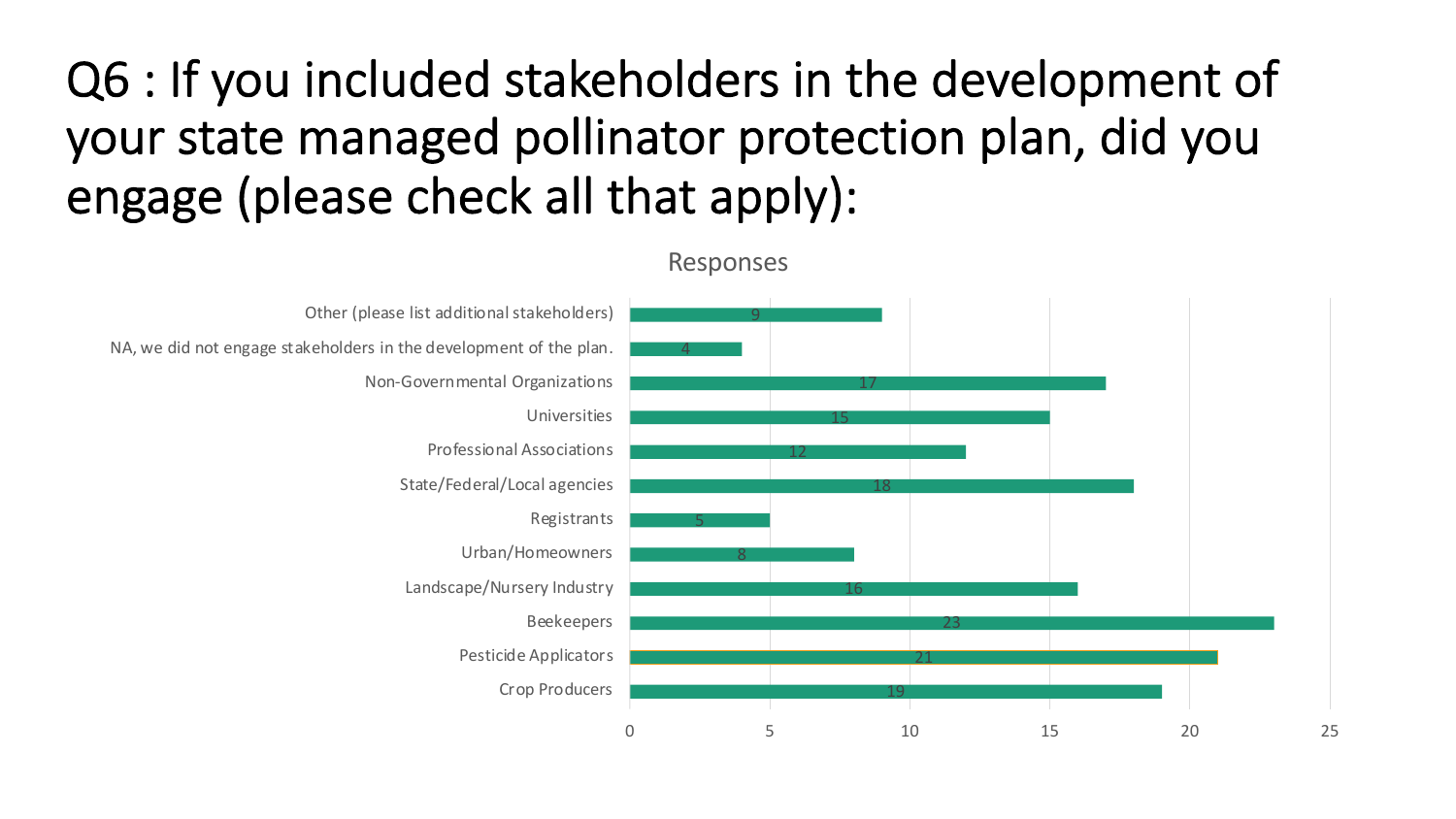### Q6 : If you included stakeholders in the development of your state managed pollinator protection plan, did you engage (please check all that apply):

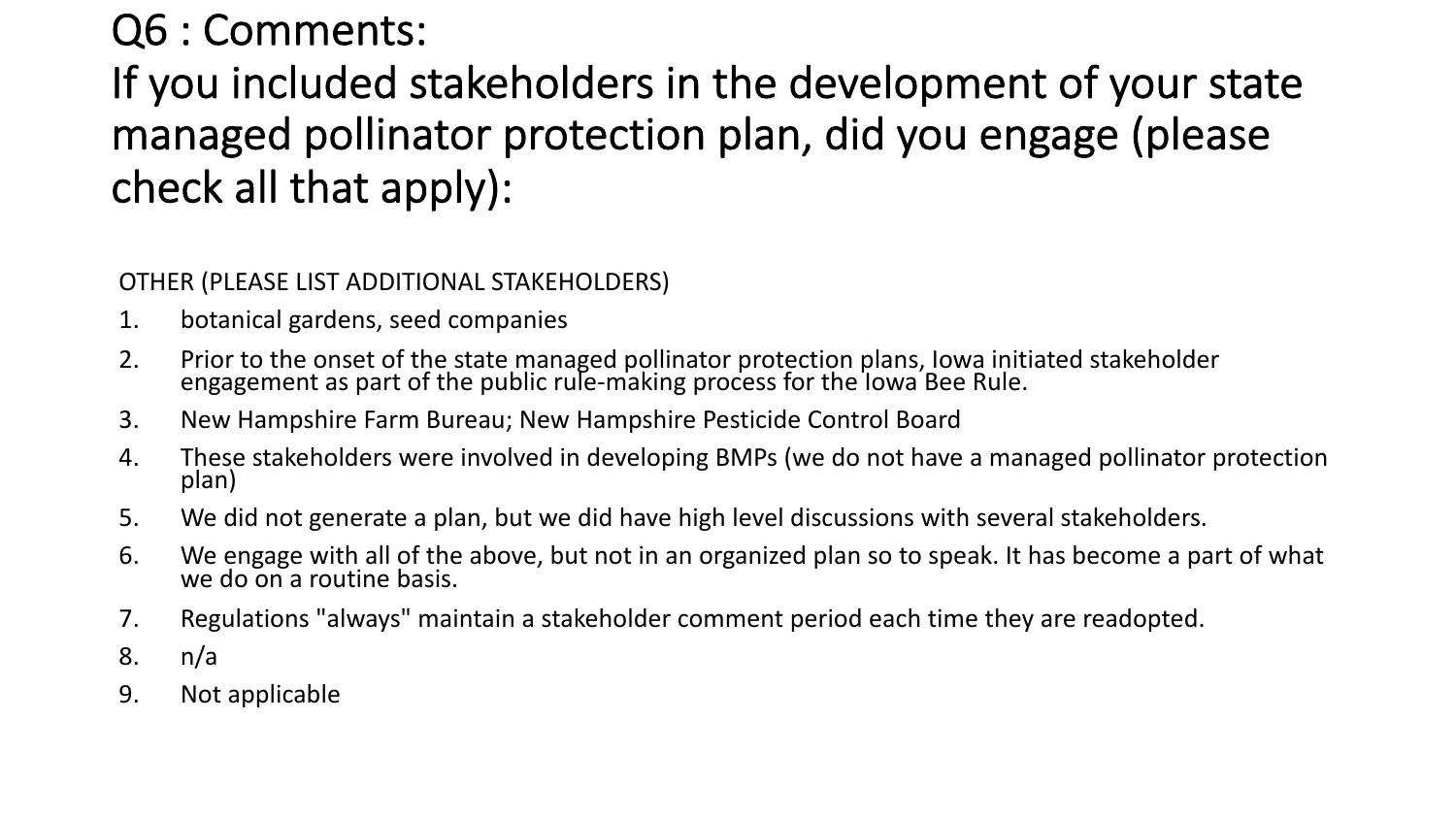### Q6 : Comments:

If you included stakeholders in the development of your state managed pollinator protection plan, did you engage (please check all that apply):

OTHER (PLEASE LIST ADDITIONAL STAKEHOLDERS)

- 1. botanical gardens, seed companies
- 2. Prior to the onset of the state managed pollinator protection plans, Iowa initiated stakeholder engagement as part of the public rule-making process for the lowa Bee Rule.
- 3. New Hampshire Farm Bureau; New Hampshire Pesticide Control Board
- 4. These stakeholders were involved in developing BMPs (we do not have a managed pollinator protection plan)
- 5. We did not generate a plan, but we did have high level discussions with several stakeholders.
- 6. We engage with all of the above, but not in an organized plan so to speak. It has become a part of what we do on a routine basis.
- 7. Regulations "always" maintain a stakeholder comment period each time they are readopted.
- 8. n/a
- 9. Not applicable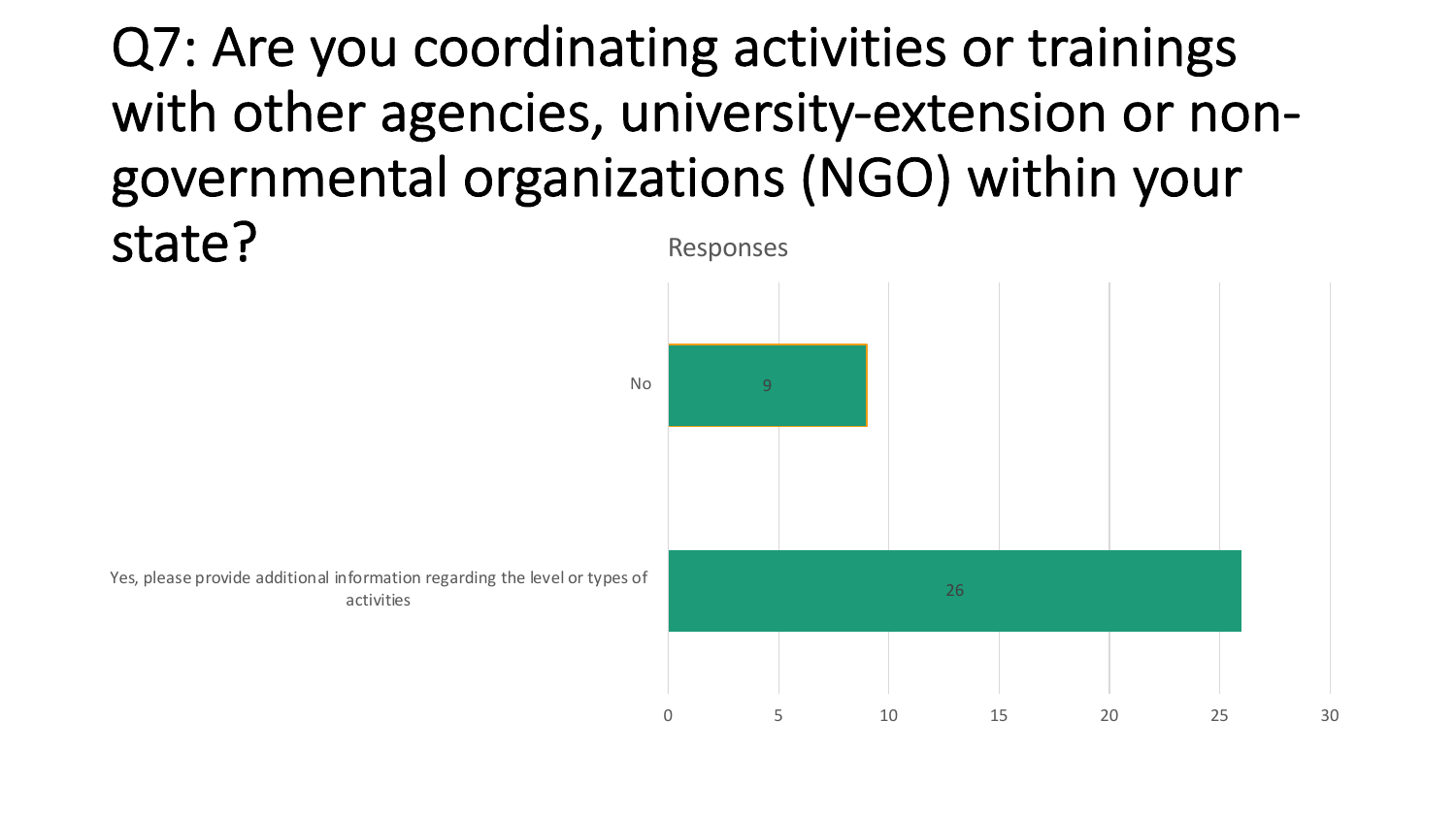### Q7: Are you coordinating activities or trainings with other agencies, university-extension or nongovernmental organizations (NGO) within your state? Responses

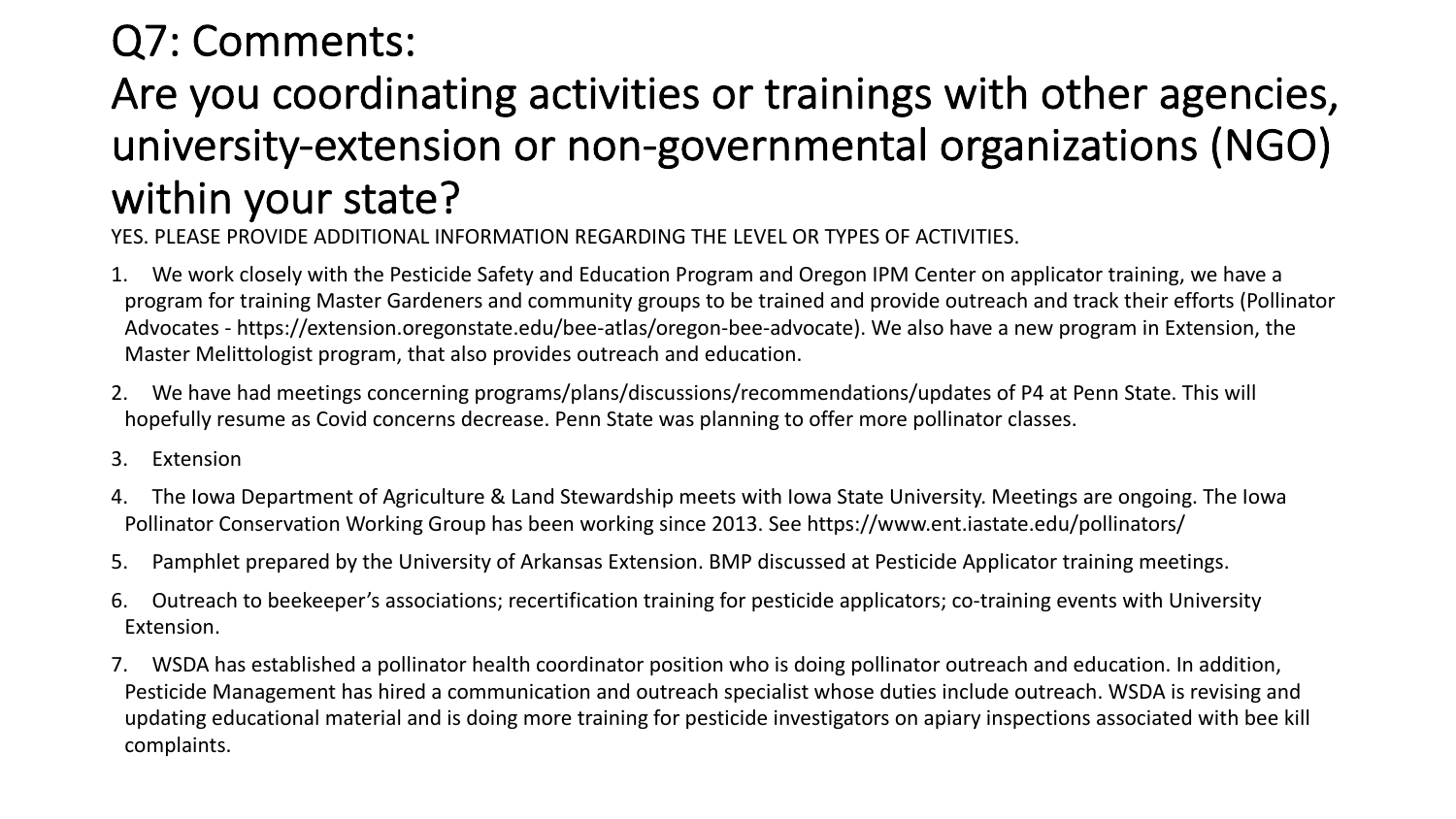### Q7: Comments:

### Are you coordinating activities or trainings with other agencies, university-extension or non-governmental organizations (NGO) within your state?

YES. PLEASE PROVIDE ADDITIONAL INFORMATION REGARDING THE LEVEL OR TYPES OF ACTIVITIES.

- 1. We work closely with the Pesticide Safety and Education Program and Oregon IPM Center on applicator training, we have a program for training Master Gardeners and community groups to be trained and provide outreach and track their efforts (Pollinator Advocates - https://extension.oregonstate.edu/bee-atlas/oregon-bee-advocate). We also have a new program in Extension, the Master Melittologist program, that also provides outreach and education.
- 2. We have had meetings concerning programs/plans/discussions/recommendations/updates of P4 at Penn State. This will hopefully resume as Covid concerns decrease. Penn State was planning to offer more pollinator classes.
- 3. Extension
- 4. The Iowa Department of Agriculture & Land Stewardship meets with Iowa State University. Meetings are ongoing. The Iowa Pollinator Conservation Working Group has been working since 2013. See https://www.ent.iastate.edu/pollinators/
- 5. Pamphlet prepared by the University of Arkansas Extension. BMP discussed at Pesticide Applicator training meetings.
- 6. Outreach to beekeeper's associations; recertification training for pesticide applicators; co-training events with University Extension.
- 7. WSDA has established a pollinator health coordinator position who is doing pollinator outreach and education. In addition, Pesticide Management has hired a communication and outreach specialist whose duties include outreach. WSDA is revising and updating educational material and is doing more training for pesticide investigators on apiary inspections associated with bee kill complaints.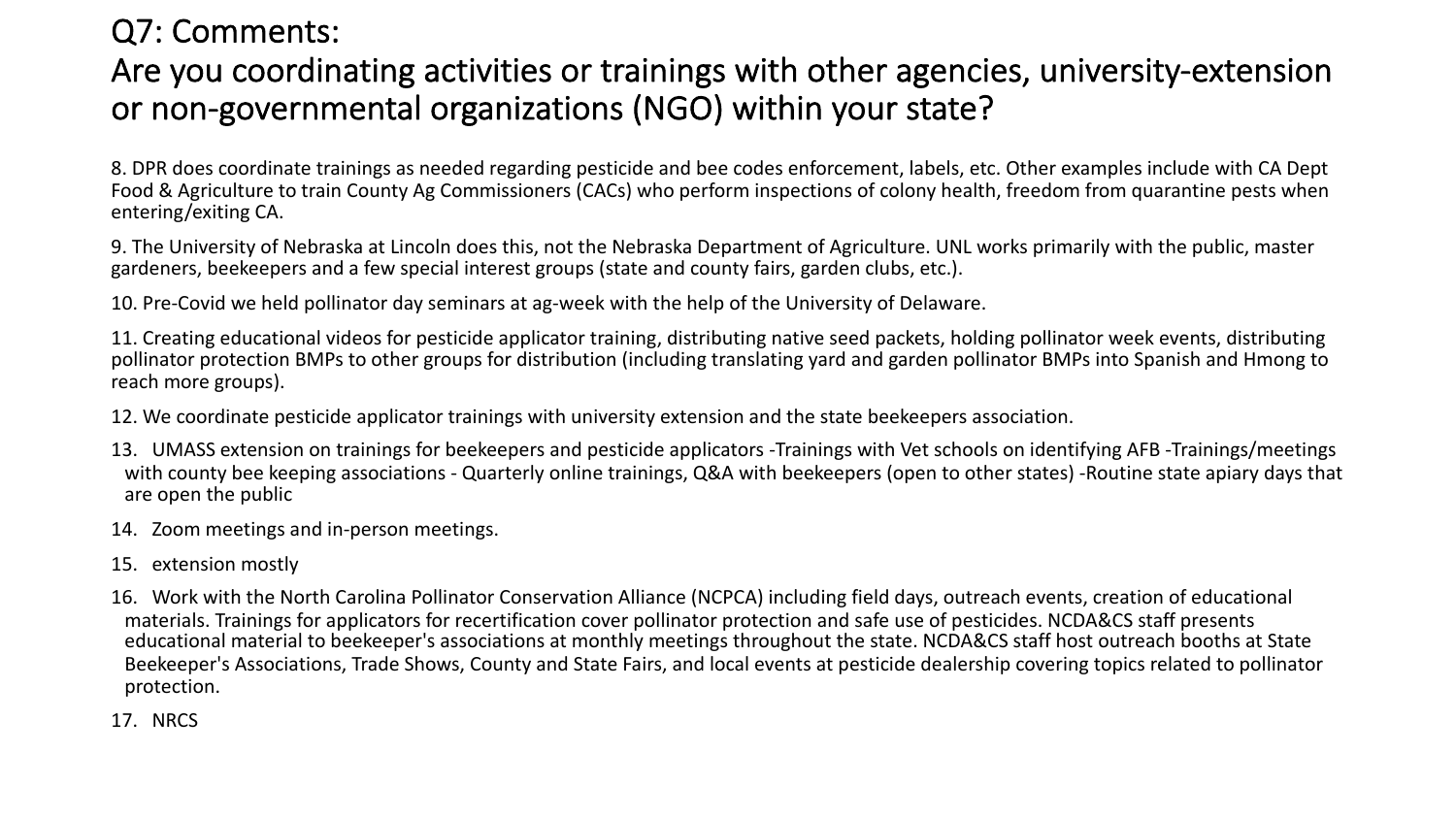#### Q7: Comments: Are you coordinating activities or trainings with other agencies, university-extension or non-governmental organizations (NGO) within your state?

8. DPR does coordinate trainings as needed regarding pesticide and bee codes enforcement, labels, etc. Other examples include with CA Dept Food & Agriculture to train County Ag Commissioners (CACs) who perform inspections of colony health, freedom from quarantine pests when entering/exiting CA.

9. The University of Nebraska at Lincoln does this, not the Nebraska Department of Agriculture. UNL works primarily with the public, master gardeners, beekeepers and a few special interest groups (state and county fairs, garden clubs, etc.).

10. Pre-Covid we held pollinator day seminars at ag-week with the help of the University of Delaware.

11. Creating educational videos for pesticide applicator training, distributing native seed packets, holding pollinator week events, distributing pollinator protection BMPs to other groups for distribution (including translating yard and garden pollinator BMPs into Spanish and Hmong to reach more groups).

12. We coordinate pesticide applicator trainings with university extension and the state beekeepers association.

- 13. UMASS extension on trainings for beekeepers and pesticide applicators -Trainings with Vet schools on identifying AFB -Trainings/meetings with county bee keeping associations - Quarterly online trainings, Q&A with beekeepers (open to other states) -Routine state apiary days that are open the public
- 14. Zoom meetings and in-person meetings.
- 15. extension mostly
- 16. Work with the North Carolina Pollinator Conservation Alliance (NCPCA) including field days, outreach events, creation of educational materials. Trainings for applicators for recertification cover pollinator protection and safe use of pesticides. NCDA&CS staff presents educational material to beekeeper's associations at monthly meetings throughout the state. NCDA&CS staff host outreach booths at State Beekeeper's Associations, Trade Shows, County and State Fairs, and local events at pesticide dealership covering topics related to pollinator protection.
- 17. NRCS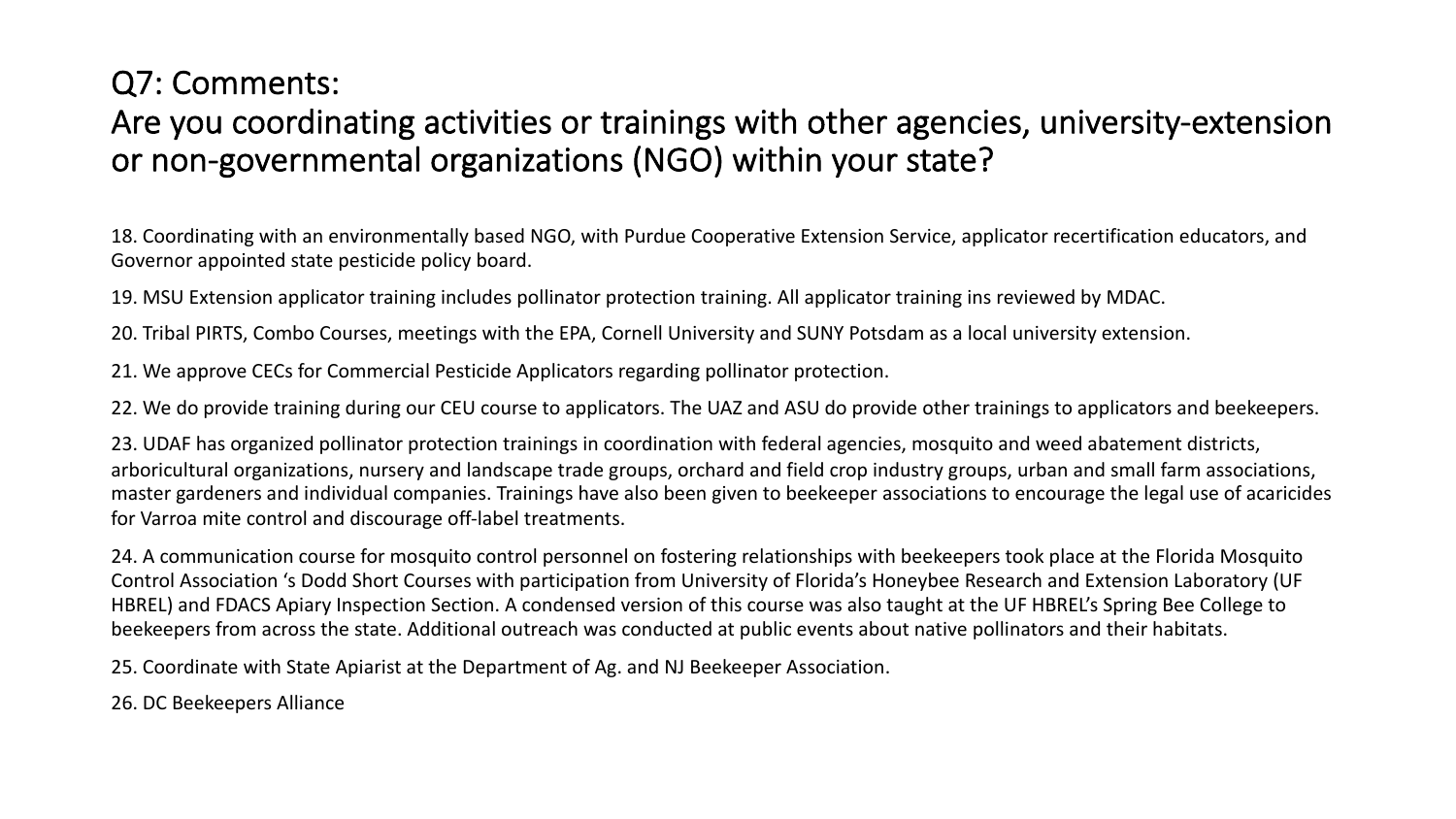### Q7: Comments: Are you coordinating activities or trainings with other agencies, university-extension or non-governmental organizations (NGO) within your state?

18. Coordinating with an environmentally based NGO, with Purdue Cooperative Extension Service, applicator recertification educators, and Governor appointed state pesticide policy board.

19. MSU Extension applicator training includes pollinator protection training. All applicator training ins reviewed by MDAC.

20. Tribal PIRTS, Combo Courses, meetings with the EPA, Cornell University and SUNY Potsdam as a local university extension.

21. We approve CECs for Commercial Pesticide Applicators regarding pollinator protection.

22. We do provide training during our CEU course to applicators. The UAZ and ASU do provide other trainings to applicators and beekeepers.

23. UDAF has organized pollinator protection trainings in coordination with federal agencies, mosquito and weed abatement districts, arboricultural organizations, nursery and landscape trade groups, orchard and field crop industry groups, urban and small farm associations, master gardeners and individual companies. Trainings have also been given to beekeeper associations to encourage the legal use of acaricides for Varroa mite control and discourage off-label treatments.

24. A communication course for mosquito control personnel on fostering relationships with beekeepers took place at the Florida Mosquito Control Association 's Dodd Short Courses with participation from University of Florida's Honeybee Research and Extension Laboratory (UF HBREL) and FDACS Apiary Inspection Section. A condensed version of this course was also taught at the UF HBREL's Spring Bee College to beekeepers from across the state. Additional outreach was conducted at public events about native pollinators and their habitats.

25. Coordinate with State Apiarist at the Department of Ag. and NJ Beekeeper Association.

26. DC Beekeepers Alliance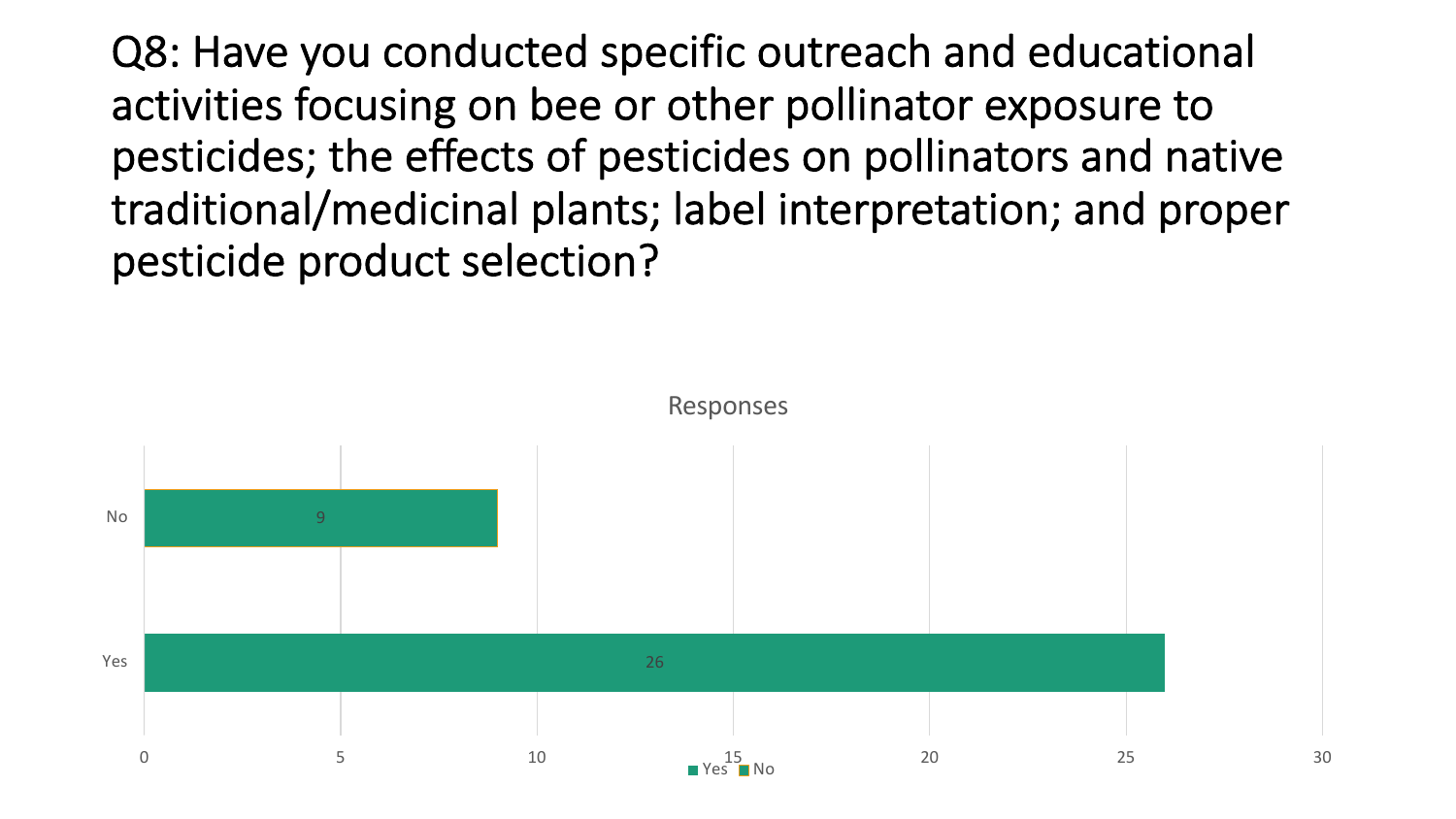Q8: Have you conducted specific outreach and educational activities focusing on bee or other pollinator exposure to pesticides; the effects of pesticides on pollinators and native traditional/medicinal plants; label interpretation; and proper pesticide product selection?

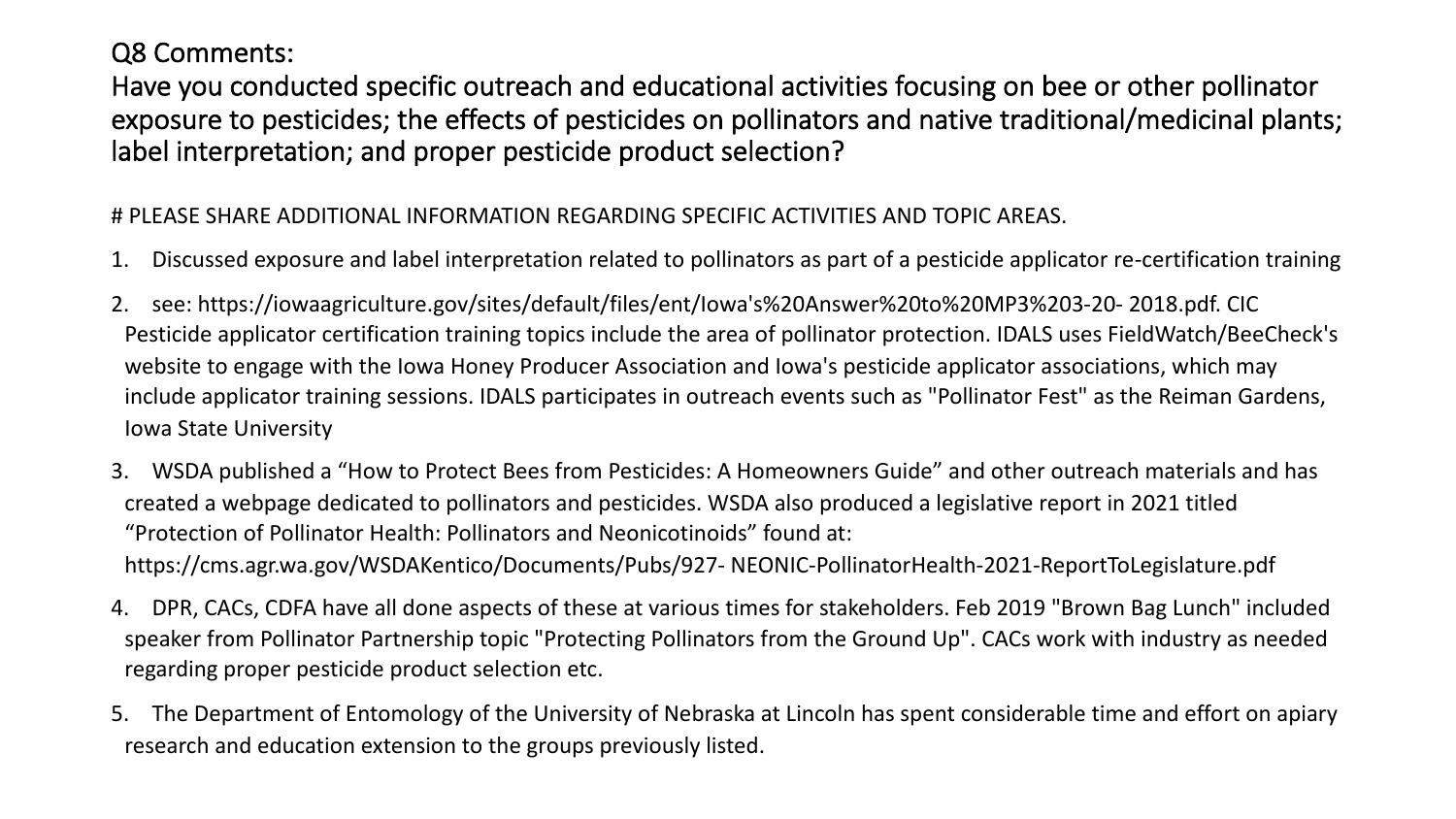#### Q8 Comments:

Have you conducted specific outreach and educational activities focusing on bee or other pollinator exposure to pesticides; the effects of pesticides on pollinators and native traditional/medicinal plants; label interpretation; and proper pesticide product selection?

#### # PLEASE SHARE ADDITIONAL INFORMATION REGARDING SPECIFIC ACTIVITIES AND TOPIC AREAS.

- 1. Discussed exposure and label interpretation related to pollinators as part of a pesticide applicator re-certification training
- 2. see: https://iowaagriculture.gov/sites/default/files/ent/Iowa's%20Answer%20to%20MP3%203-20- 2018.pdf. CIC Pesticide applicator certification training topics include the area of pollinator protection. IDALS uses FieldWatch/BeeCheck's website to engage with the Iowa Honey Producer Association and Iowa's pesticide applicator associations, which may include applicator training sessions. IDALS participates in outreach events such as "Pollinator Fest" as the Reiman Gardens, Iowa State University
- 3. WSDA published a "How to Protect Bees from Pesticides: A Homeowners Guide" and other outreach materials and has created a webpage dedicated to pollinators and pesticides. WSDA also produced a legislative report in 2021 titled "Protection of Pollinator Health: Pollinators and Neonicotinoids" found at: https://cms.agr.wa.gov/WSDAKentico/Documents/Pubs/927- NEONIC-PollinatorHealth-2021-ReportToLegislature.pdf
- 4. DPR, CACs, CDFA have all done aspects of these at various times for stakeholders. Feb 2019 "Brown Bag Lunch" included speaker from Pollinator Partnership topic "Protecting Pollinators from the Ground Up". CACs work with industry as needed regarding proper pesticide product selection etc.
- 5. The Department of Entomology of the University of Nebraska at Lincoln has spent considerable time and effort on apiary research and education extension to the groups previously listed.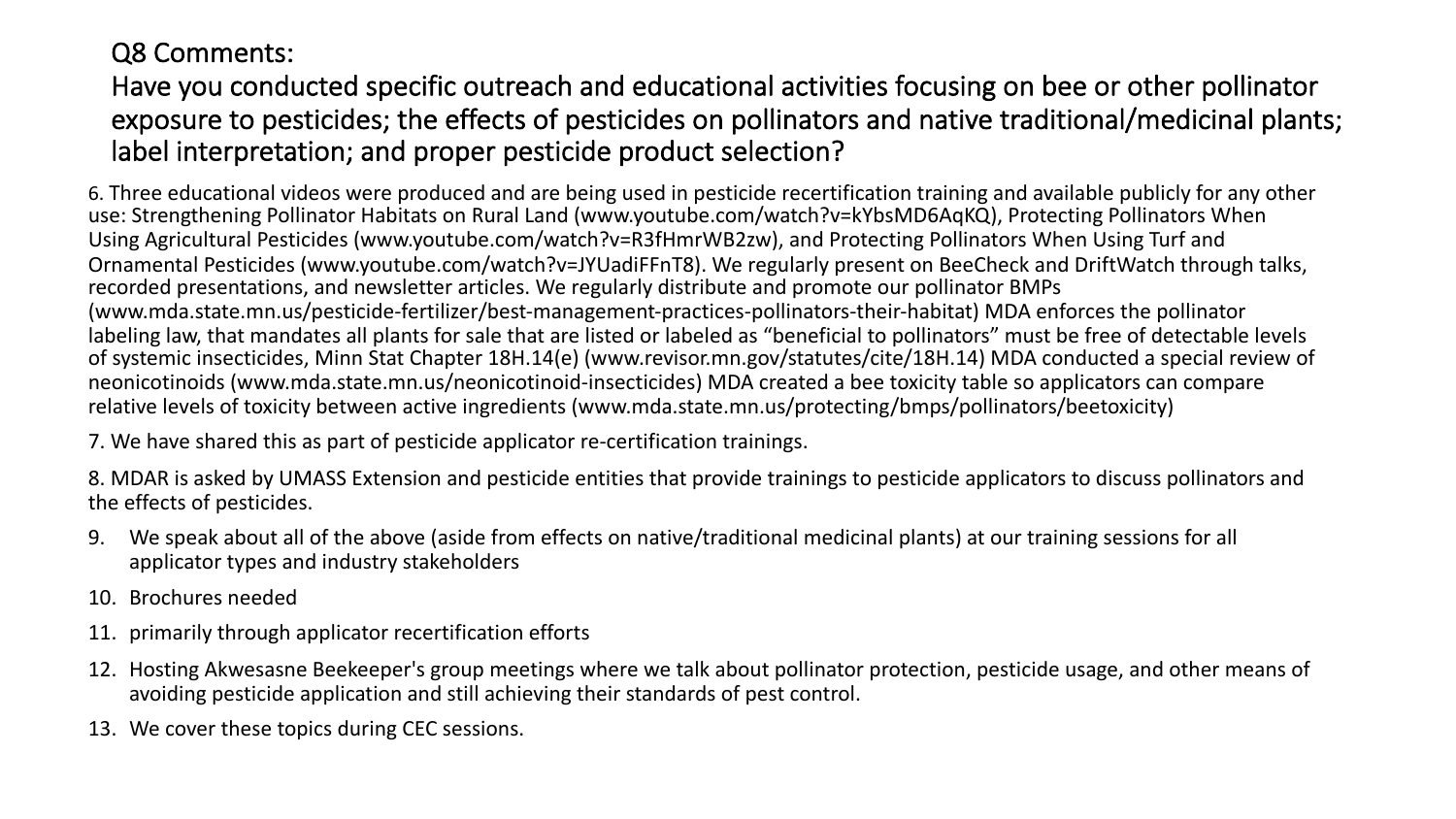#### Q8 Comments:

#### Have you conducted specific outreach and educational activities focusing on bee or other pollinator exposure to pesticides; the effects of pesticides on pollinators and native traditional/medicinal plants; label interpretation; and proper pesticide product selection?

6. Three educational videos were produced and are being used in pesticide recertification training and available publicly for any other use: Strengthening Pollinator Habitats on Rural Land (www.youtube.com/watch?v=kYbsMD6AqKQ), Protecting Pollinators When Using Agricultural Pesticides (www.youtube.com/watch?v=R3fHmrWB2zw), and Protecting Pollinators When Using Turf and Ornamental Pesticides (www.youtube.com/watch?v=JYUadiFFnT8). We regularly present on BeeCheck and DriftWatch through talks, recorded presentations, and newsletter articles. We regularly distribute and promote our pollinator BMPs (www.mda.state.mn.us/pesticide-fertilizer/best-management-practices-pollinators-their-habitat) MDA enforces the pollinator labeling law, that mandates all plants for sale that are listed or labeled as "beneficial to pollinators" must be free of detectable levels of systemic insecticides, Minn Stat Chapter 18H.14(e) (www.revisor.mn.gov/statutes/cite/18H.14) MDA conducted a special review of neonicotinoids (www.mda.state.mn.us/neonicotinoid-insecticides) MDA created a bee toxicity table so applicators can compare relative levels of toxicity between active ingredients (www.mda.state.mn.us/protecting/bmps/pollinators/beetoxicity)

7. We have shared this as part of pesticide applicator re-certification trainings.

8. MDAR is asked by UMASS Extension and pesticide entities that provide trainings to pesticide applicators to discuss pollinators and the effects of pesticides.

- 9. We speak about all of the above (aside from effects on native/traditional medicinal plants) at our training sessions for all applicator types and industry stakeholders
- 10. Brochures needed
- 11. primarily through applicator recertification efforts
- 12. Hosting Akwesasne Beekeeper's group meetings where we talk about pollinator protection, pesticide usage, and other means of avoiding pesticide application and still achieving their standards of pest control.
- 13. We cover these topics during CEC sessions.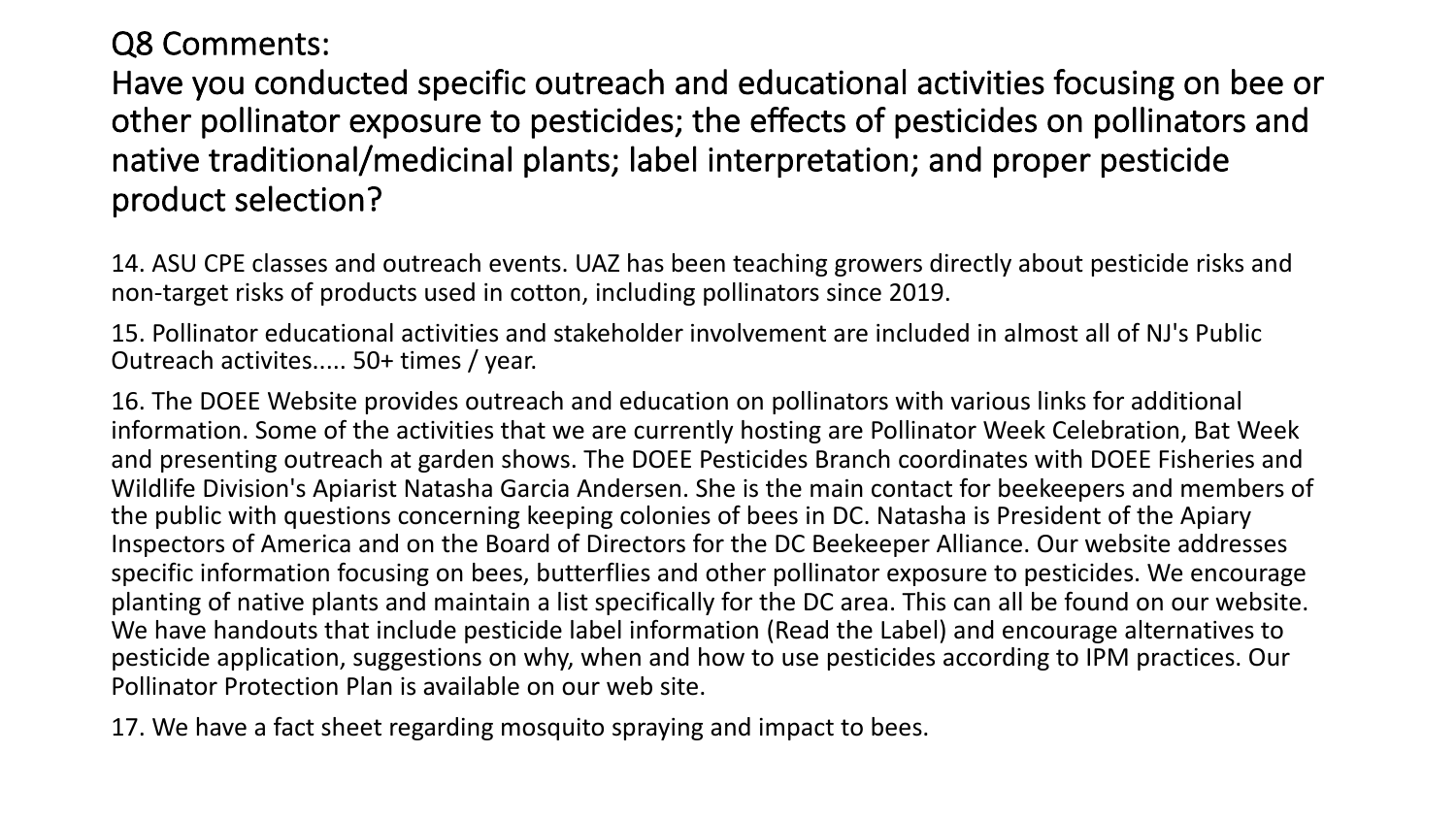#### Q8 Comments:

Have you conducted specific outreach and educational activities focusing on bee or other pollinator exposure to pesticides; the effects of pesticides on pollinators and native traditional/medicinal plants; label interpretation; and proper pesticide product selection?

14. ASU CPE classes and outreach events. UAZ has been teaching growers directly about pesticide risks and non-target risks of products used in cotton, including pollinators since 2019.

15. Pollinator educational activities and stakeholder involvement are included in almost all of NJ's Public Outreach activites..... 50+ times / year.

16. The DOEE Website provides outreach and education on pollinators with various links for additional information. Some of the activities that we are currently hosting are Pollinator Week Celebration, Bat Week and presenting outreach at garden shows. The DOEE Pesticides Branch coordinates with DOEE Fisheries and Wildlife Division's Apiarist Natasha Garcia Andersen. She is the main contact for beekeepers and members of the public with questions concerning keeping colonies of bees in DC. Natasha is President of the Apiary Inspectors of America and on the Board of Directors for the DC Beekeeper Alliance. Our website addresses specific information focusing on bees, butterflies and other pollinator exposure to pesticides. We encourage planting of native plants and maintain a list specifically for the DC area. This can all be found on our website. We have handouts that include pesticide label information (Read the Label) and encourage alternatives to pesticide application, suggestions on why, when and how to use pesticides according to IPM practices. Our Pollinator Protection Plan is available on our web site.

17. We have a fact sheet regarding mosquito spraying and impact to bees.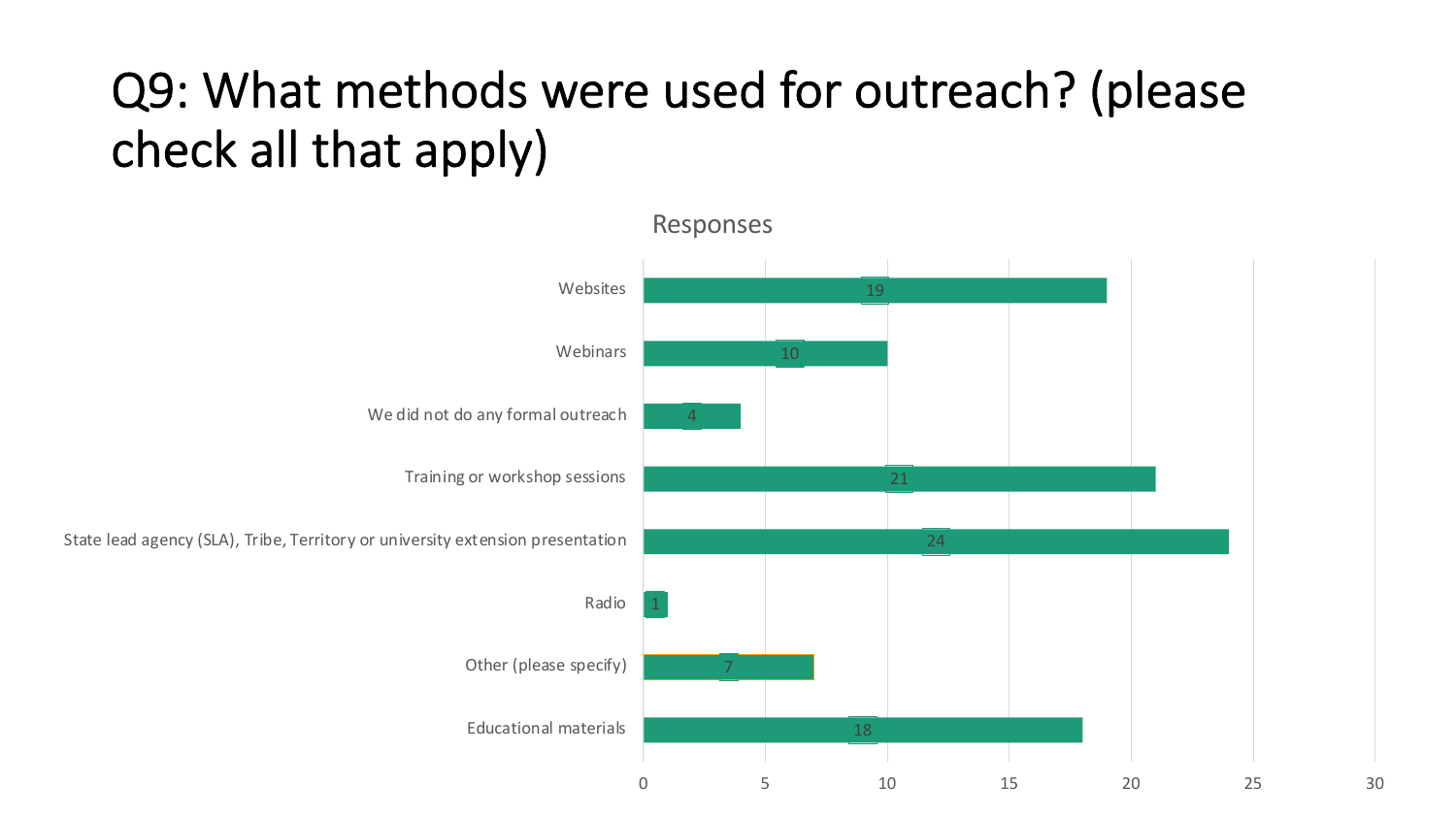## Q9: What methods were used for outreach? (please check all that apply)

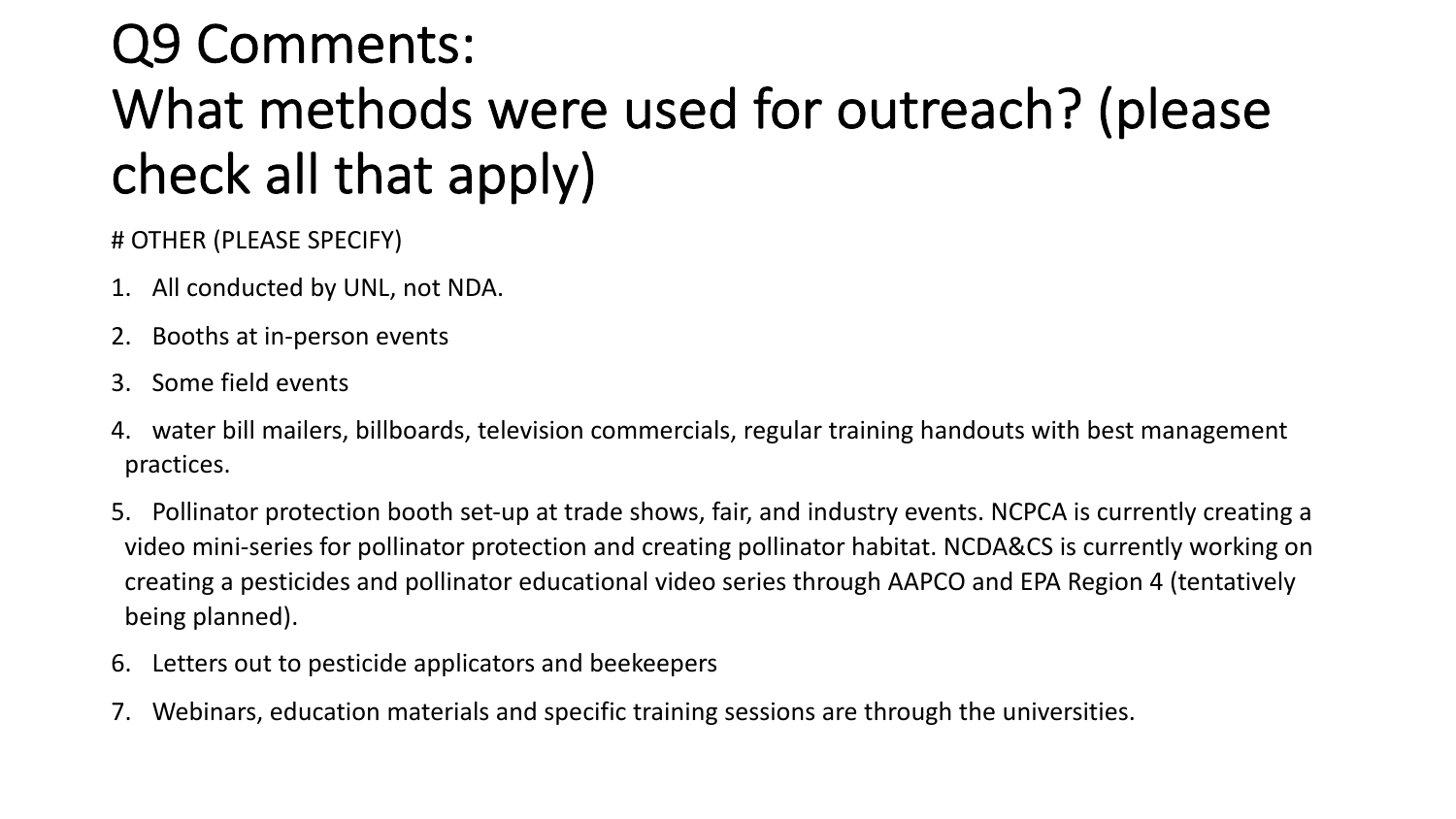## Q9 Comments: What methods were used for outreach? (please check all that apply)

# OTHER (PLEASE SPECIFY)

- 1. All conducted by UNL, not NDA.
- 2. Booths at in-person events
- 3. Some field events
- 4. water bill mailers, billboards, television commercials, regular training handouts with best management practices.
- 5. Pollinator protection booth set-up at trade shows, fair, and industry events. NCPCA is currently creating a video mini-series for pollinator protection and creating pollinator habitat. NCDA&CS is currently working on creating a pesticides and pollinator educational video series through AAPCO and EPA Region 4 (tentatively being planned).
- 6. Letters out to pesticide applicators and beekeepers
- 7. Webinars, education materials and specific training sessions are through the universities.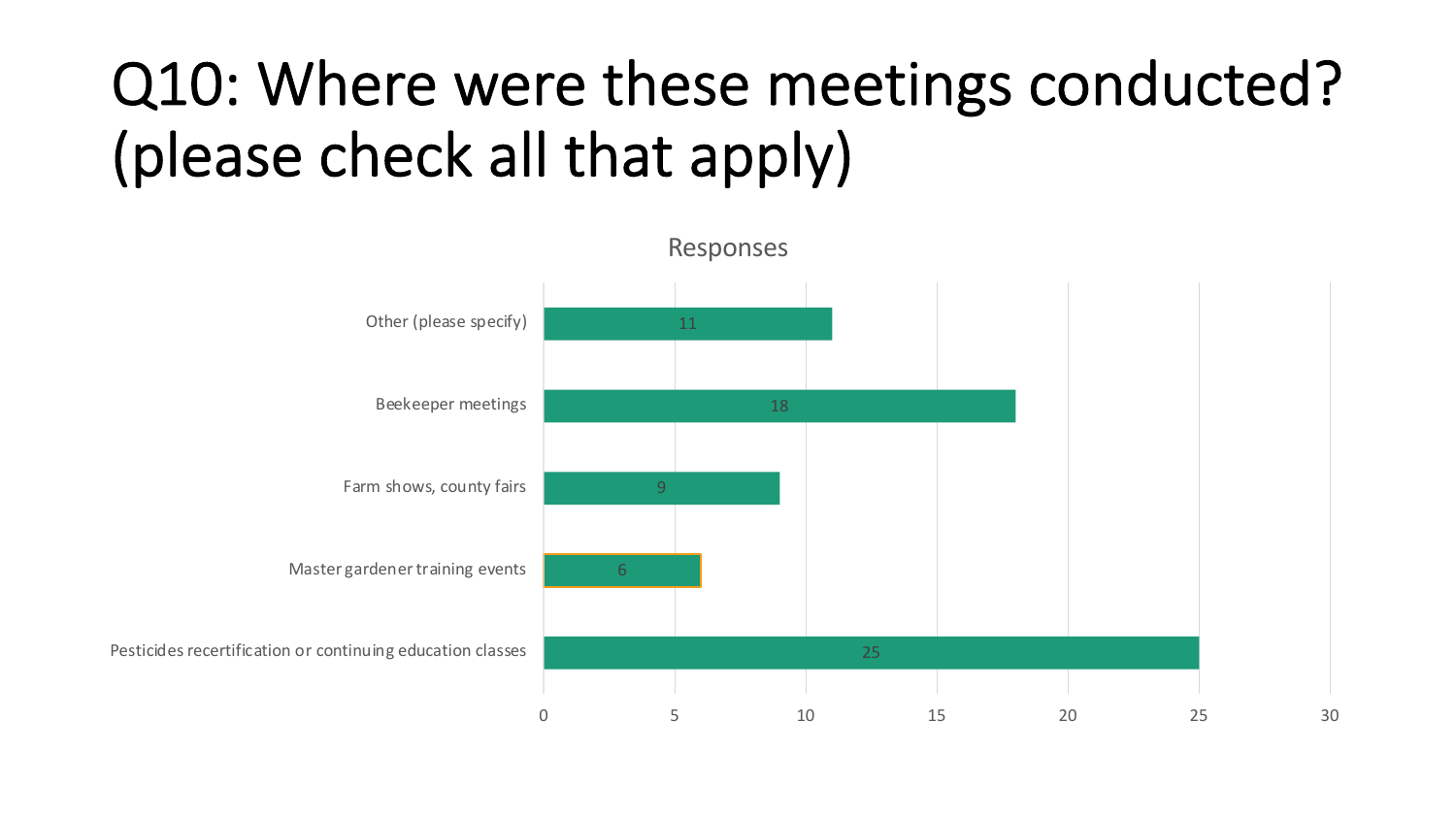# Q10: Where were these meetings conducted? (please check all that apply)

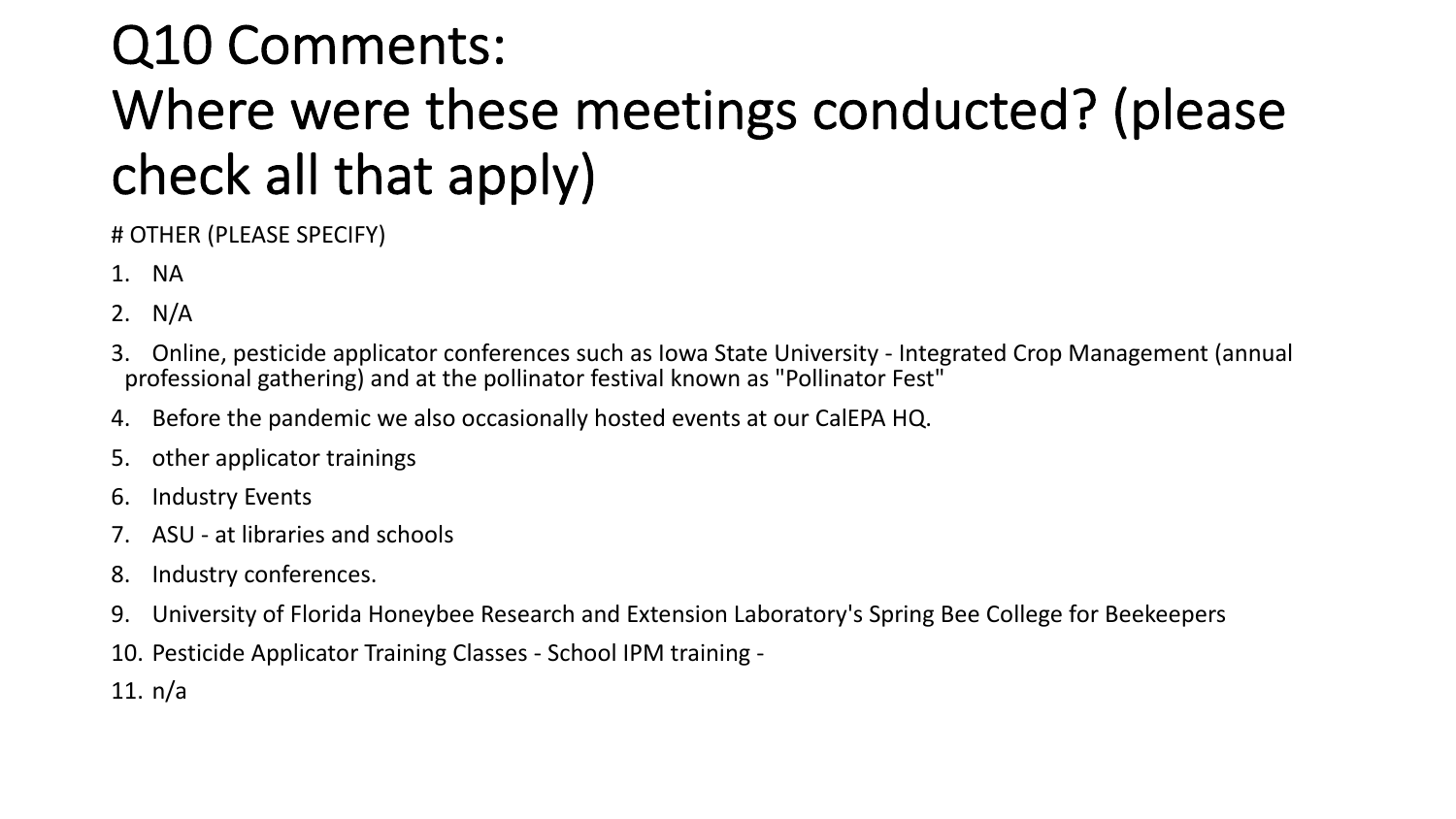## Q10 Comments: Where were these meetings conducted? (please check all that apply)

# OTHER (PLEASE SPECIFY)

- 1. NA
- 2. N/A
- 3. Online, pesticide applicator conferences such as Iowa State University Integrated Crop Management (annual professional gathering) and at the pollinator festival known as "Pollinator Fest"
- 4. Before the pandemic we also occasionally hosted events at our CalEPA HQ.
- 5. other applicator trainings
- 6. Industry Events
- 7. ASU at libraries and schools
- 8. Industry conferences.
- 9. University of Florida Honeybee Research and Extension Laboratory's Spring Bee College for Beekeepers
- 10. Pesticide Applicator Training Classes School IPM training -
- 11. n/a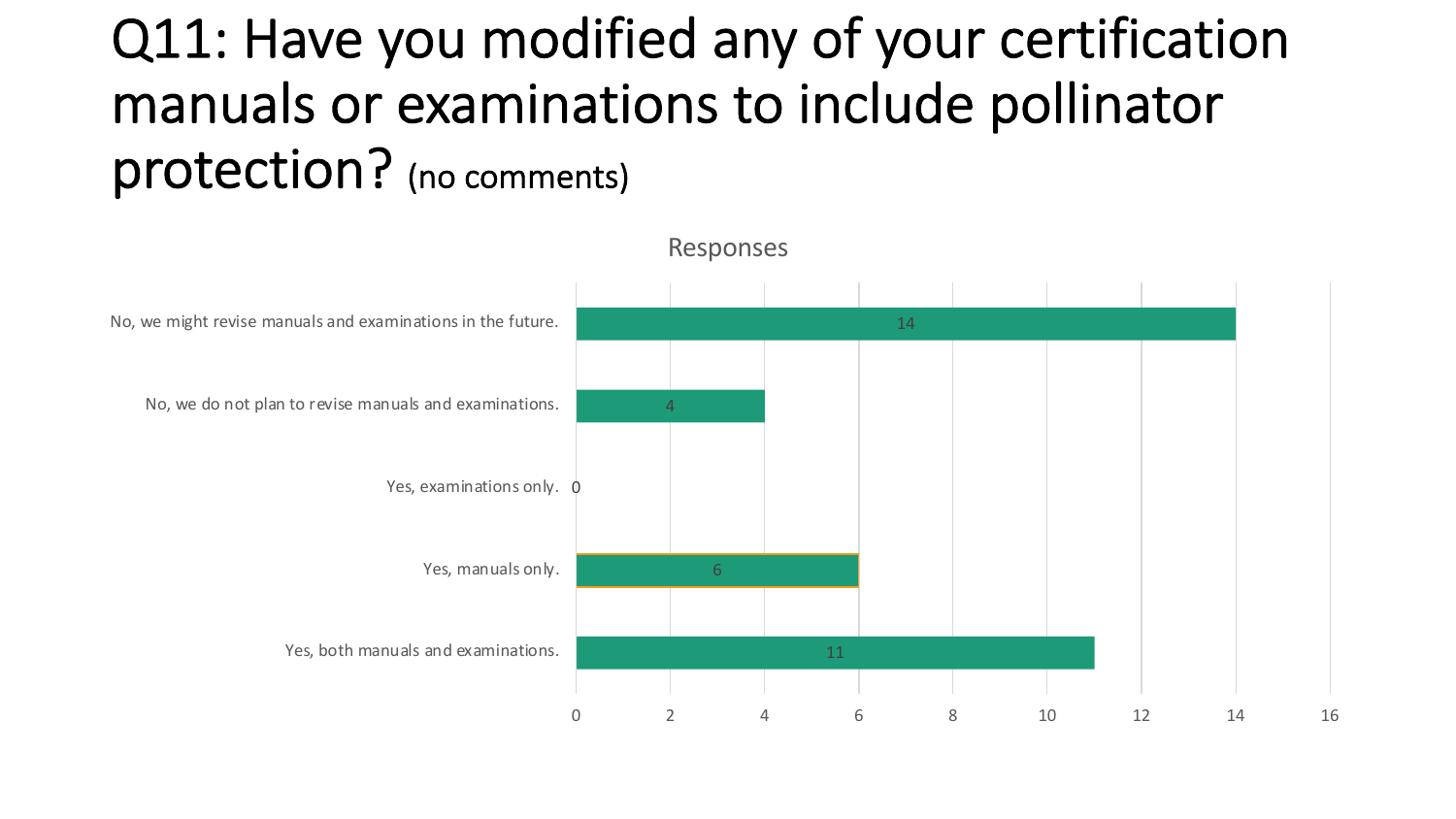## Q11: Have you modified any of your certification manuals or examinations to include pollinator protection? (no comments)

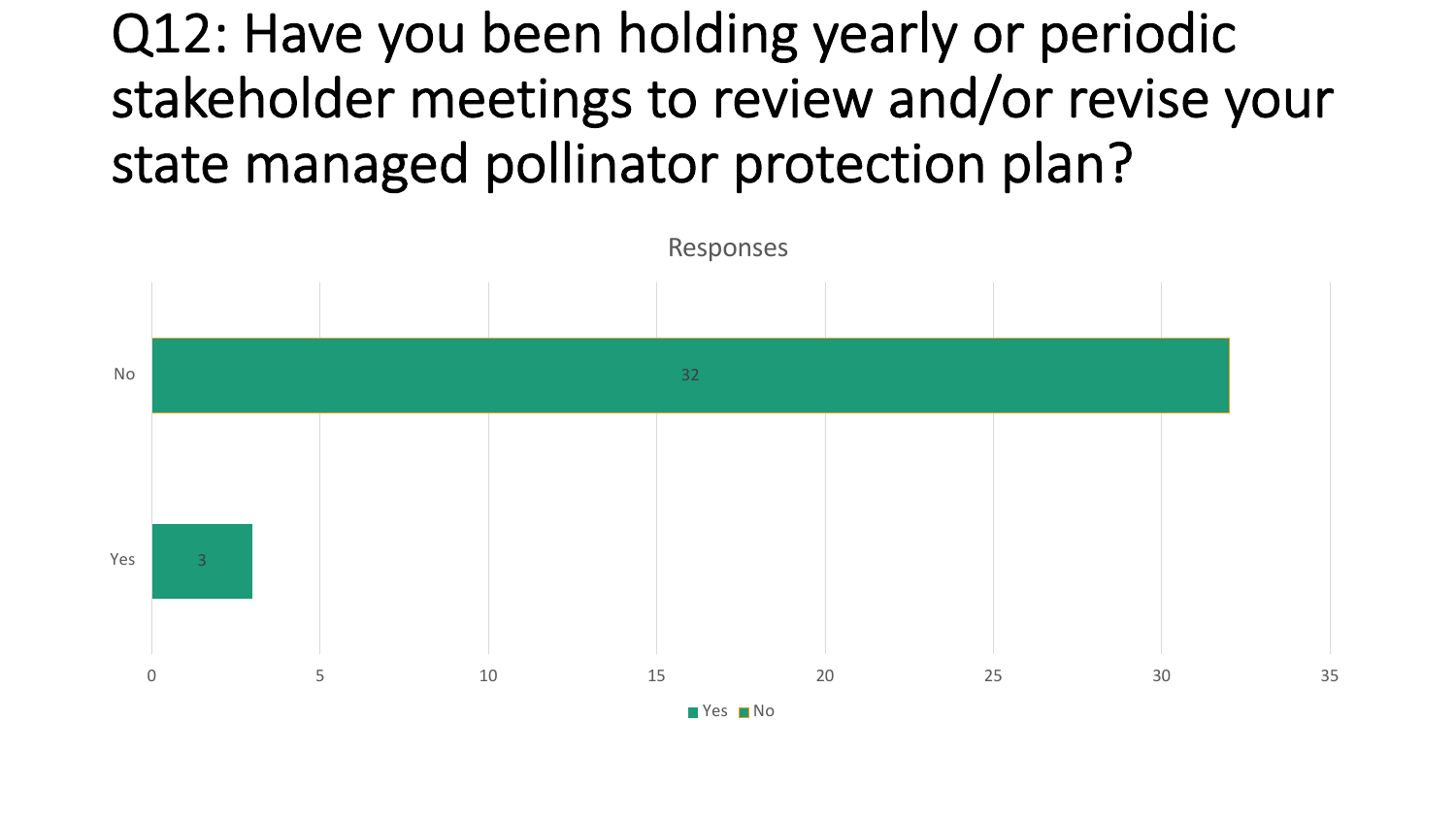## Q12: Have you been holding yearly or periodic stakeholder meetings to review and/or revise your state managed pollinator protection plan?

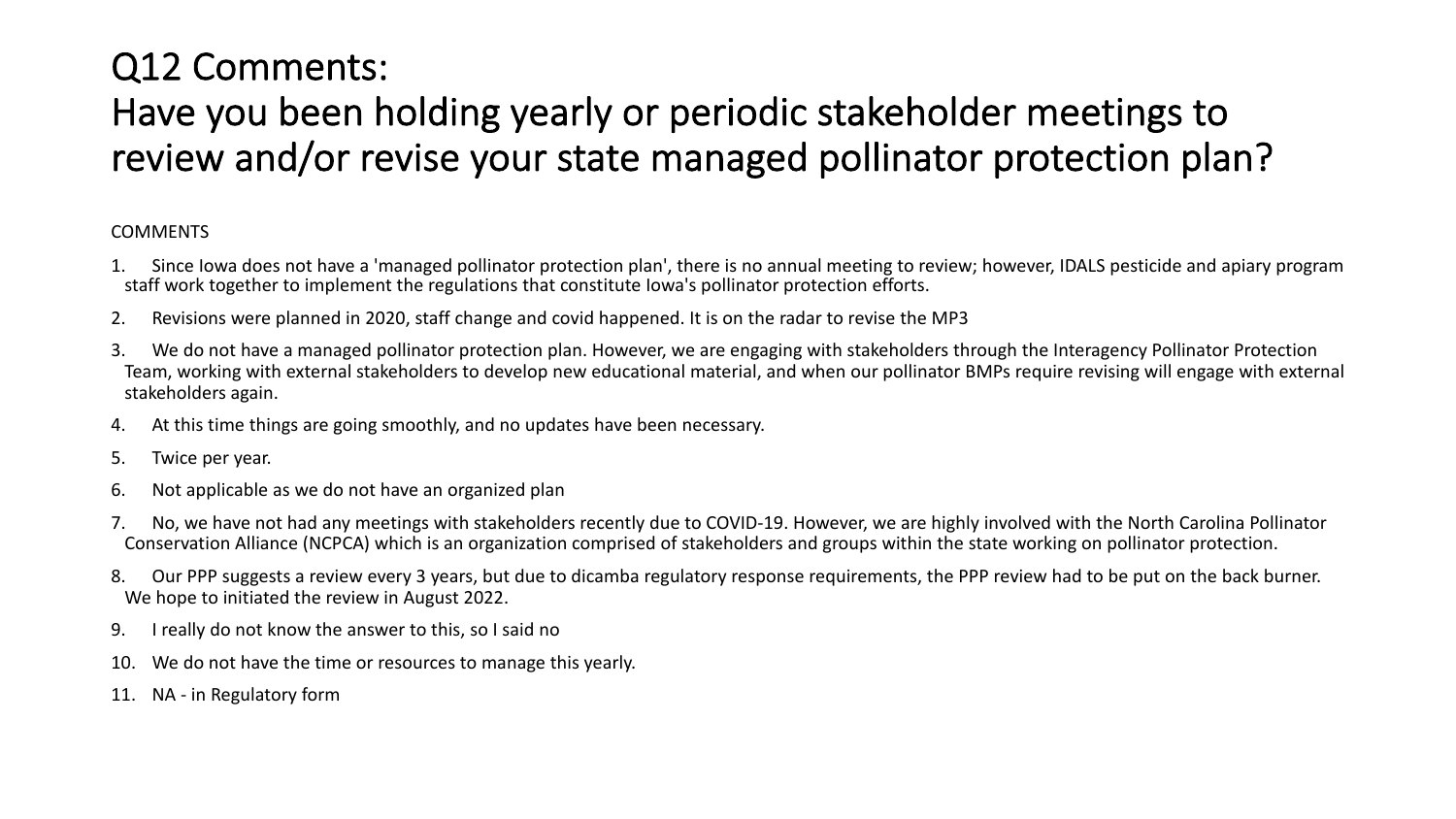### Q12 Comments:

### Have you been holding yearly or periodic stakeholder meetings to review and/or revise your state managed pollinator protection plan?

#### COMMENTS

- 1. Since Iowa does not have a 'managed pollinator protection plan', there is no annual meeting to review; however, IDALS pesticide and apiary program staff work together to implement the regulations that constitute Iowa's pollinator protection efforts.
- 2. Revisions were planned in 2020, staff change and covid happened. It is on the radar to revise the MP3
- 3. We do not have a managed pollinator protection plan. However, we are engaging with stakeholders through the Interagency Pollinator Protection Team, working with external stakeholders to develop new educational material, and when our pollinator BMPs require revising will engage with external stakeholders again.
- 4. At this time things are going smoothly, and no updates have been necessary.
- 5. Twice per year.
- 6. Not applicable as we do not have an organized plan
- 7. No, we have not had any meetings with stakeholders recently due to COVID-19. However, we are highly involved with the North Carolina Pollinator Conservation Alliance (NCPCA) which is an organization comprised of stakeholders and groups within the state working on pollinator protection.
- 8. Our PPP suggests a review every 3 years, but due to dicamba regulatory response requirements, the PPP review had to be put on the back burner. We hope to initiated the review in August 2022.
- 9. I really do not know the answer to this, so I said no
- 10. We do not have the time or resources to manage this yearly.
- 11. NA in Regulatory form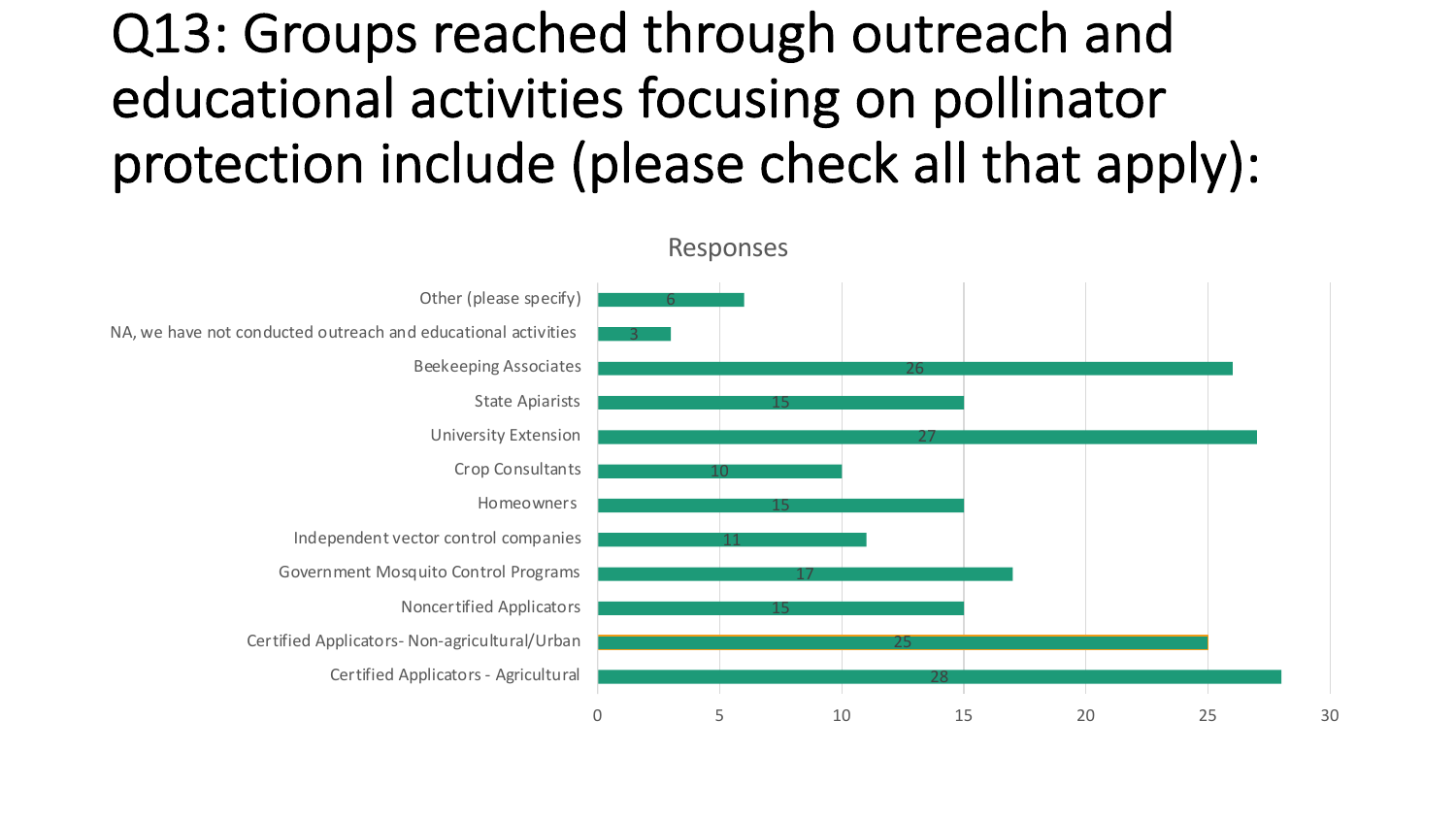## Q13: Groups reached through outreach and educational activities focusing on pollinator protection include (please check all that apply):

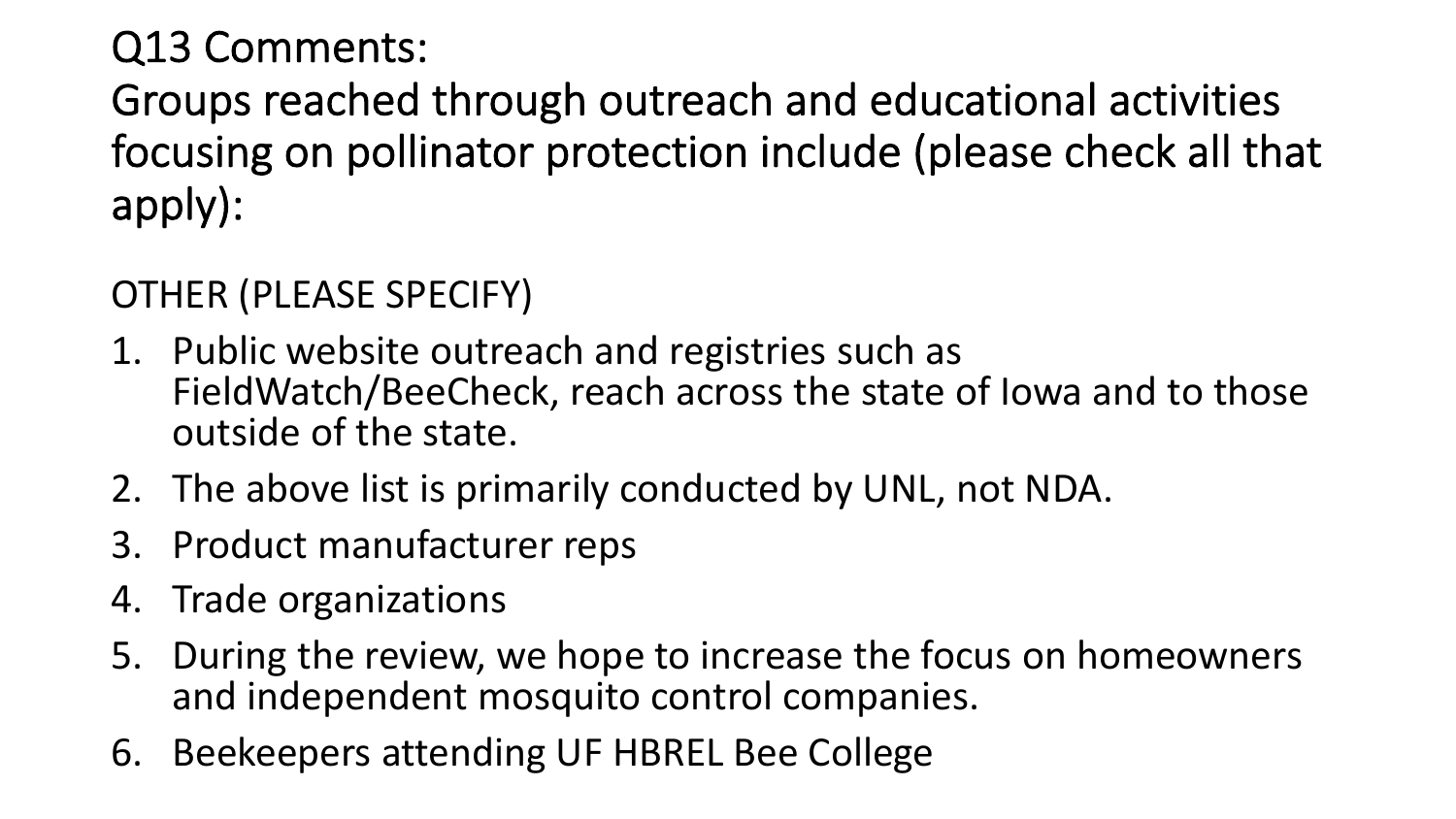### Q13 Comments:

Groups reached through outreach and educational activities focusing on pollinator protection include (please check all that apply):

OTHER (PLEASE SPECIFY)

- 1. Public website outreach and registries such as FieldWatch/BeeCheck, reach across the state of Iowa and to those outside of the state.
- 2. The above list is primarily conducted by UNL, not NDA.
- 3. Product manufacturer reps
- 4. Trade organizations
- 5. During the review, we hope to increase the focus on homeowners and independent mosquito control companies.
- 6. Beekeepers attending UF HBREL Bee College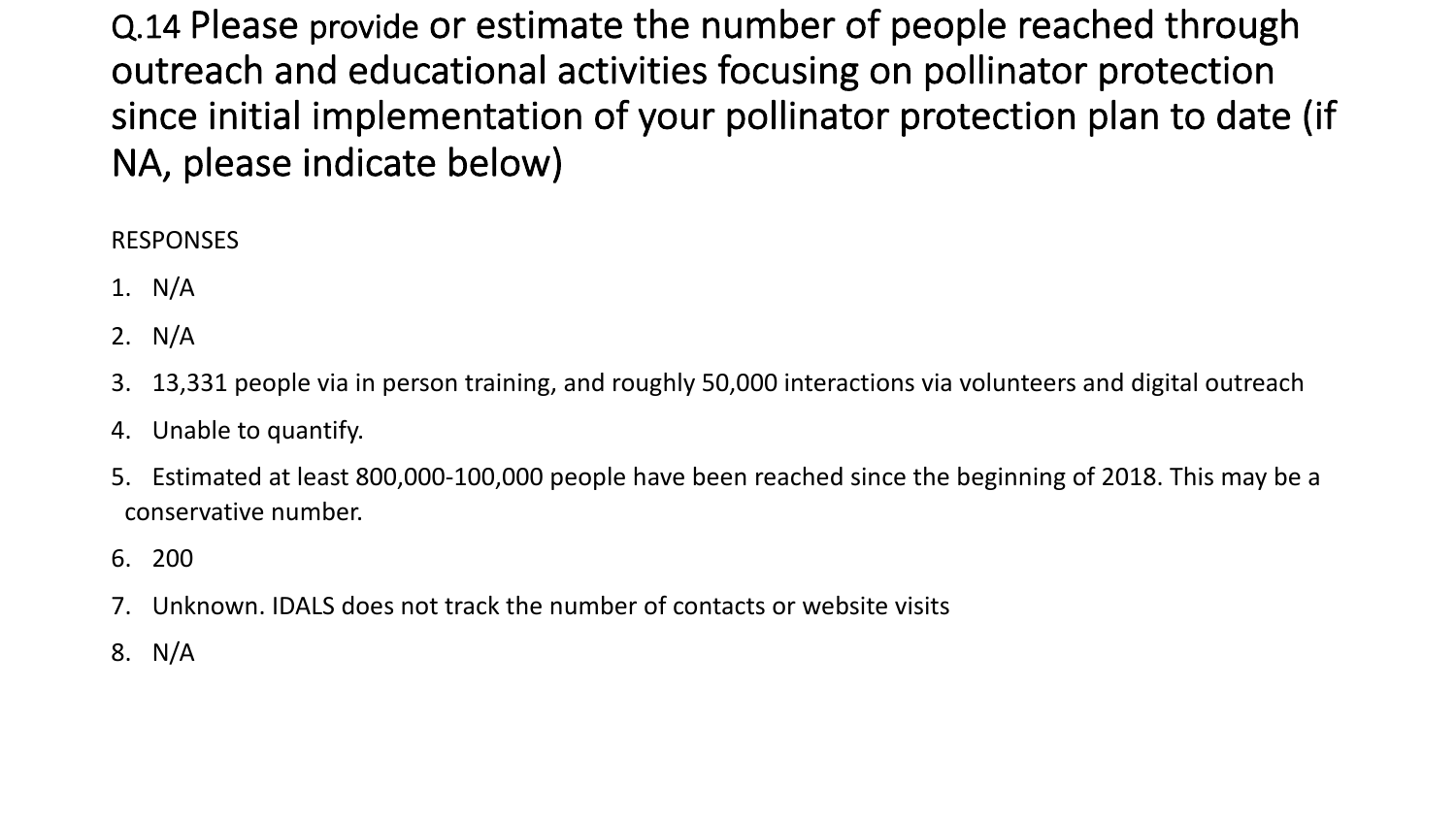Q.14 Please provide or estimate the number of people reached through outreach and educational activities focusing on pollinator protection since initial implementation of your pollinator protection plan to date (if NA, please indicate below)

#### RESPONSES

- 1. N/A
- 2. N/A
- 3. 13,331 people via in person training, and roughly 50,000 interactions via volunteers and digital outreach
- 4. Unable to quantify.
- 5. Estimated at least 800,000-100,000 people have been reached since the beginning of 2018. This may be a conservative number.
- 6. 200
- 7. Unknown. IDALS does not track the number of contacts or website visits
- 8. N/A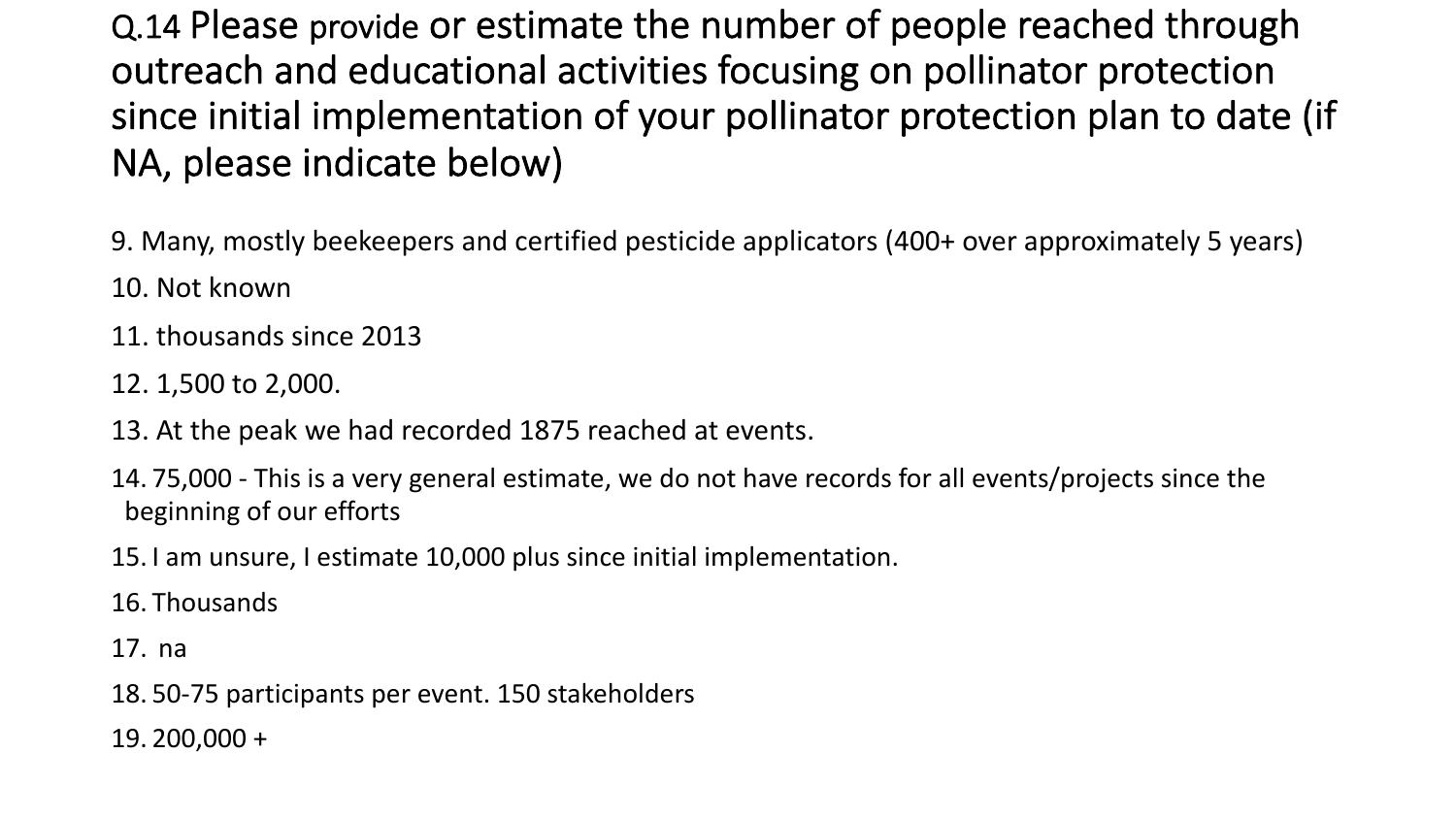Q.14 Please provide or estimate the number of people reached through outreach and educational activities focusing on pollinator protection since initial implementation of your pollinator protection plan to date (if NA, please indicate below)

9. Many, mostly beekeepers and certified pesticide applicators (400+ over approximately 5 years)

- 10. Not known
- 11. thousands since 2013
- 12. 1,500 to 2,000.
- 13. At the peak we had recorded 1875 reached at events.
- 14. 75,000 This is a very general estimate, we do not have records for all events/projects since the beginning of our efforts
- 15. I am unsure, I estimate 10,000 plus since initial implementation.
- 16. Thousands
- 17. na
- 18. 50-75 participants per event. 150 stakeholders
- 19. 200,000 +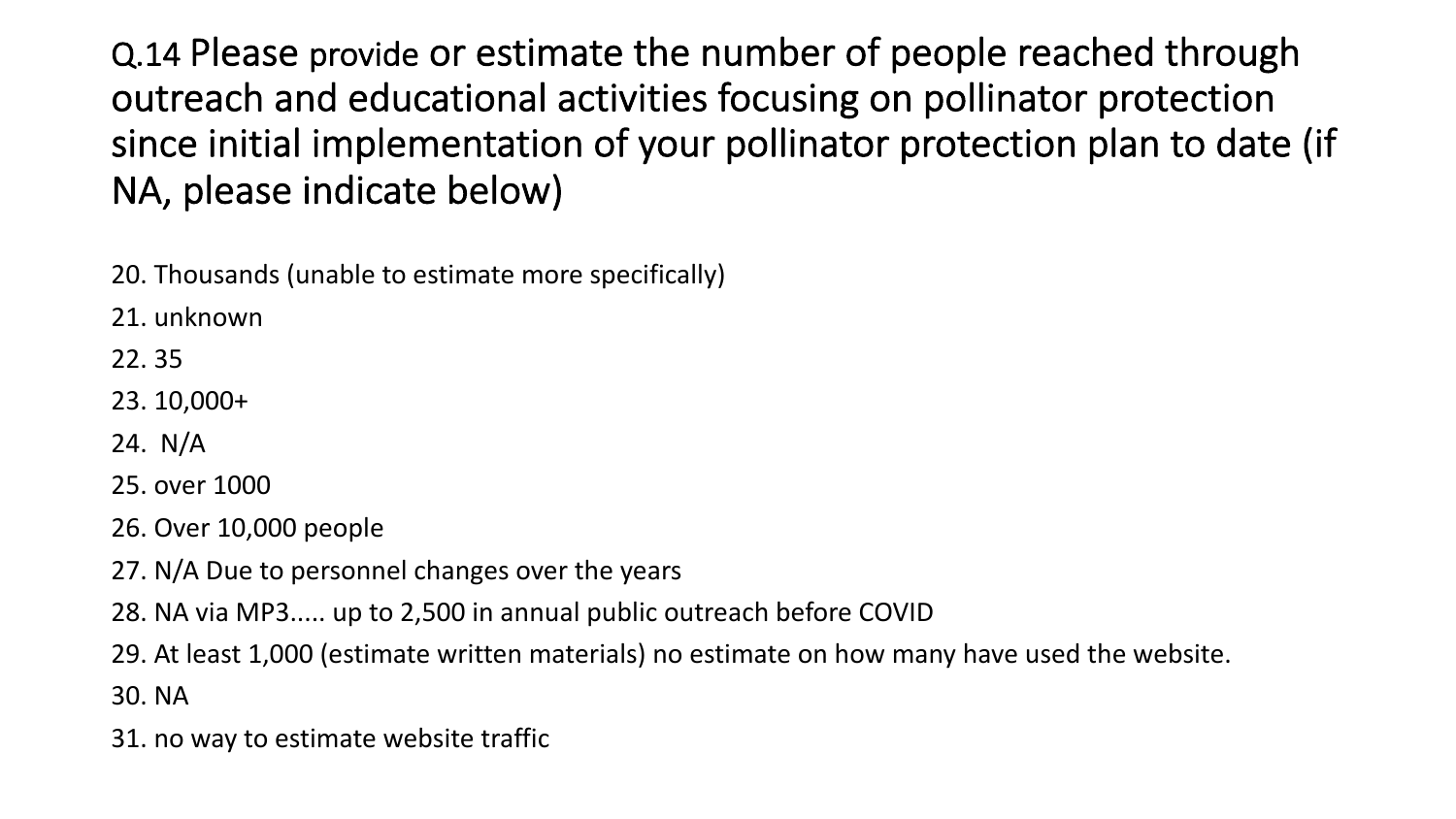Q.14 Please provide or estimate the number of people reached through outreach and educational activities focusing on pollinator protection since initial implementation of your pollinator protection plan to date (if NA, please indicate below)

20. Thousands (unable to estimate more specifically)

21. unknown

22. 35

23. 10,000+

24. N/A

25. over 1000

26. Over 10,000 people

- 27. N/A Due to personnel changes over the years
- 28. NA via MP3..... up to 2,500 in annual public outreach before COVID
- 29. At least 1,000 (estimate written materials) no estimate on how many have used the website. 30. NA
- 31. no way to estimate website traffic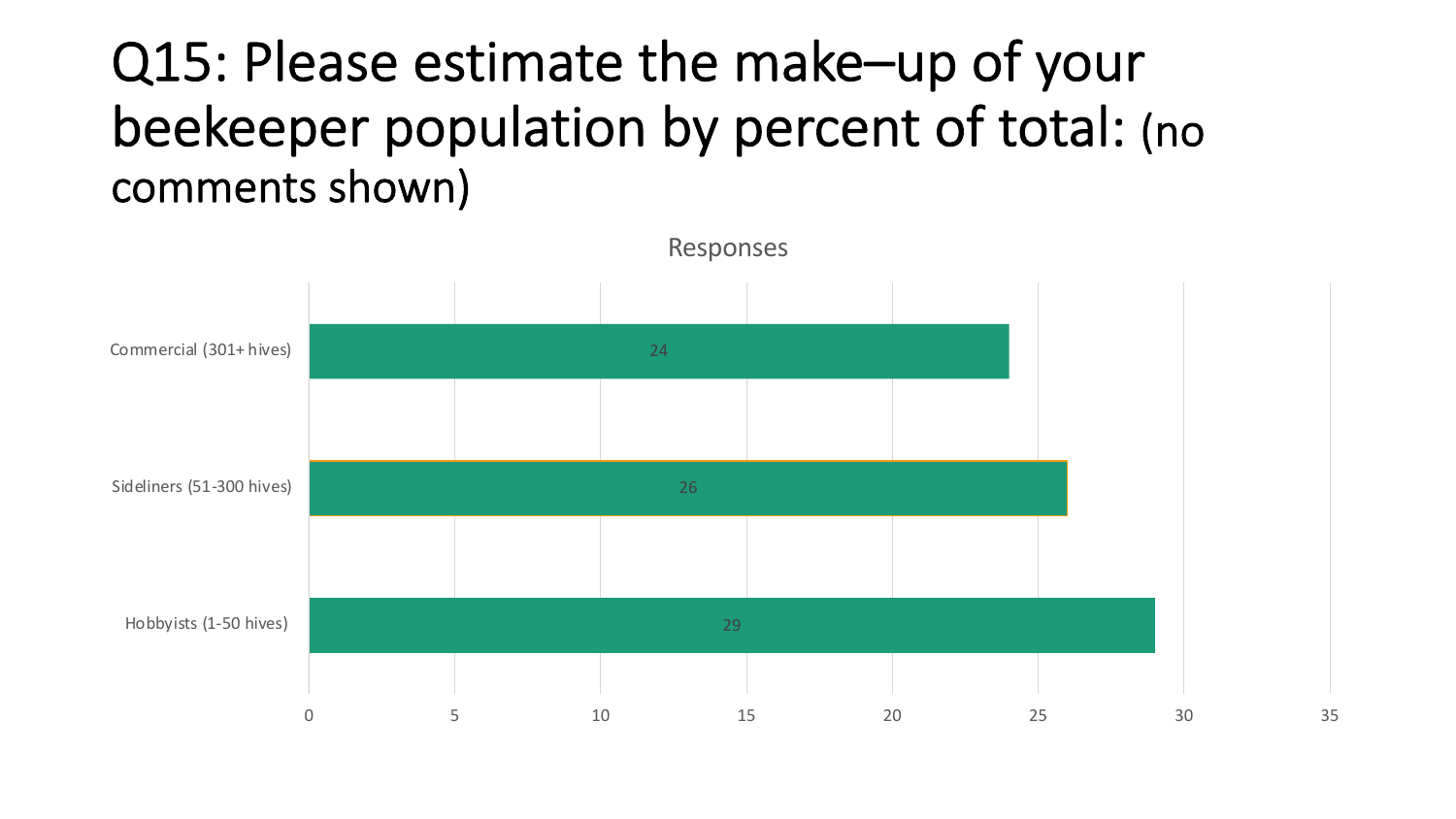### Q15: Please estimate the make–up of your beekeeper population by percent of total: (no comments shown)

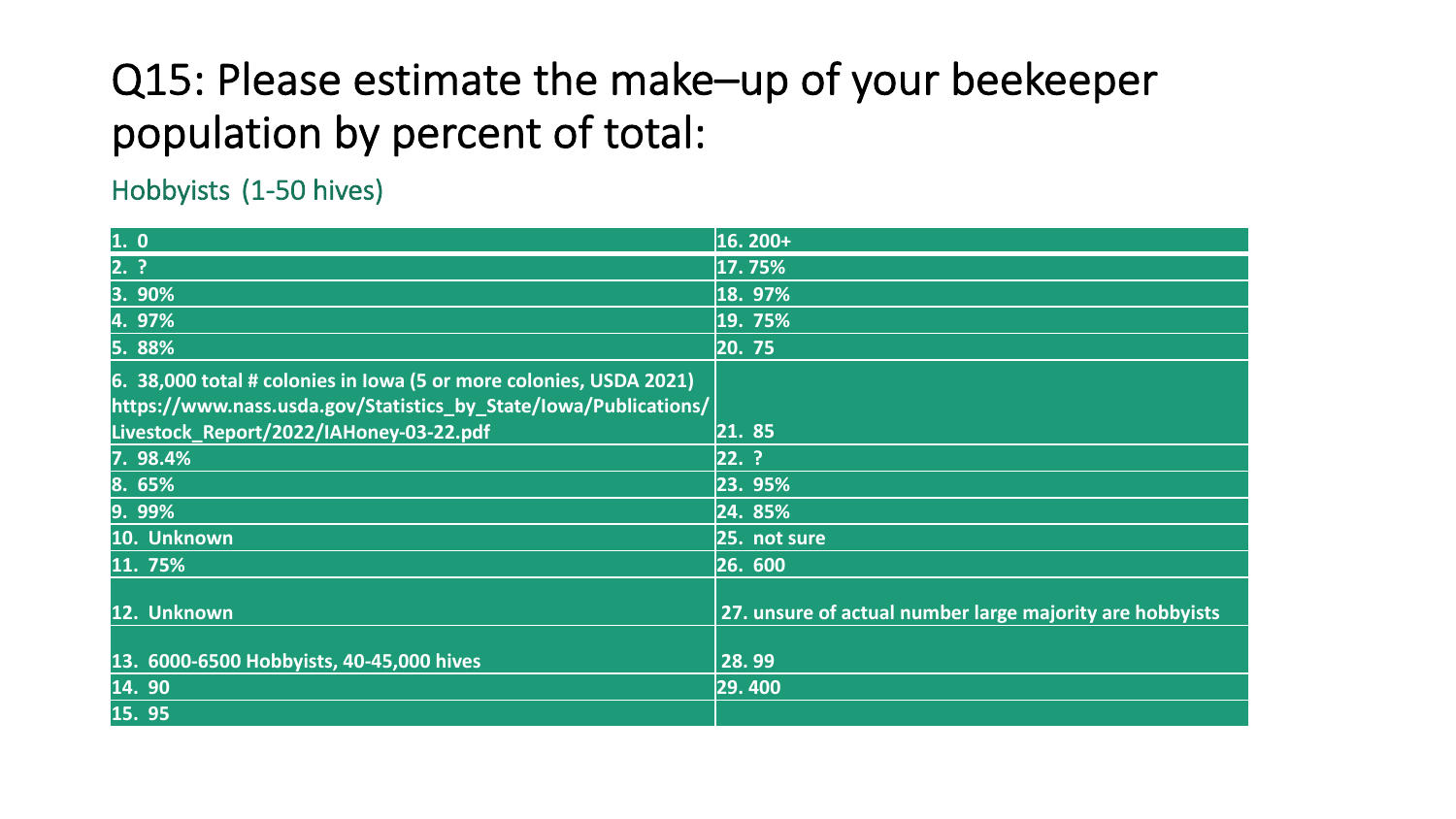### Q15: Please estimate the make–up of your beekeeper population by percent of total:

Hobbyists (1-50 hives)

| 1.0                                                                | 16. 200+                                                 |
|--------------------------------------------------------------------|----------------------------------------------------------|
| 2.?                                                                | 17.75%                                                   |
| 3. 90%                                                             | 18. 97%                                                  |
| 4.97%                                                              | 19. 75%                                                  |
| 5. 88%                                                             | 20. 75                                                   |
| 6. 38,000 total # colonies in Iowa (5 or more colonies, USDA 2021) |                                                          |
| https://www.nass.usda.gov/Statistics by State/Iowa/Publications/   |                                                          |
| Livestock_Report/2022/IAHoney-03-22.pdf                            | 21. 85                                                   |
| 7. 98.4%                                                           | $22.$ ?                                                  |
| 8. 65%                                                             | 23. 95%                                                  |
| 9.99%                                                              | 24. 85%                                                  |
| 10. Unknown                                                        | 25. not sure                                             |
| 11. 75%                                                            | 26. 600                                                  |
| 12. Unknown                                                        | 27. unsure of actual number large majority are hobbyists |
|                                                                    |                                                          |
| 13. 6000-6500 Hobbyists, 40-45,000 hives                           | 28.99                                                    |
| 14.90                                                              | 29.400                                                   |
| 15.95                                                              |                                                          |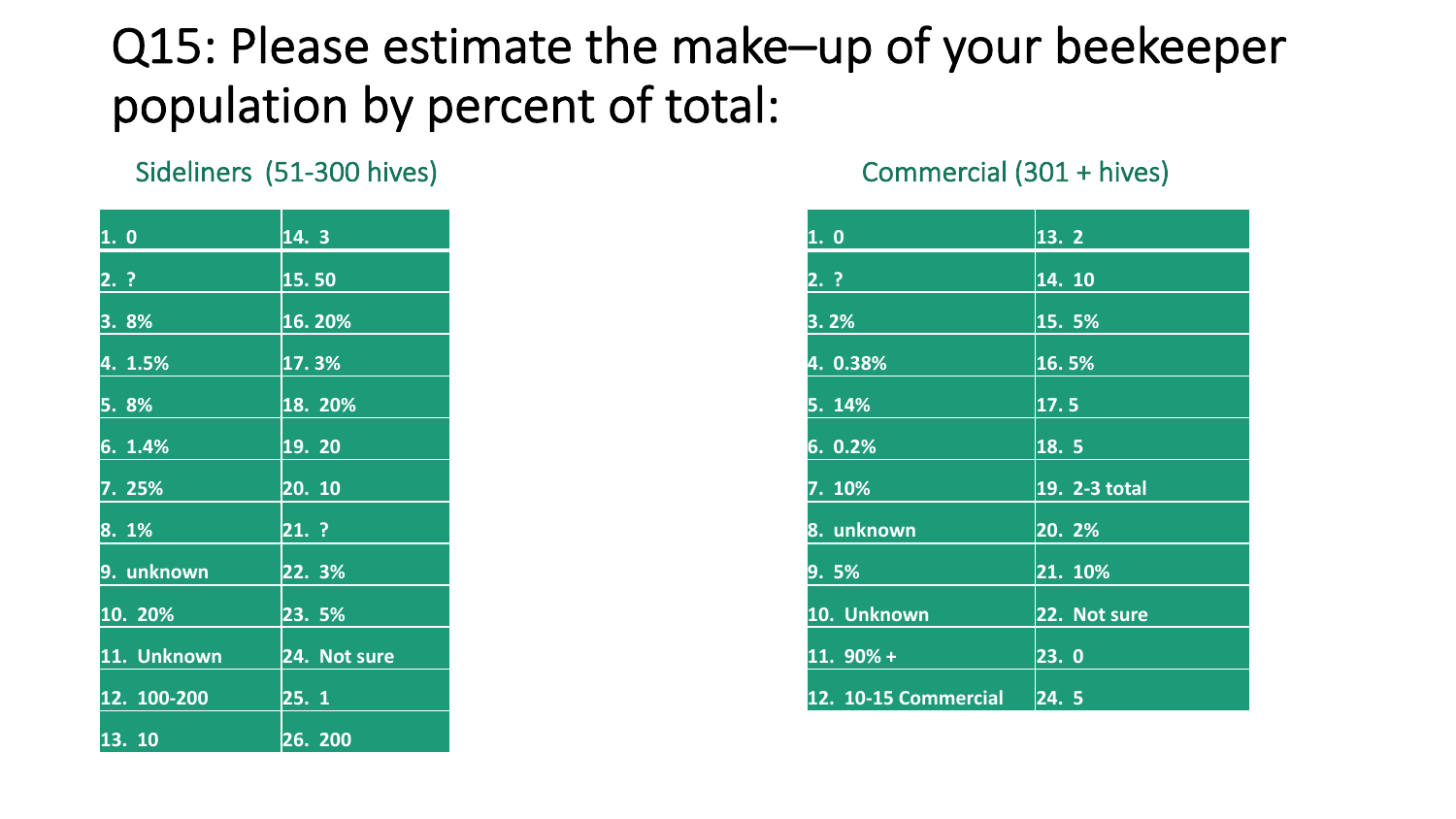### Q15: Please estimate the make–up of your beekeeper population by percent of total:

Sideliners (51-300 hives) Commercial (301 + hives)

| 1.0         | 14.3         |
|-------------|--------------|
| $2.$ ?      | 15.50        |
| 3.8%        | 16.20%       |
| 4. 1.5%     | 17.3%        |
| 5. 8%       | 18. 20%      |
| 6.1.4%      | 19. 20       |
| 7. 25%      | 20.10        |
| 8.1%        | 21. ?        |
| 9. unknown  | 22. 3%       |
| 10. 20%     | 23. 5%       |
| 11. Unknown | 24. Not sure |
| 12. 100-200 | 25.1         |
| 13. 10      | 26. 200      |

| 1. 0                 | 13.2          |
|----------------------|---------------|
| 2.?                  | 14. 10        |
| 3.2%                 | 15.5%         |
| 4. 0.38%             | 16.5%         |
| 5. 14%               | 17.5          |
| 6.0.2%               | 18.5          |
| 7. 10%               | 19. 2-3 total |
| 8. unknown           | 20. 2%        |
| 9. 5%                | 21. 10%       |
| 10. Unknown          | 22. Not sure  |
| $11.90% +$           | 23.0          |
| 12. 10-15 Commercial | 24.5          |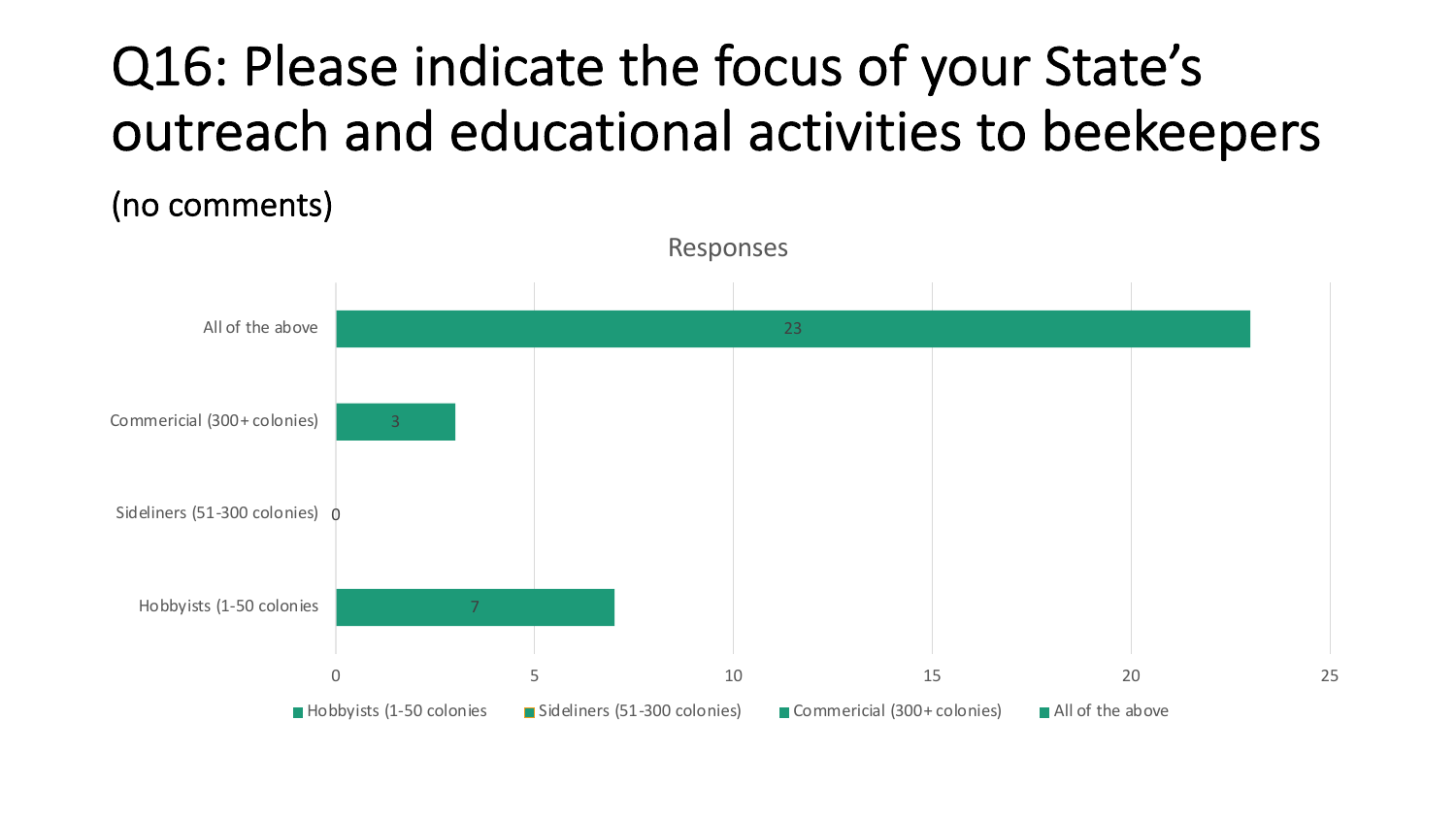## Q16: Please indicate the focus of your State's outreach and educational activities to beekeepers

(no comments)

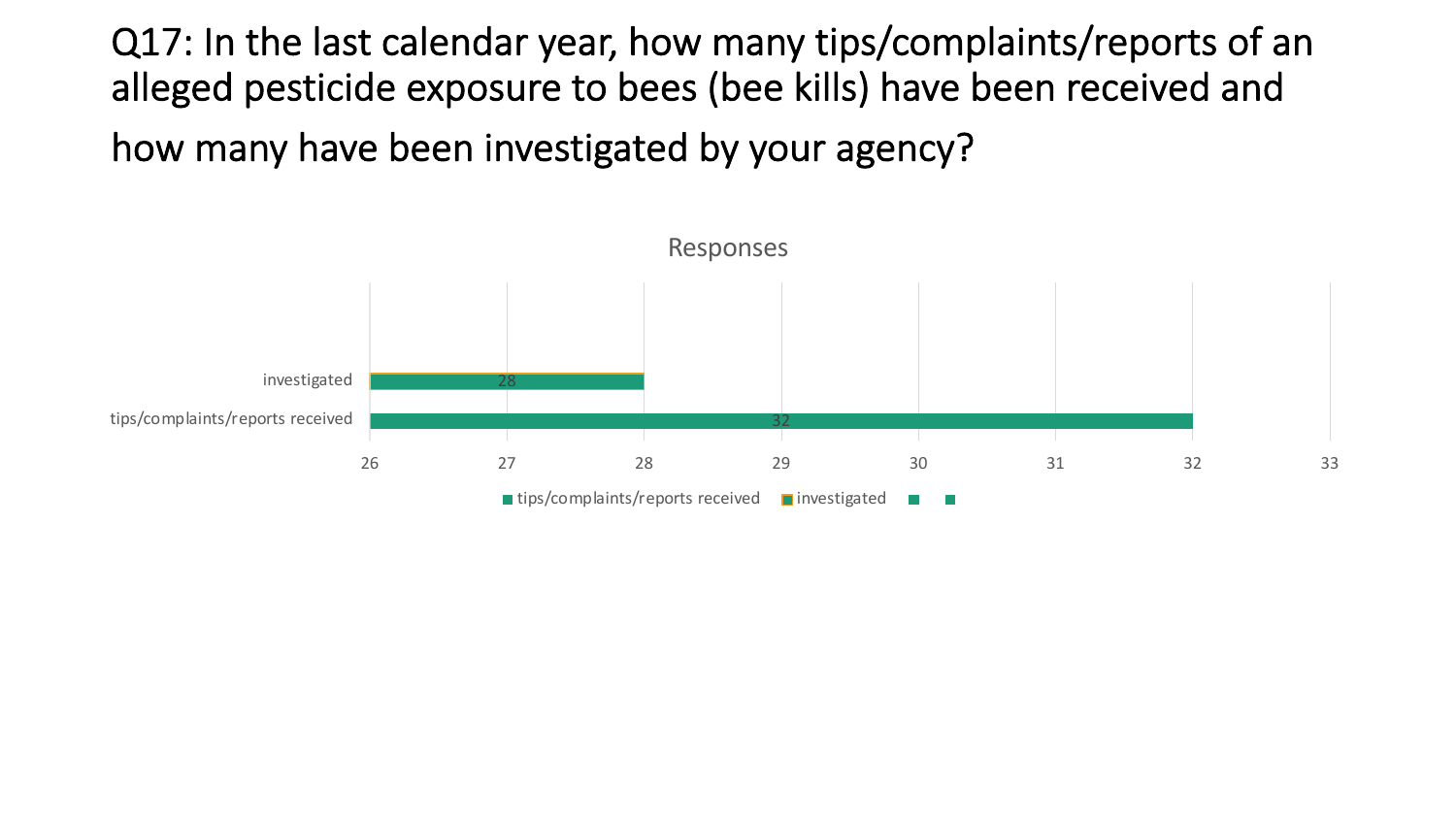Q17: In the last calendar year, how many tips/complaints/reports of an alleged pesticide exposure to bees (bee kills) have been received and

how many have been investigated by your agency?

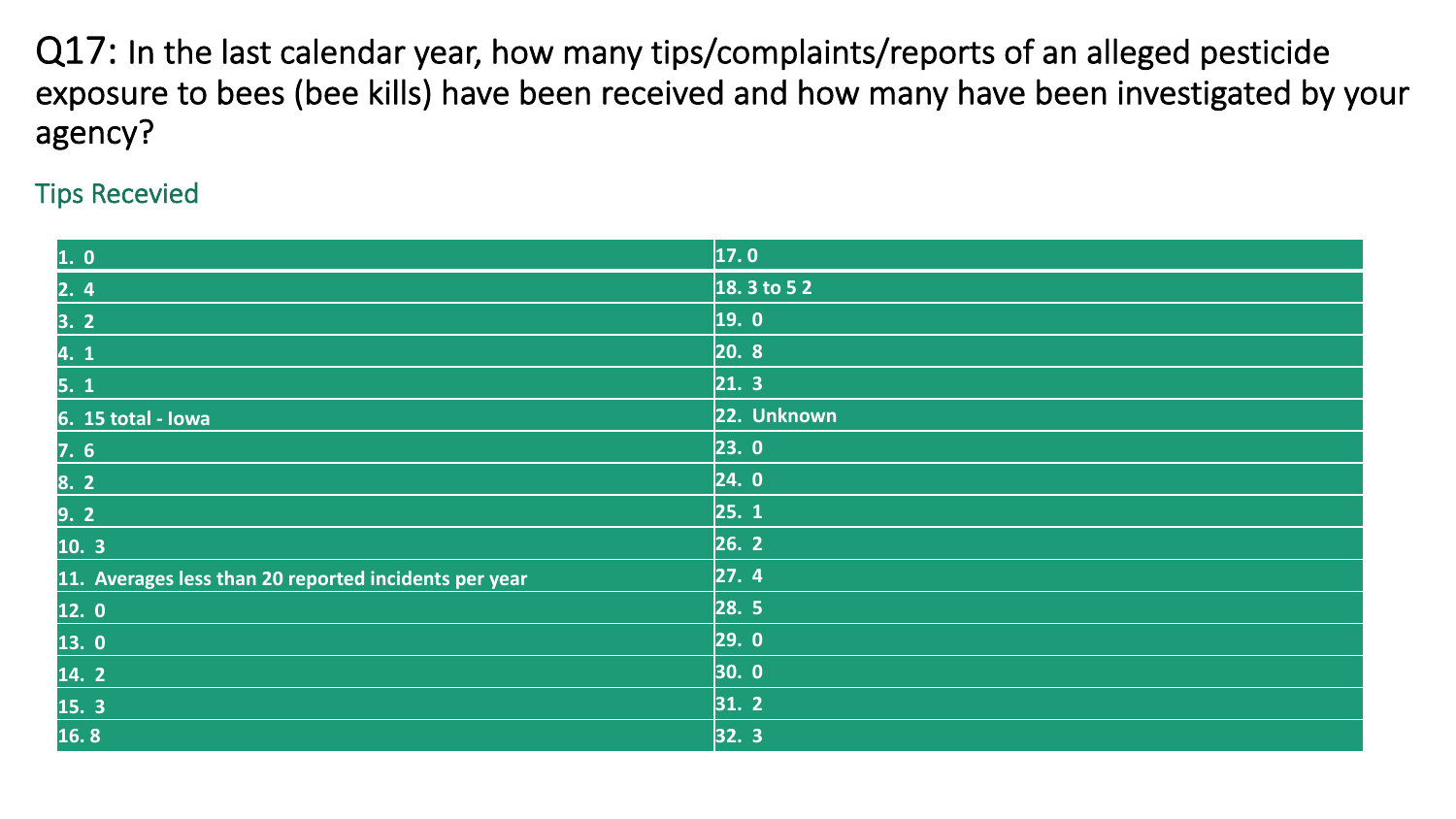Q17: In the last calendar year, how many tips/complaints/reports of an alleged pesticide exposure to bees (bee kills) have been received and how many have been investigated by your agency?

#### Tips Recevied

| 1. 0                                                  | $\vert$ 17.0 |
|-------------------------------------------------------|--------------|
| $2.4$                                                 | $18.3$ to 52 |
| 3. 2                                                  | 19. 0        |
| 4. 1                                                  | 20.8         |
| 5.1                                                   | 21.3         |
| 6. 15 total - Iowa                                    | 22. Unknown  |
| 7.6                                                   | 23.0         |
| 8. 2                                                  | 24.0         |
| 9.2                                                   | 25.1         |
| 10.3                                                  | 26.2         |
| 11. Averages less than 20 reported incidents per year | 27.4         |
| 12.0                                                  | 28.5         |
| 13.0                                                  | 29.0         |
| 14.2                                                  | 30.0         |
| 15. 3                                                 | 31.2         |
| 16.8                                                  | 32.3         |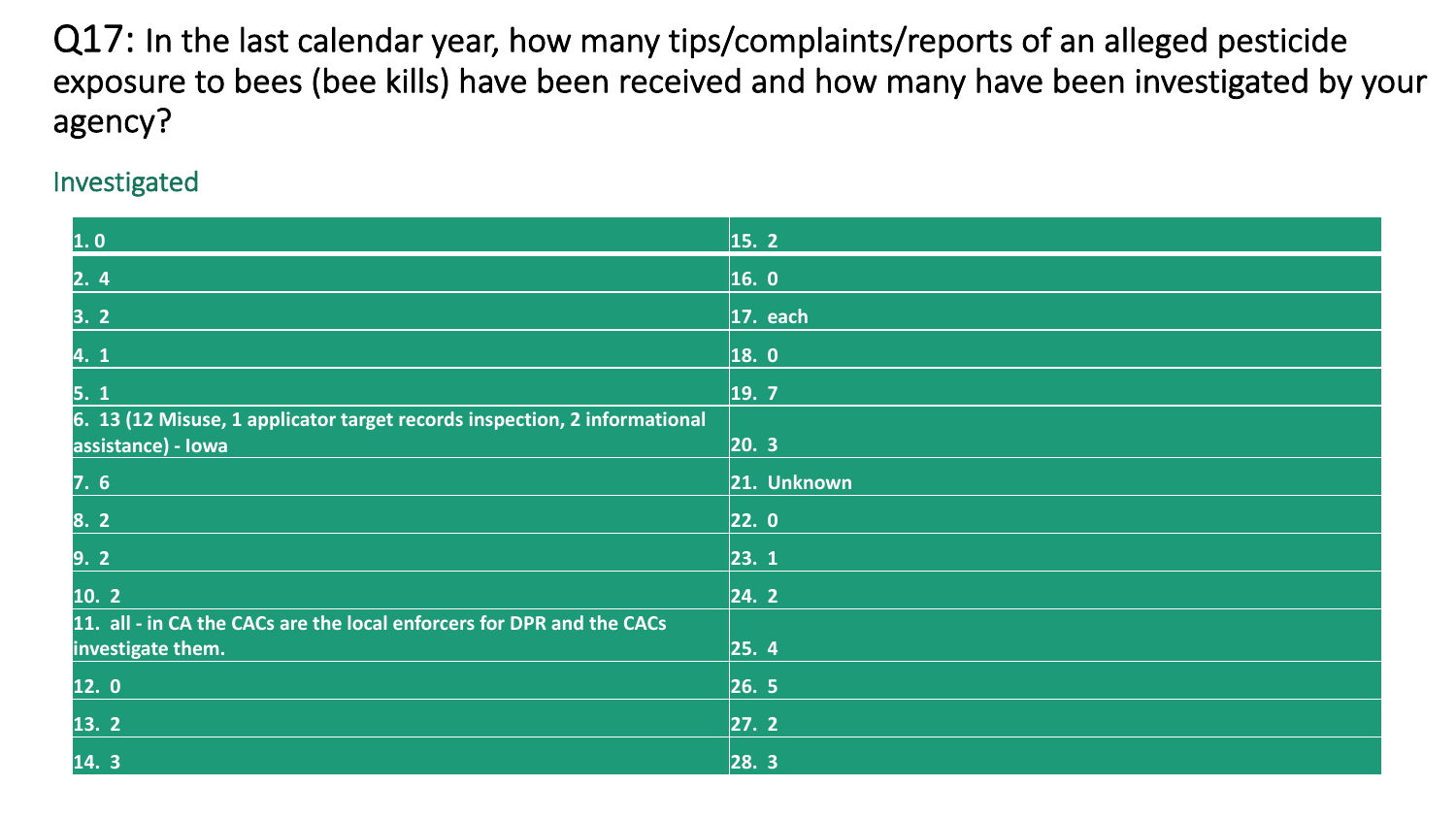Q17: In the last calendar year, how many tips/complaints/reports of an alleged pesticide exposure to bees (bee kills) have been received and how many have been investigated by your agency?

Investigated

| 1.0                                                                                             | $\vert$ 15. 2 |
|-------------------------------------------------------------------------------------------------|---------------|
| 2.4                                                                                             | $\vert$ 16. 0 |
| 3.2                                                                                             | $ 17.$ each   |
| 4. 1                                                                                            | 18.0          |
| 5.1                                                                                             | 19.7          |
| 6. 13 (12 Misuse, 1 applicator target records inspection, 2 informational<br>assistance) - Iowa | 20.3          |
| 7.6                                                                                             | 21. Unknown   |
| 8. 2                                                                                            | 22.0          |
| 9.2                                                                                             | 23.1          |
| 10.2                                                                                            | 24.2          |
| 11. all - in CA the CACs are the local enforcers for DPR and the CACs<br>investigate them.      | 25.4          |
| 12.0                                                                                            | 26.5          |
| 13. 2                                                                                           | 27.2          |
| 14.3                                                                                            | 28.3          |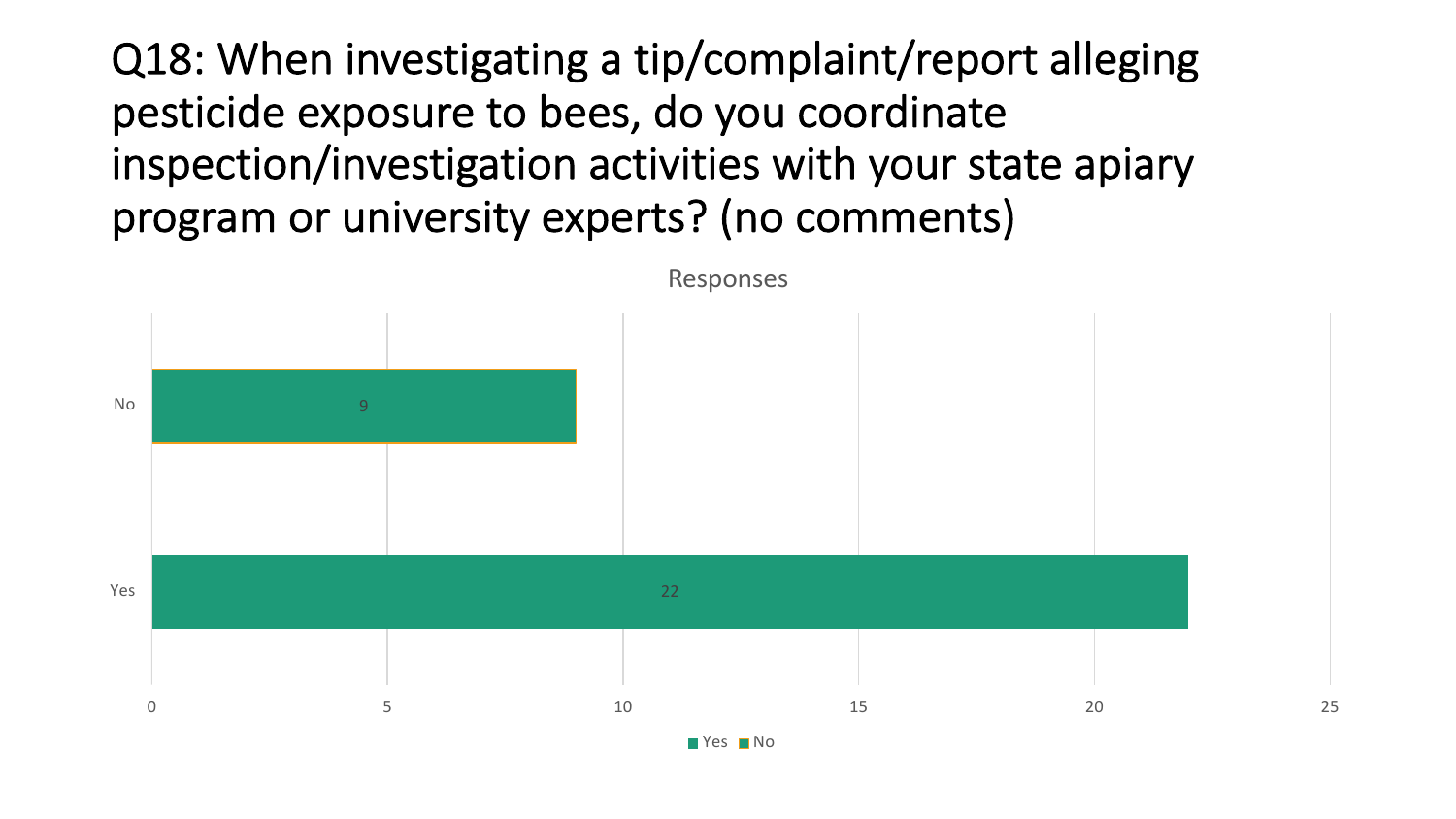Q18: When investigating a tip/complaint/report alleging pesticide exposure to bees, do you coordinate inspection/investigation activities with your state apiary program or university experts? (no comments)

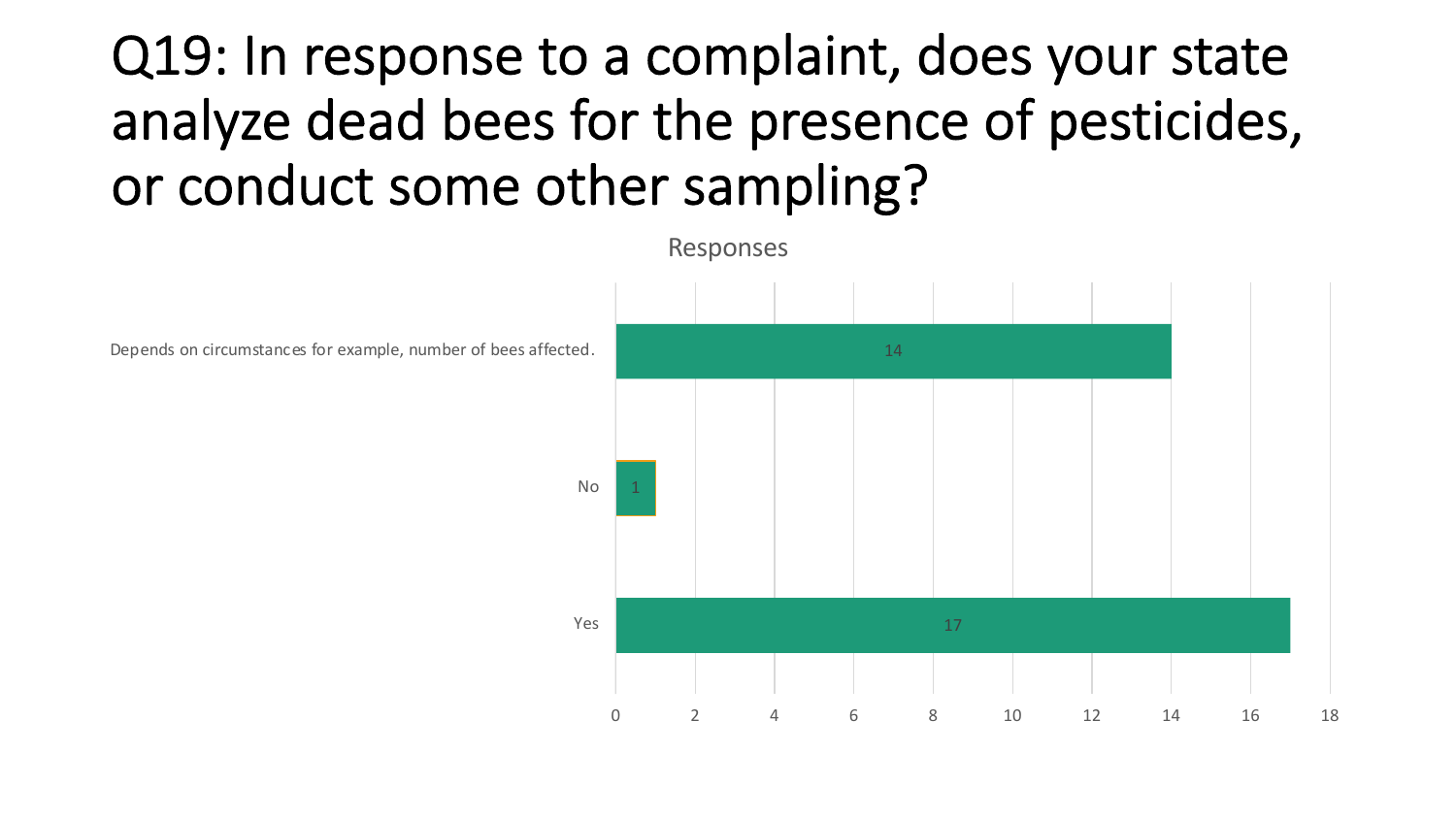# Q19: In response to a complaint, does your state analyze dead bees for the presence of pesticides, or conduct some other sampling?

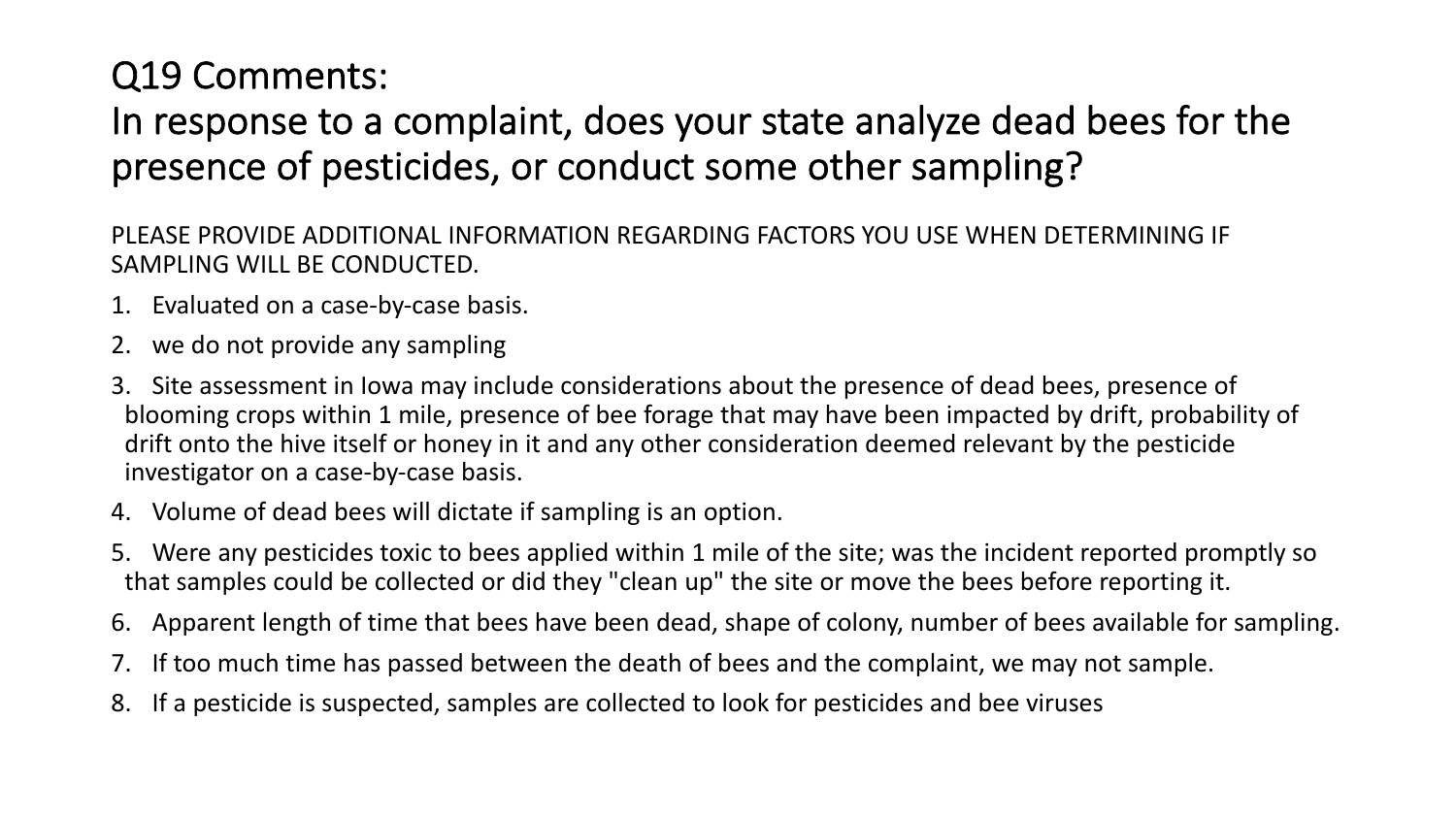### Q19 Comments:

### In response to a complaint, does your state analyze dead bees for the presence of pesticides, or conduct some other sampling?

PLEASE PROVIDE ADDITIONAL INFORMATION REGARDING FACTORS YOU USE WHEN DETERMINING IF SAMPLING WILL BE CONDUCTED.

- 1. Evaluated on a case-by-case basis.
- 2. we do not provide any sampling
- 3. Site assessment in Iowa may include considerations about the presence of dead bees, presence of blooming crops within 1 mile, presence of bee forage that may have been impacted by drift, probability of drift onto the hive itself or honey in it and any other consideration deemed relevant by the pesticide investigator on a case-by-case basis.
- 4. Volume of dead bees will dictate if sampling is an option.
- 5. Were any pesticides toxic to bees applied within 1 mile of the site; was the incident reported promptly so that samples could be collected or did they "clean up" the site or move the bees before reporting it.
- 6. Apparent length of time that bees have been dead, shape of colony, number of bees available for sampling.
- 7. If too much time has passed between the death of bees and the complaint, we may not sample.
- 8. If a pesticide is suspected, samples are collected to look for pesticides and bee viruses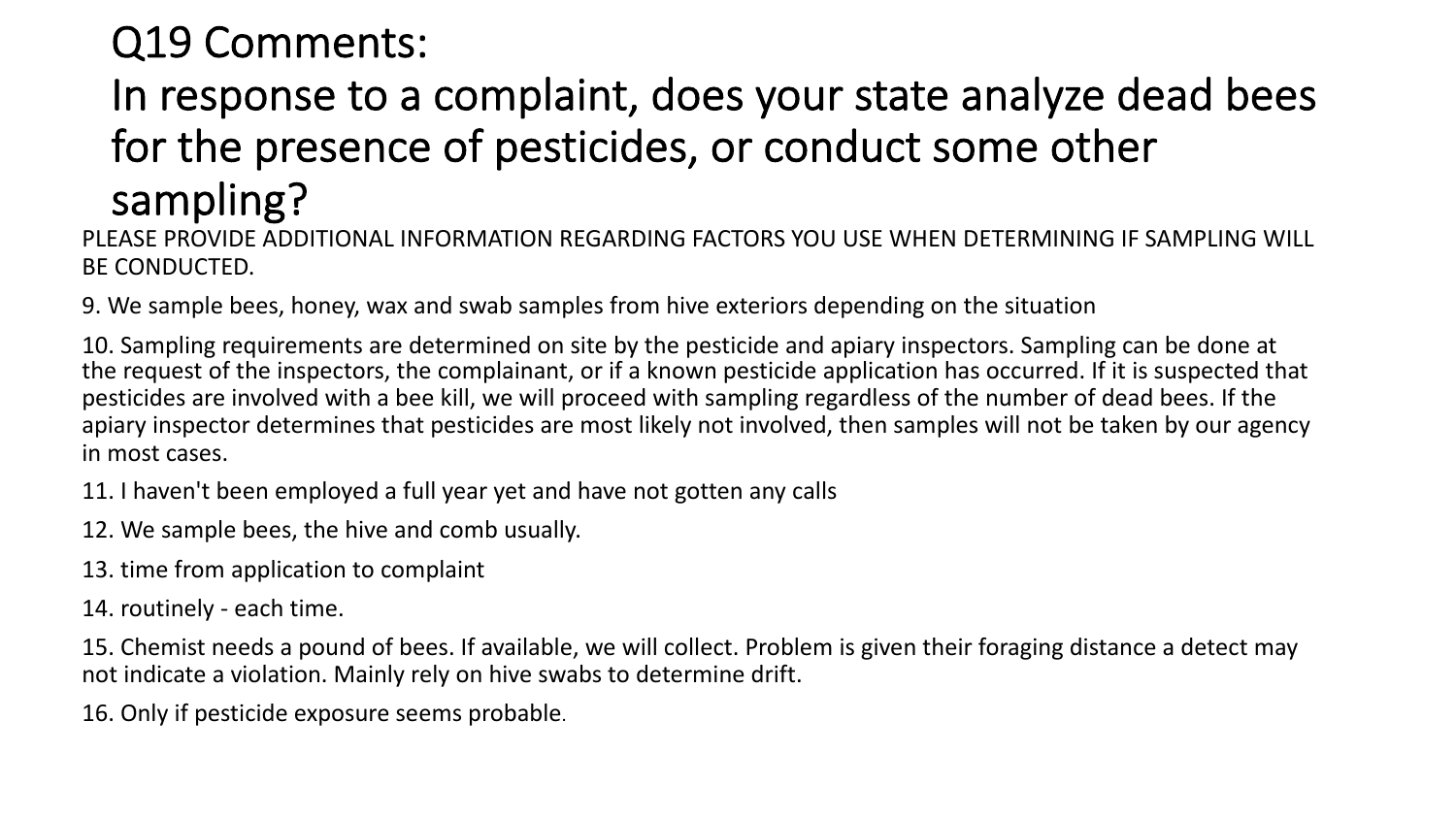## Q19 Comments:

## In response to a complaint, does your state analyze dead bees for the presence of pesticides, or conduct some other sampling?

PLEASE PROVIDE ADDITIONAL INFORMATION REGARDING FACTORS YOU USE WHEN DETERMINING IF SAMPLING WILL BE CONDUCTED.

9. We sample bees, honey, wax and swab samples from hive exteriors depending on the situation

10. Sampling requirements are determined on site by the pesticide and apiary inspectors. Sampling can be done at the request of the inspectors, the complainant, or if a known pesticide application has occurred. If it is suspected that pesticides are involved with a bee kill, we will proceed with sampling regardless of the number of dead bees. If the apiary inspector determines that pesticides are most likely not involved, then samples will not be taken by our agency in most cases.

- 11. I haven't been employed a full year yet and have not gotten any calls
- 12. We sample bees, the hive and comb usually.
- 13. time from application to complaint
- 14. routinely each time.
- 15. Chemist needs a pound of bees. If available, we will collect. Problem is given their foraging distance a detect may not indicate a violation. Mainly rely on hive swabs to determine drift.
- 16. Only if pesticide exposure seems probable.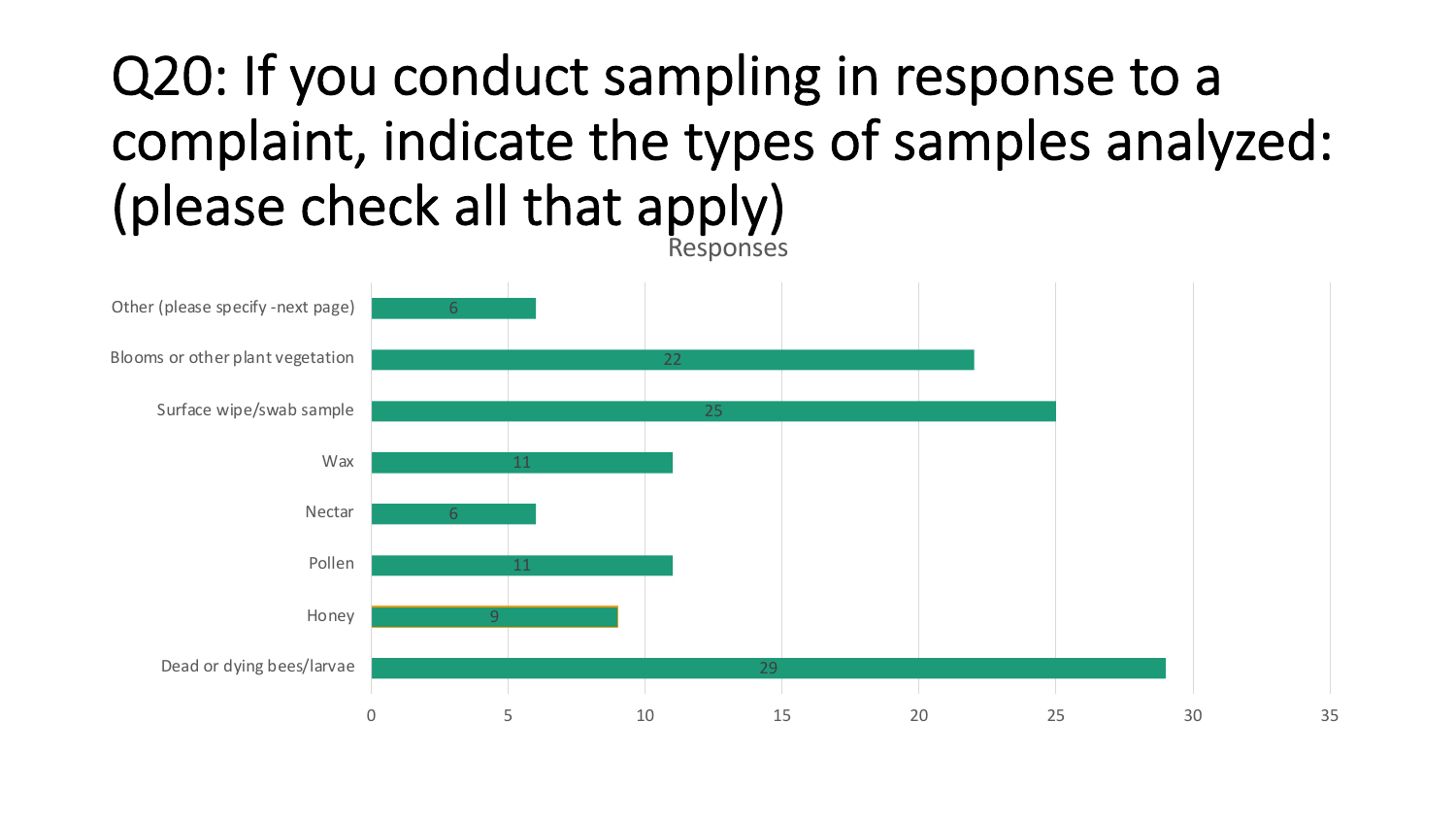## Q20: If you conduct sampling in response to a complaint, indicate the types of samples analyzed: (please check all that apply) Responses

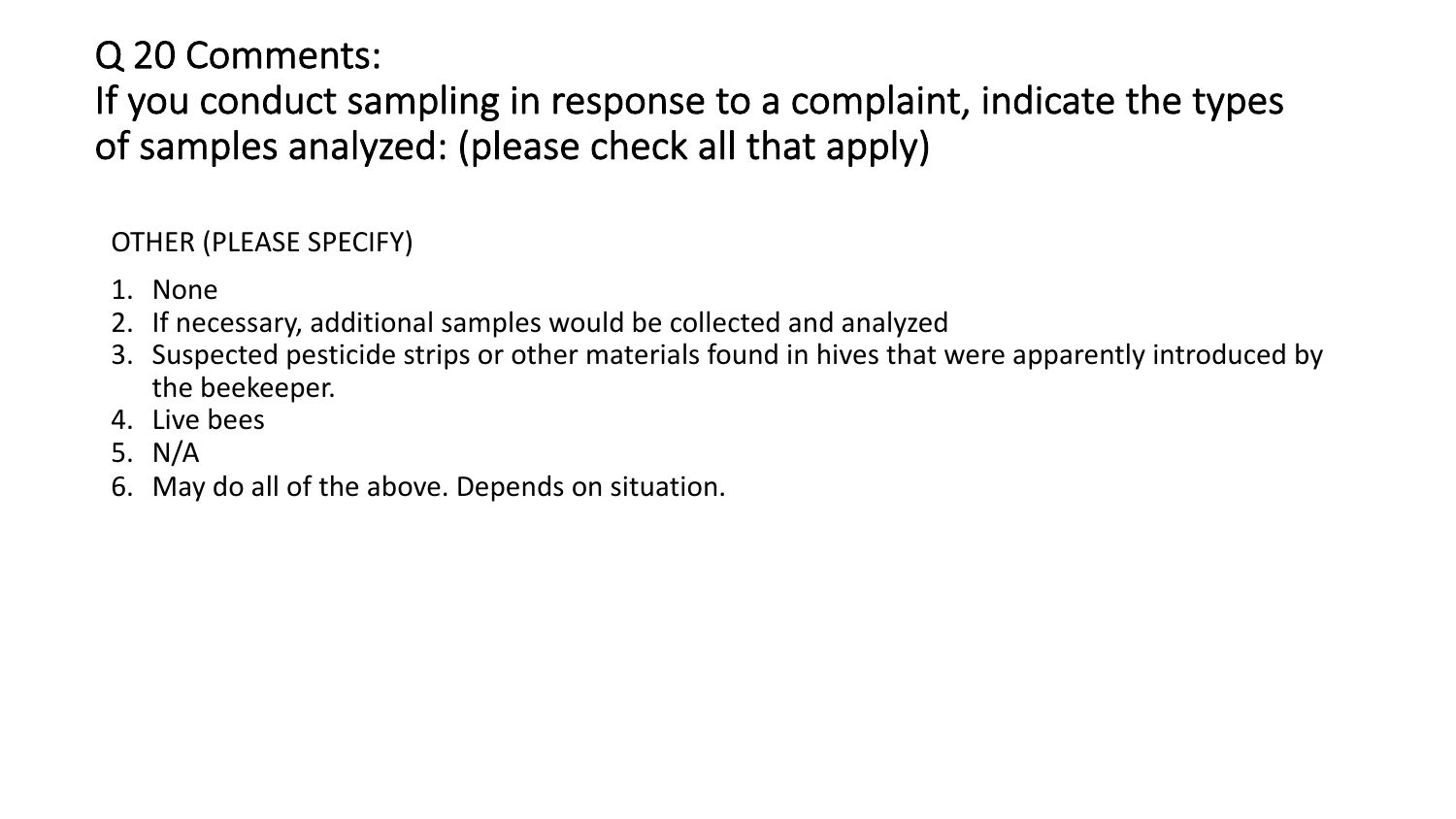### Q 20 Comments:

If you conduct sampling in response to a complaint, indicate the types of samples analyzed: (please check all that apply)

#### OTHER (PLEASE SPECIFY)

- 1. None
- 2. If necessary, additional samples would be collected and analyzed
- 3. Suspected pesticide strips or other materials found in hives that were apparently introduced by the beekeeper.
- 4. Live bees
- 5. N/A
- 6. May do all of the above. Depends on situation.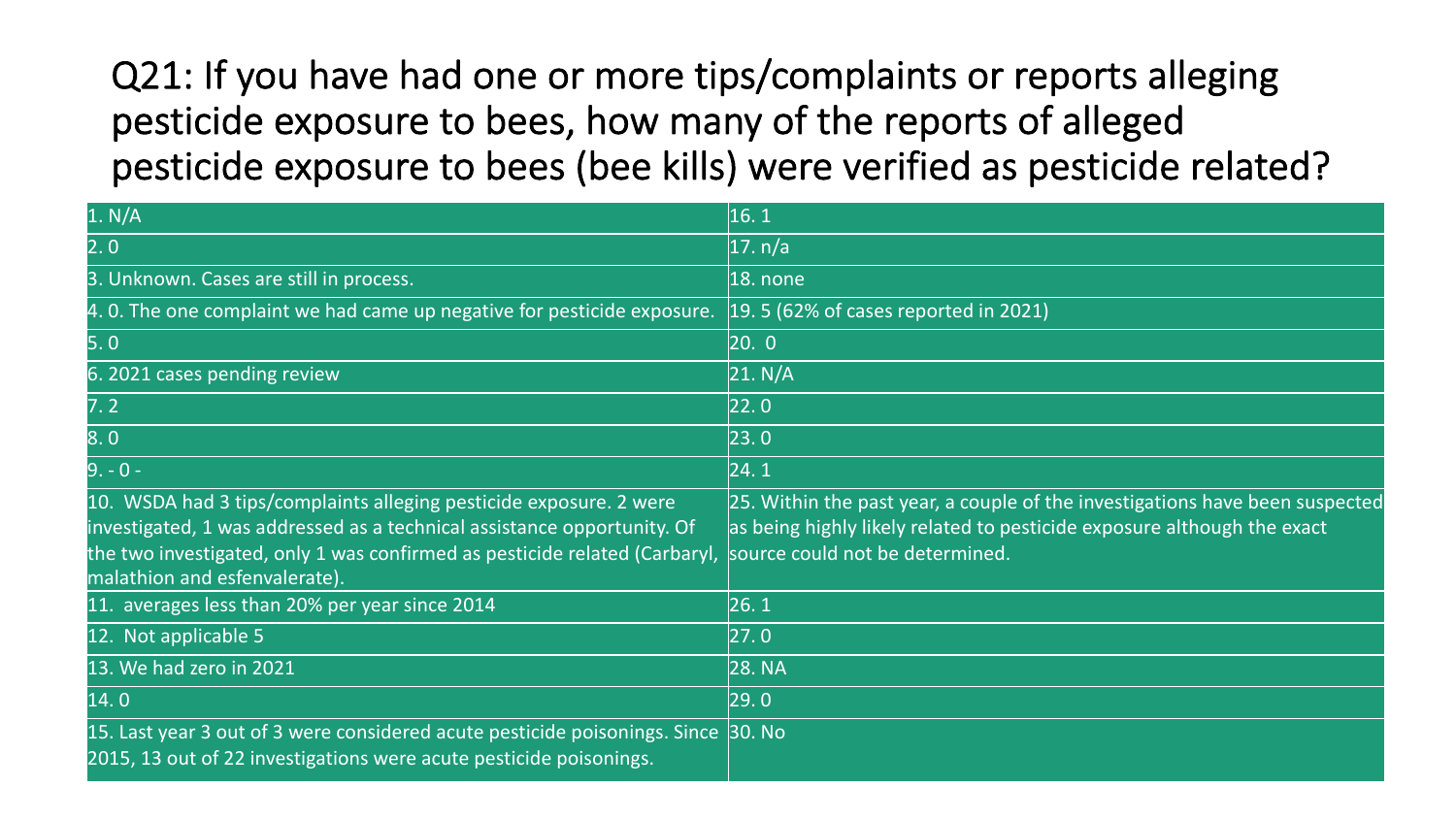Q21: If you have had one or more tips/complaints or reports alleging pesticide exposure to bees, how many of the reports of alleged pesticide exposure to bees (bee kills) were verified as pesticide related?

| 1. N/A                                                                                                                                                                                                                                                       | 16.1                                                                                                                                                                                       |
|--------------------------------------------------------------------------------------------------------------------------------------------------------------------------------------------------------------------------------------------------------------|--------------------------------------------------------------------------------------------------------------------------------------------------------------------------------------------|
| 2.0                                                                                                                                                                                                                                                          | 17. n/a                                                                                                                                                                                    |
| 3. Unknown. Cases are still in process.                                                                                                                                                                                                                      | $ 18.$ none                                                                                                                                                                                |
| 4. 0. The one complaint we had came up negative for pesticide exposure.                                                                                                                                                                                      | $\vert$ 19. 5 (62% of cases reported in 2021)                                                                                                                                              |
| 5.0                                                                                                                                                                                                                                                          | [20. 0]                                                                                                                                                                                    |
| 6. 2021 cases pending review                                                                                                                                                                                                                                 | 21. N/A                                                                                                                                                                                    |
| 7.2                                                                                                                                                                                                                                                          | 22.0                                                                                                                                                                                       |
| 8.0                                                                                                                                                                                                                                                          | [23.0]                                                                                                                                                                                     |
| $9. - 0 -$                                                                                                                                                                                                                                                   | 24.1                                                                                                                                                                                       |
| 10. WSDA had 3 tips/complaints alleging pesticide exposure. 2 were<br>investigated, 1 was addressed as a technical assistance opportunity. Of<br>the two investigated, only 1 was confirmed as pesticide related (Carbaryl,<br>malathion and esfenvalerate). | 25. Within the past year, a couple of the investigations have been suspected<br>as being highly likely related to pesticide exposure although the exact<br>source could not be determined. |
| 11. averages less than 20% per year since 2014                                                                                                                                                                                                               | 26.1                                                                                                                                                                                       |
| 12. Not applicable 5                                                                                                                                                                                                                                         | 27.0                                                                                                                                                                                       |
| 13. We had zero in 2021                                                                                                                                                                                                                                      | 28. NA                                                                                                                                                                                     |
| 14.0                                                                                                                                                                                                                                                         | [29.0]                                                                                                                                                                                     |
| 15. Last year 3 out of 3 were considered acute pesticide poisonings. Since 30. No<br>2015, 13 out of 22 investigations were acute pesticide poisonings.                                                                                                      |                                                                                                                                                                                            |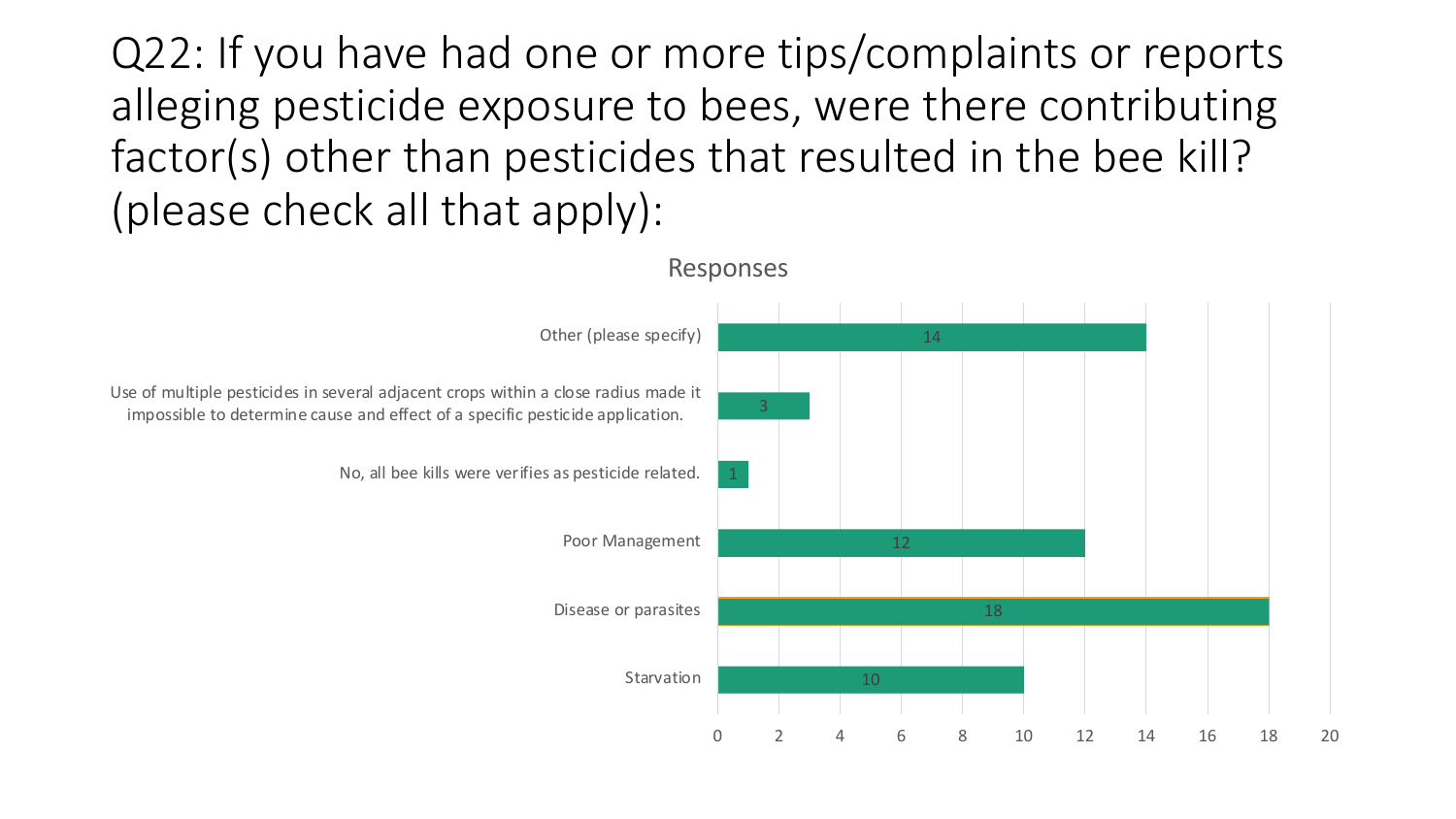Q22: If you have had one or more tips/complaints or reports alleging pesticide exposure to bees, were there contributing factor(s) other than pesticides that resulted in the bee kill? (please check all that apply):

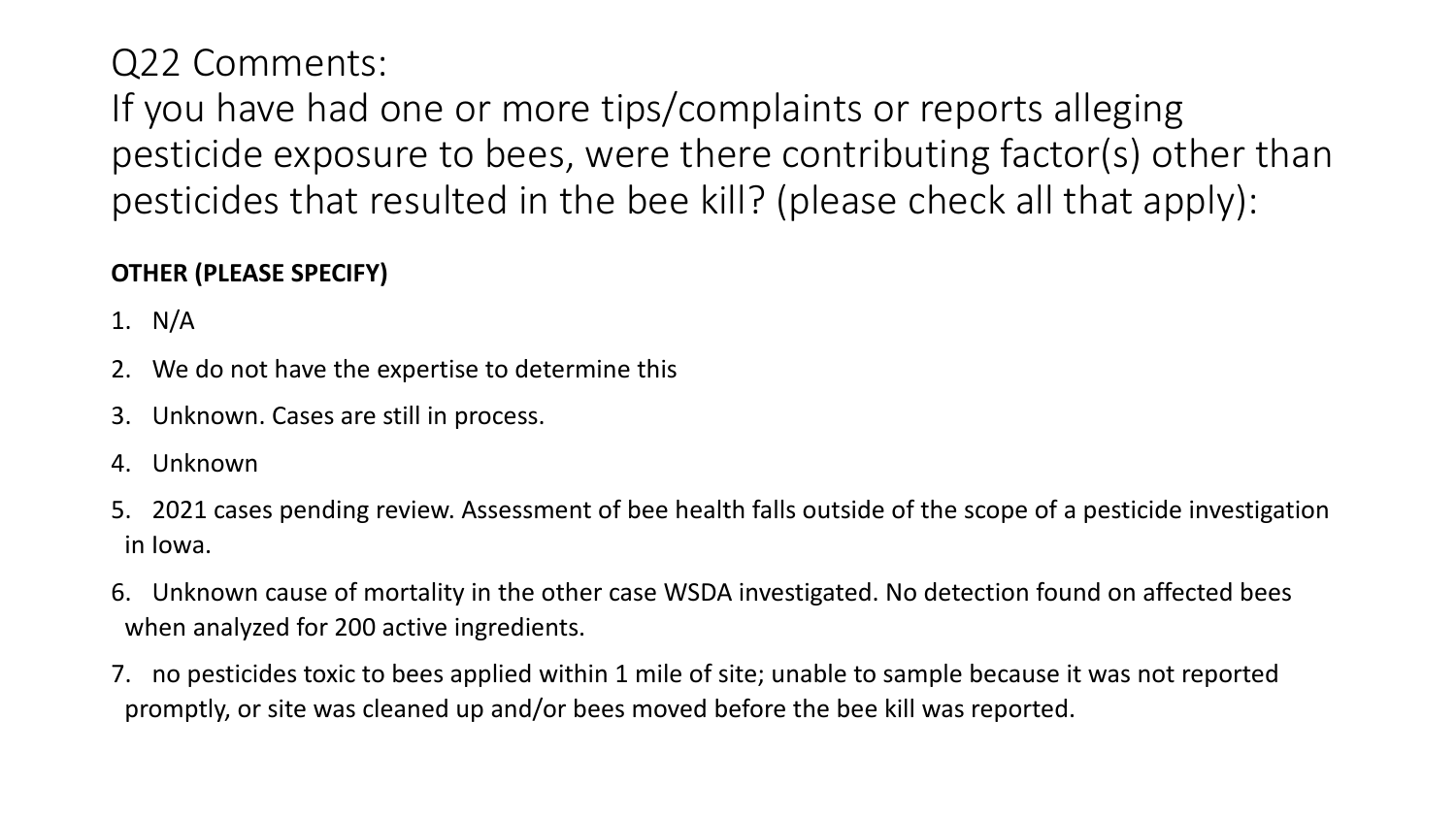Q22 Comments:

If you have had one or more tips/complaints or reports alleging pesticide exposure to bees, were there contributing factor(s) other than pesticides that resulted in the bee kill? (please check all that apply):

#### **OTHER (PLEASE SPECIFY)**

1. N/A

- 2. We do not have the expertise to determine this
- 3. Unknown. Cases are still in process.
- 4. Unknown
- 5. 2021 cases pending review. Assessment of bee health falls outside of the scope of a pesticide investigation in Iowa.
- 6. Unknown cause of mortality in the other case WSDA investigated. No detection found on affected bees when analyzed for 200 active ingredients.
- 7. no pesticides toxic to bees applied within 1 mile of site; unable to sample because it was not reported promptly, or site was cleaned up and/or bees moved before the bee kill was reported.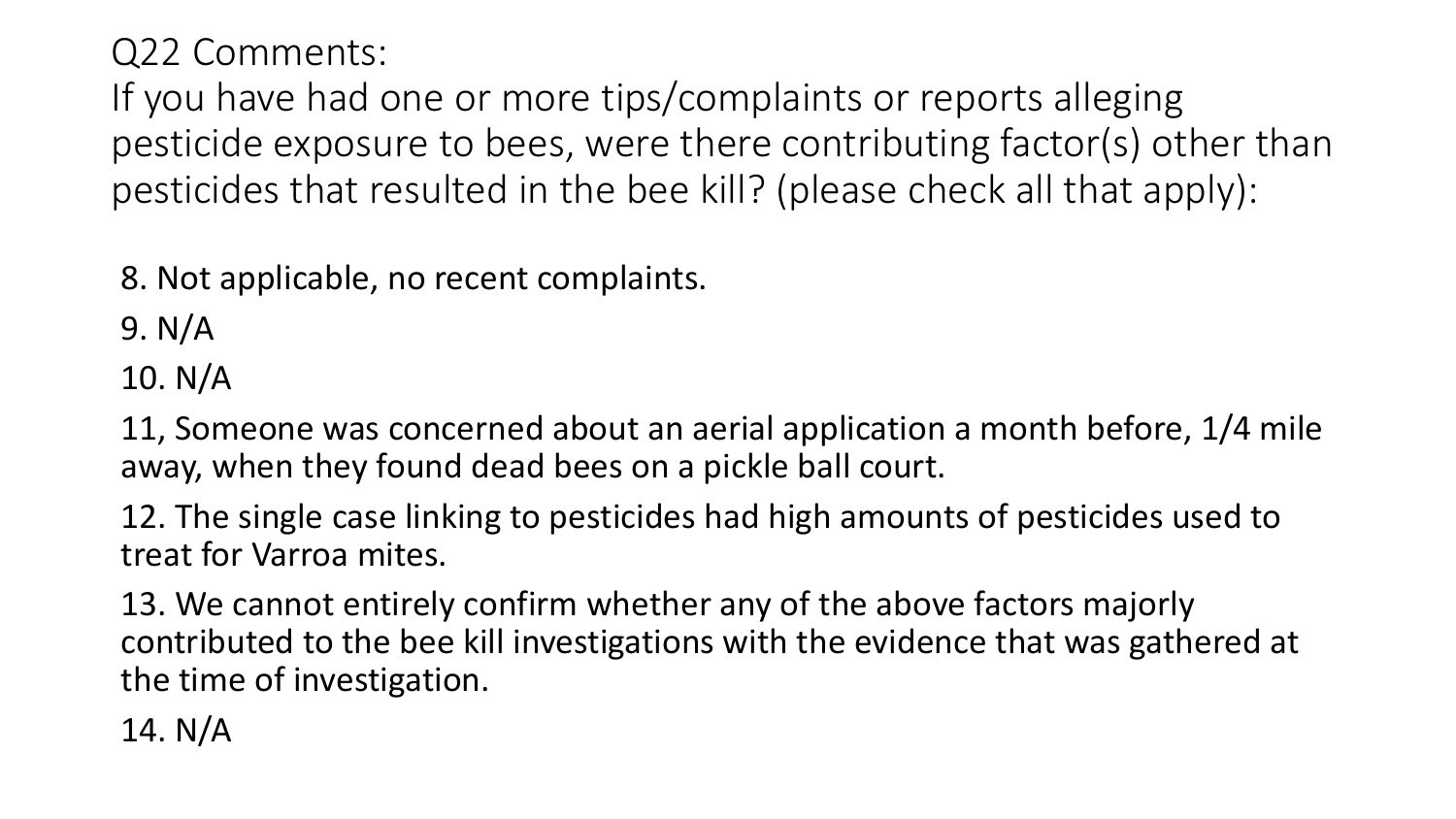Q22 Comments:

If you have had one or more tips/complaints or reports alleging pesticide exposure to bees, were there contributing factor(s) other than pesticides that resulted in the bee kill? (please check all that apply):

8. Not applicable, no recent complaints.

9. N/A

10. N/A

11, Someone was concerned about an aerial application a month before, 1/4 mile away, when they found dead bees on a pickle ball court.

12. The single case linking to pesticides had high amounts of pesticides used to treat for Varroa mites.

13. We cannot entirely confirm whether any of the above factors majorly contributed to the bee kill investigations with the evidence that was gathered at the time of investigation.

14. N/A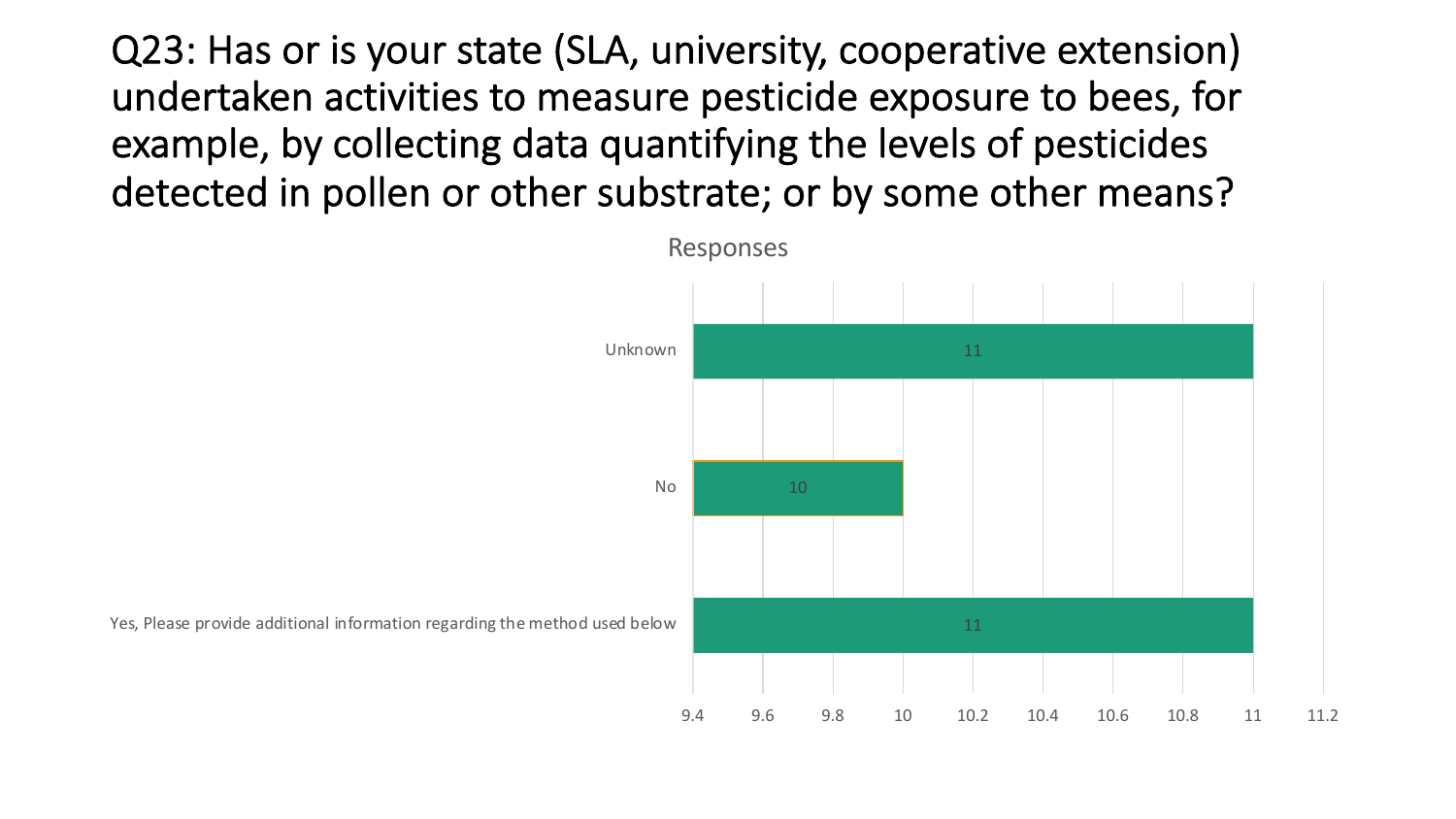Q23: Has or is your state (SLA, university, cooperative extension) undertaken activities to measure pesticide exposure to bees, for example, by collecting data quantifying the levels of pesticides detected in pollen or other substrate; or by some other means?



Yes, Please provide additional information regarding the method used below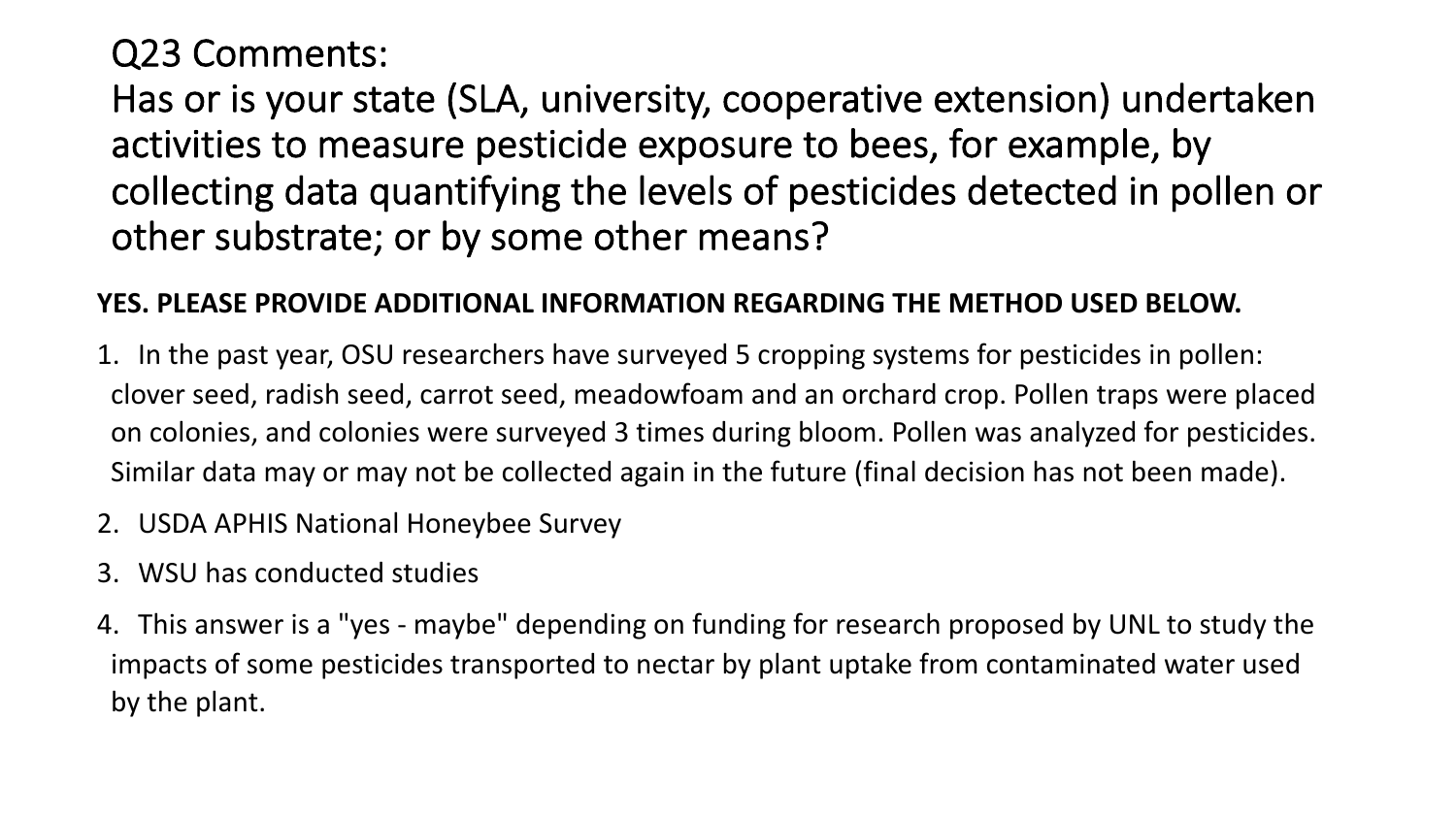### Q23 Comments:

Has or is your state (SLA, university, cooperative extension) undertaken activities to measure pesticide exposure to bees, for example, by collecting data quantifying the levels of pesticides detected in pollen or other substrate; or by some other means?

#### **YES. PLEASE PROVIDE ADDITIONAL INFORMATION REGARDING THE METHOD USED BELOW.**

- 1. In the past year, OSU researchers have surveyed 5 cropping systems for pesticides in pollen: clover seed, radish seed, carrot seed, meadowfoam and an orchard crop. Pollen traps were placed on colonies, and colonies were surveyed 3 times during bloom. Pollen was analyzed for pesticides. Similar data may or may not be collected again in the future (final decision has not been made).
- 2. USDA APHIS National Honeybee Survey
- 3. WSU has conducted studies
- 4. This answer is a "yes maybe" depending on funding for research proposed by UNL to study the impacts of some pesticides transported to nectar by plant uptake from contaminated water used by the plant.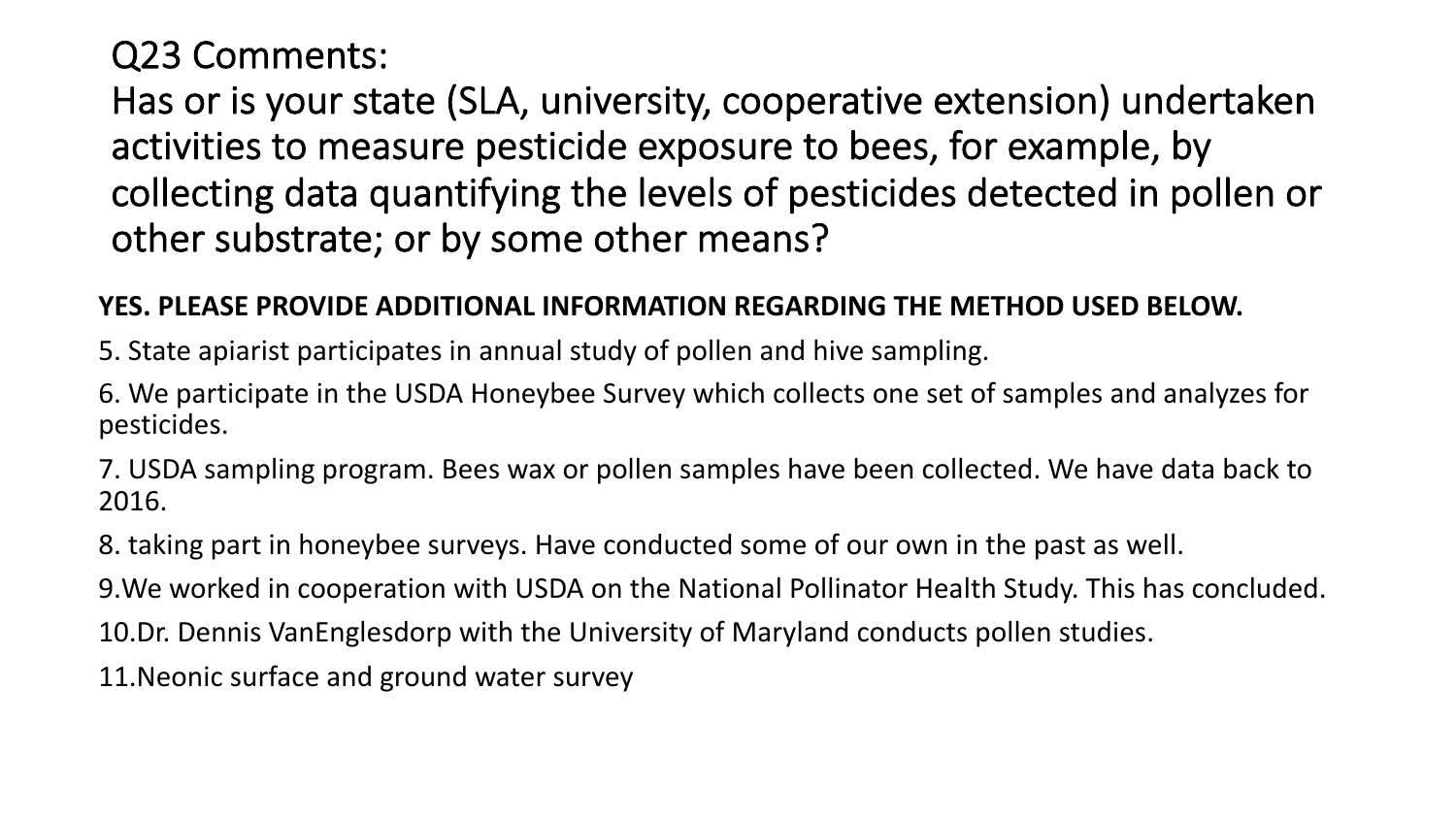### Q23 Comments:

Has or is your state (SLA, university, cooperative extension) undertaken activities to measure pesticide exposure to bees, for example, by collecting data quantifying the levels of pesticides detected in pollen or other substrate; or by some other means?

#### **YES. PLEASE PROVIDE ADDITIONAL INFORMATION REGARDING THE METHOD USED BELOW.**

5. State apiarist participates in annual study of pollen and hive sampling.

6. We participate in the USDA Honeybee Survey which collects one set of samples and analyzes for pesticides.

7. USDA sampling program. Bees wax or pollen samples have been collected. We have data back to 2016.

8. taking part in honeybee surveys. Have conducted some of our own in the past as well.

9.We worked in cooperation with USDA on the National Pollinator Health Study. This has concluded.

10.Dr. Dennis VanEnglesdorp with the University of Maryland conducts pollen studies.

11.Neonic surface and ground water survey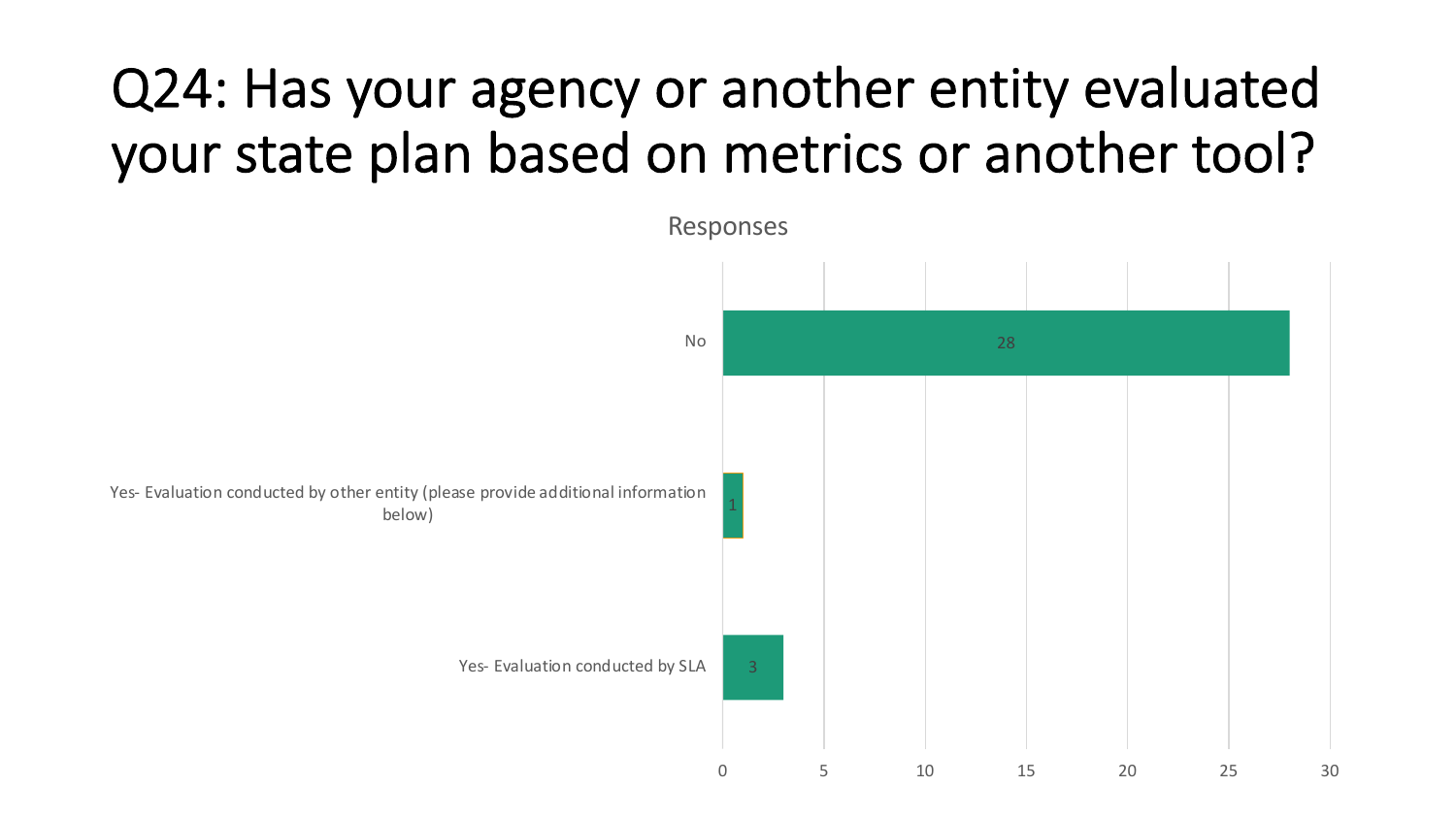# Q24: Has your agency or another entity evaluated your state plan based on metrics or another tool?

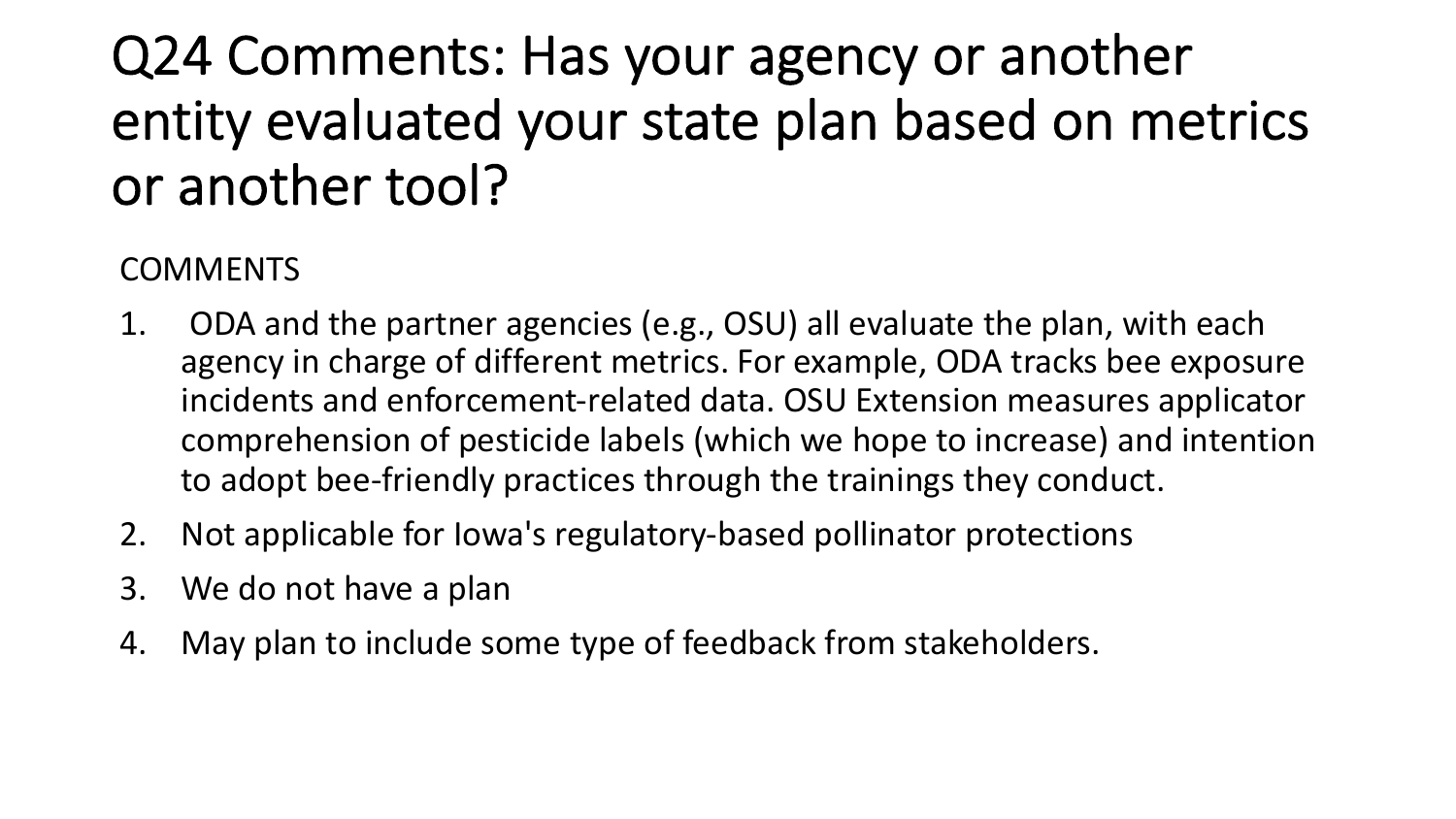# Q24 Comments: Has your agency or another entity evaluated your state plan based on metrics or another tool?

#### COMMENTS

- 1. ODA and the partner agencies (e.g., OSU) all evaluate the plan, with each agency in charge of different metrics. For example, ODA tracks bee exposure incidents and enforcement-related data. OSU Extension measures applicator comprehension of pesticide labels (which we hope to increase) and intention to adopt bee-friendly practices through the trainings they conduct.
- 2. Not applicable for Iowa's regulatory-based pollinator protections
- 3. We do not have a plan
- 4. May plan to include some type of feedback from stakeholders.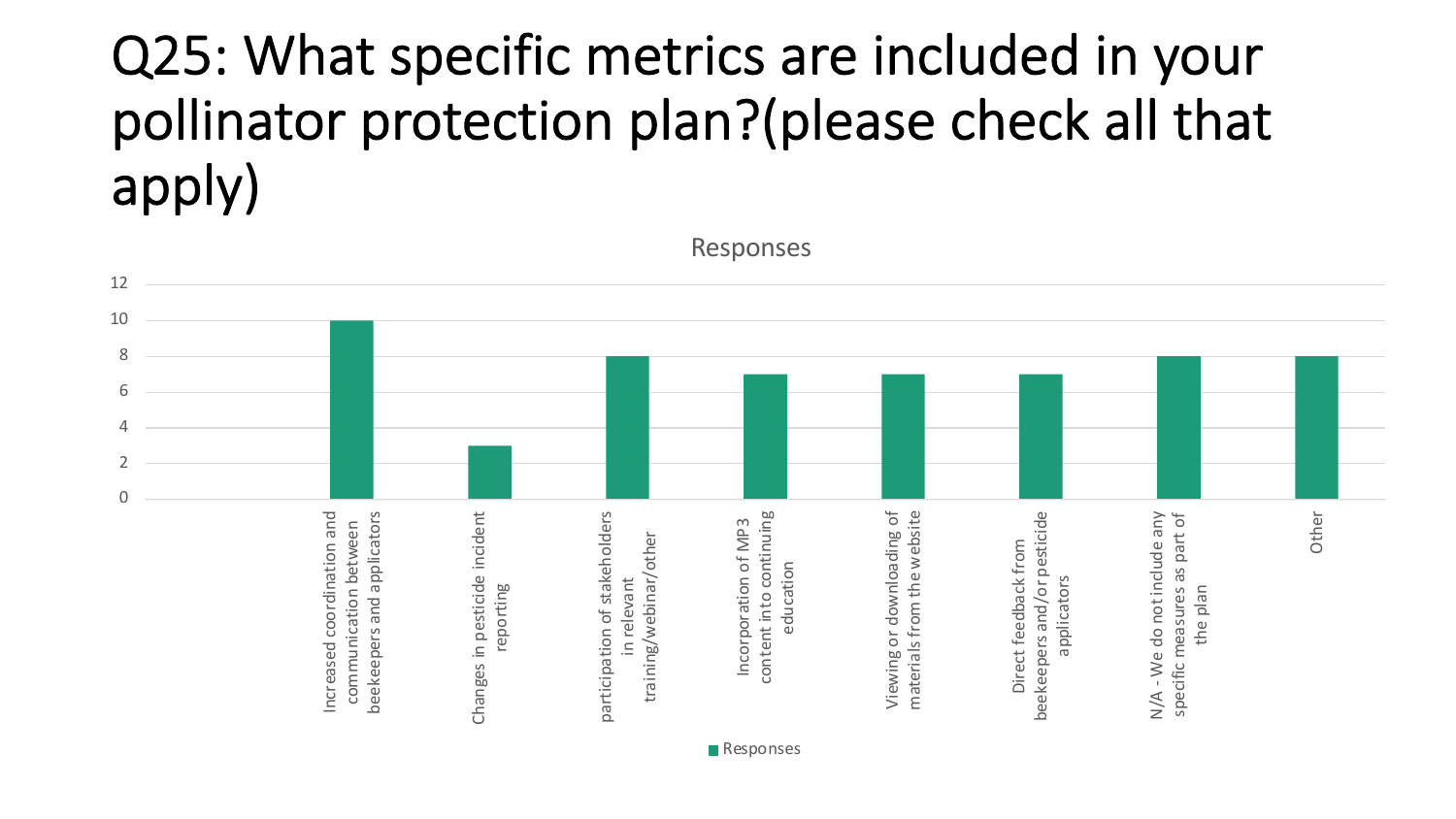# Q25: What specific metrics are included in your pollinator protection plan?(please check all that apply)

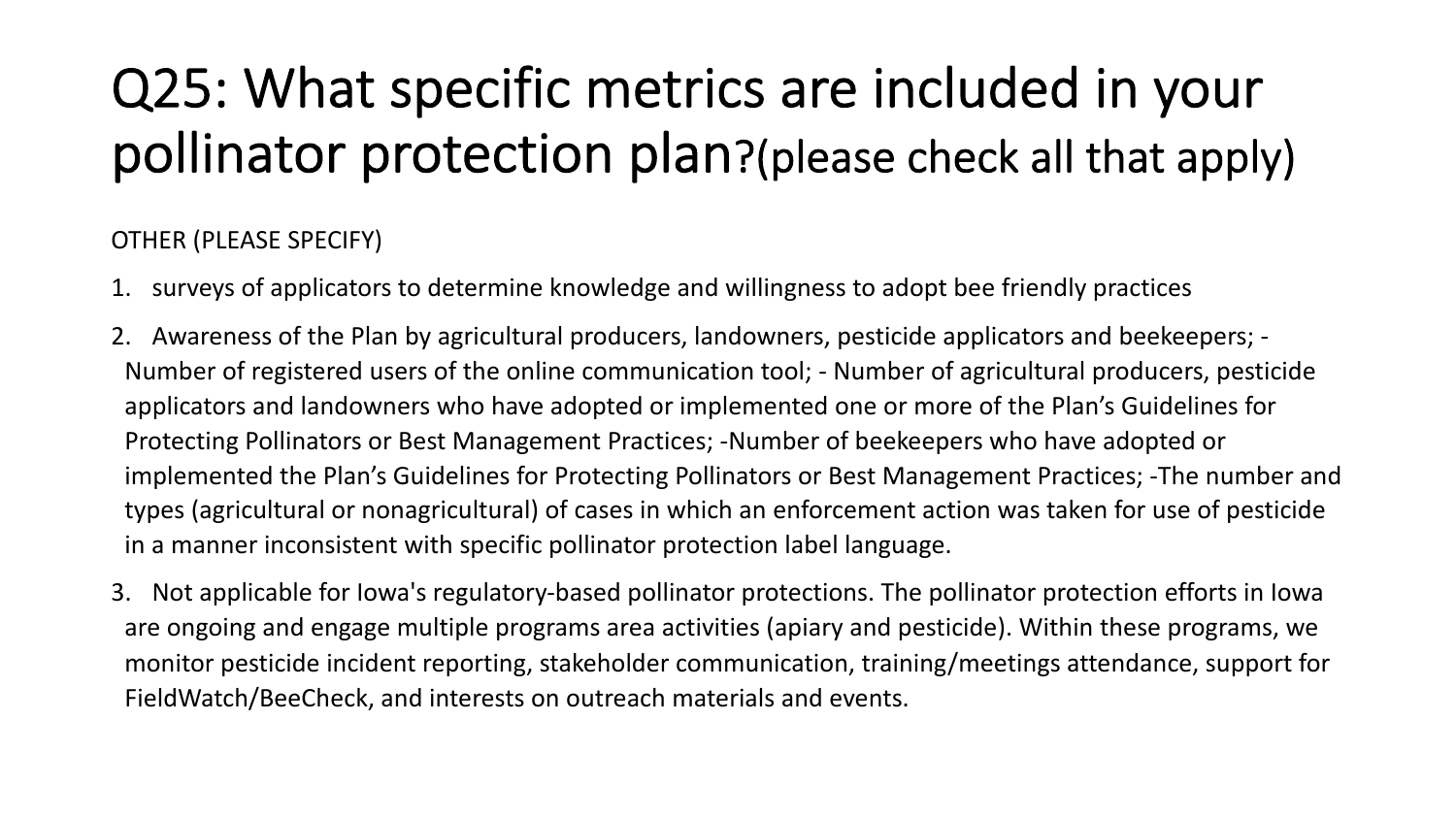# Q25: What specific metrics are included in your pollinator protection plan?(please check all that apply)

#### OTHER (PLEASE SPECIFY)

- 1. surveys of applicators to determine knowledge and willingness to adopt bee friendly practices
- 2. Awareness of the Plan by agricultural producers, landowners, pesticide applicators and beekeepers; Number of registered users of the online communication tool; - Number of agricultural producers, pesticide applicators and landowners who have adopted or implemented one or more of the Plan's Guidelines for Protecting Pollinators or Best Management Practices; -Number of beekeepers who have adopted or implemented the Plan's Guidelines for Protecting Pollinators or Best Management Practices; -The number and types (agricultural or nonagricultural) of cases in which an enforcement action was taken for use of pesticide in a manner inconsistent with specific pollinator protection label language.
- 3. Not applicable for Iowa's regulatory-based pollinator protections. The pollinator protection efforts in Iowa are ongoing and engage multiple programs area activities (apiary and pesticide). Within these programs, we monitor pesticide incident reporting, stakeholder communication, training/meetings attendance, support for FieldWatch/BeeCheck, and interests on outreach materials and events.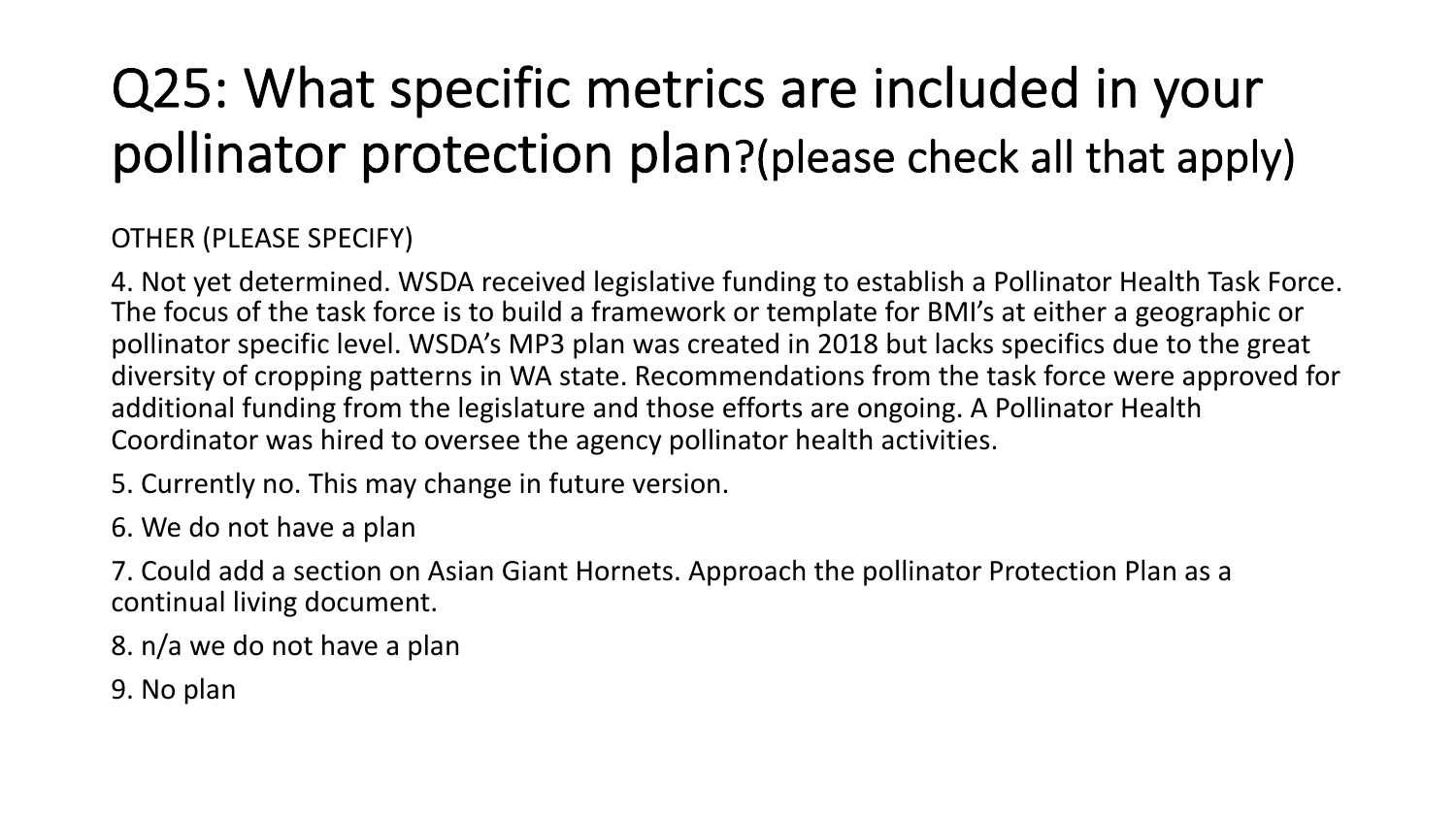# Q25: What specific metrics are included in your pollinator protection plan?(please check all that apply)

OTHER (PLEASE SPECIFY)

4. Not yet determined. WSDA received legislative funding to establish a Pollinator Health Task Force. The focus of the task force is to build a framework or template for BMI's at either a geographic or pollinator specific level. WSDA's MP3 plan was created in 2018 but lacks specifics due to the great diversity of cropping patterns in WA state. Recommendations from the task force were approved for additional funding from the legislature and those efforts are ongoing. A Pollinator Health Coordinator was hired to oversee the agency pollinator health activities.

5. Currently no. This may change in future version.

6. We do not have a plan

7. Could add a section on Asian Giant Hornets. Approach the pollinator Protection Plan as a continual living document.

8. n/a we do not have a plan

9. No plan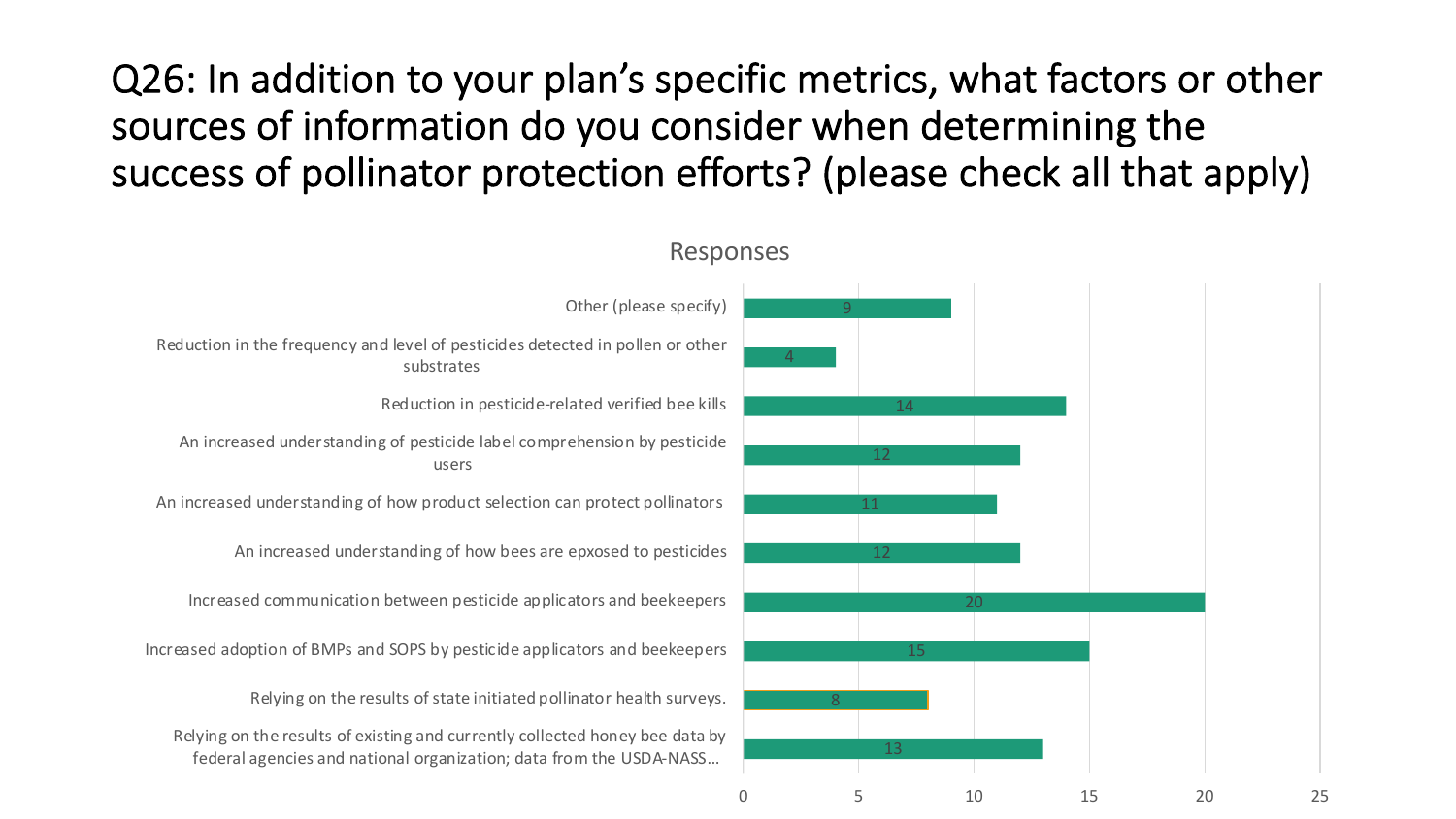Q26: In addition to your plan's specific metrics, what factors or other sources of information do you consider when determining the success of pollinator protection efforts? (please check all that apply)

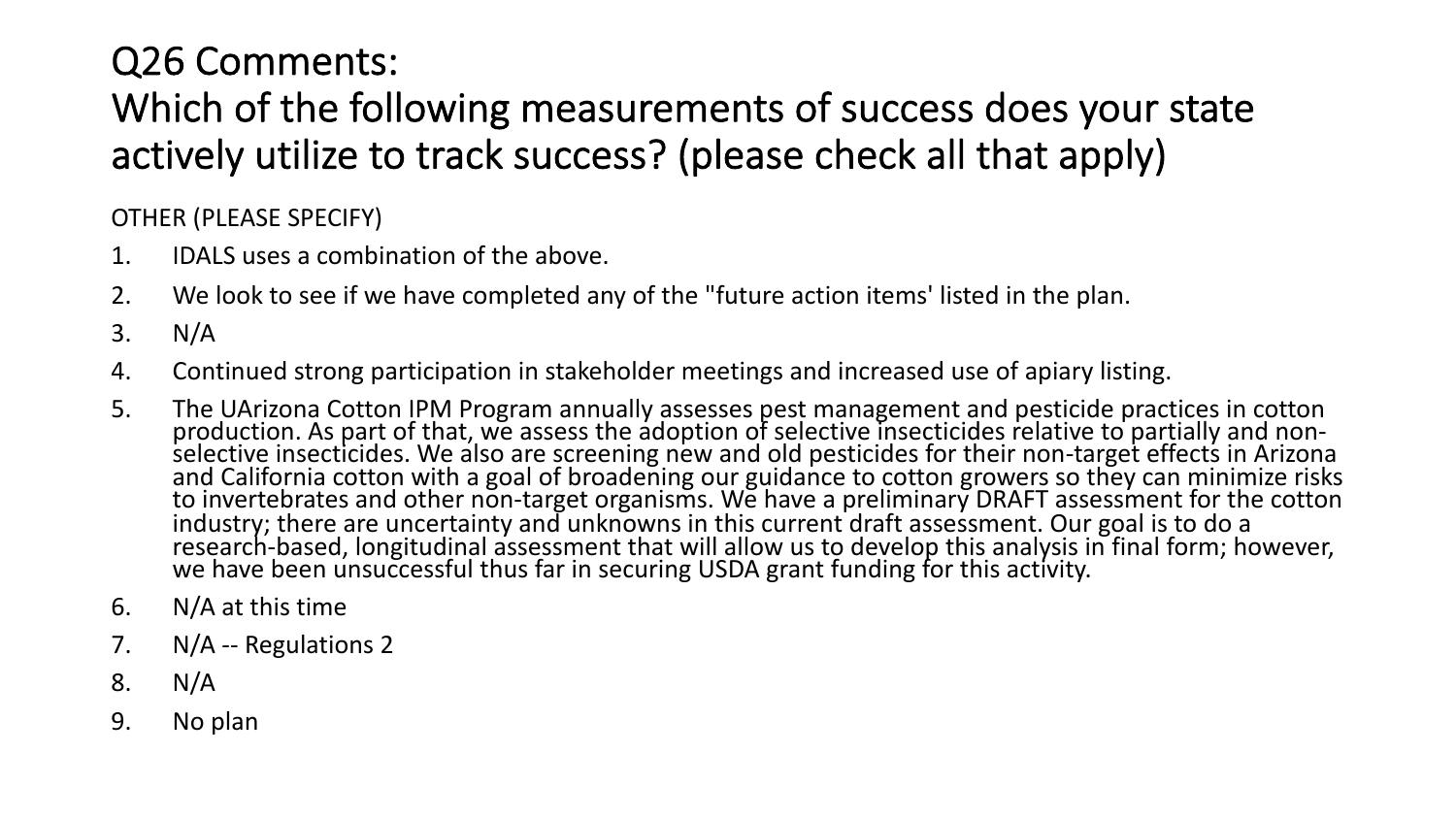### Q26 Comments: Which of the following measurements of success does your state actively utilize to track success? (please check all that apply)

OTHER (PLEASE SPECIFY)

- 1. IDALS uses a combination of the above.
- 2. We look to see if we have completed any of the "future action items' listed in the plan.
- 3. N/A
- 4. Continued strong participation in stakeholder meetings and increased use of apiary listing.
- 5. The UArizona Cotton IPM Program annually assesses pest management and pesticide practices in cotton<br>production. As part of that, we assess the adoption of selective insecticides relative to partially and non-<br>selective to invertebrates and other non-target organisms. We have a preliminary DRAFT assessment for the cotton industry; there are uncertainty and unknowns in this current draft assessment. Our goal is to do a research-based, longitudinal assessment that will allow us to develop this analysis in final form; however,<br>we have been unsuccessful thus far in securing USDA grant funding for this activity.
- 6. N/A at this time
- 7. N/A -- Regulations 2
- 8. N/A
- 9. No plan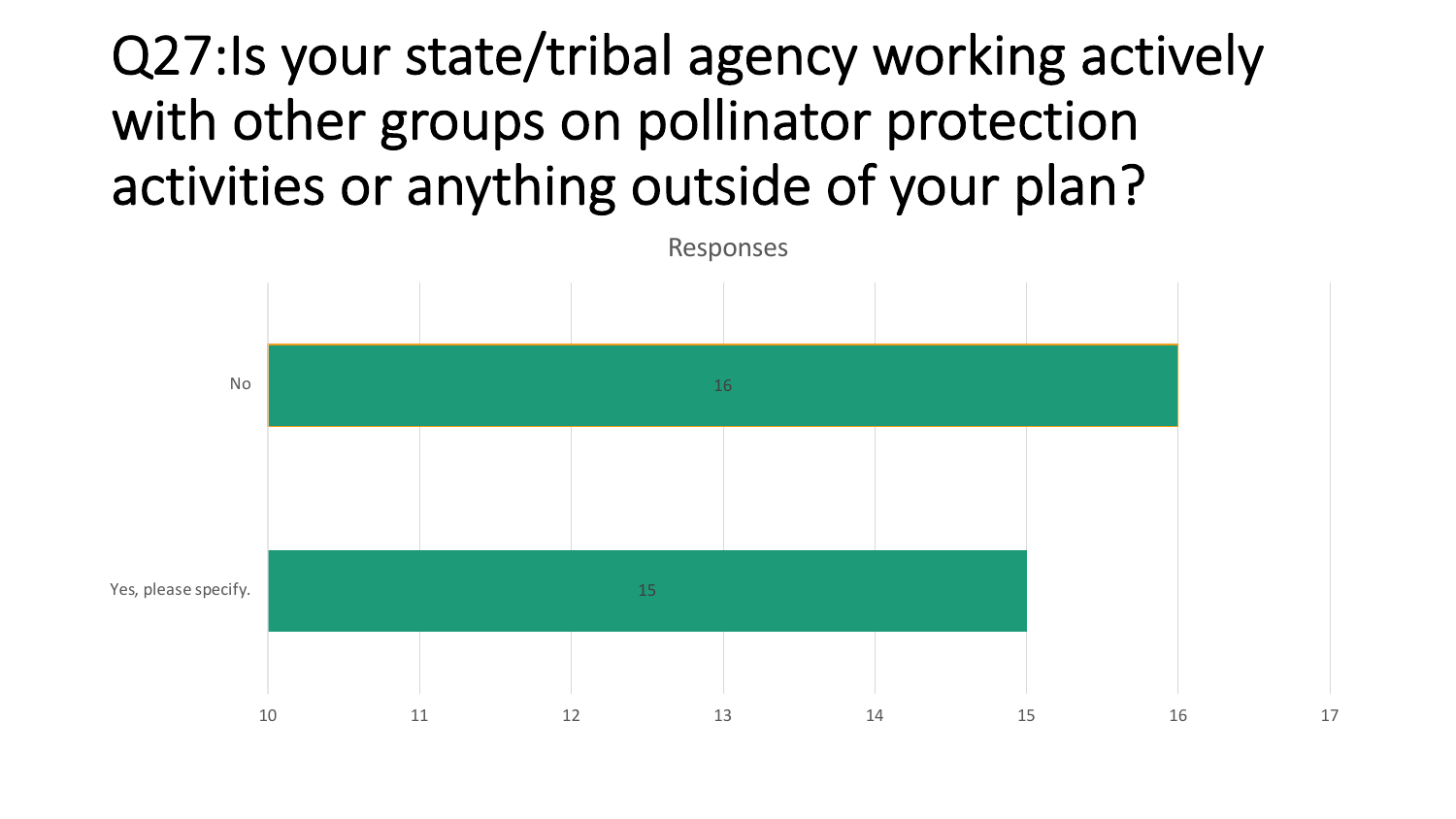# Q27:Is your state/tribal agency working actively with other groups on pollinator protection activities or anything outside of your plan?

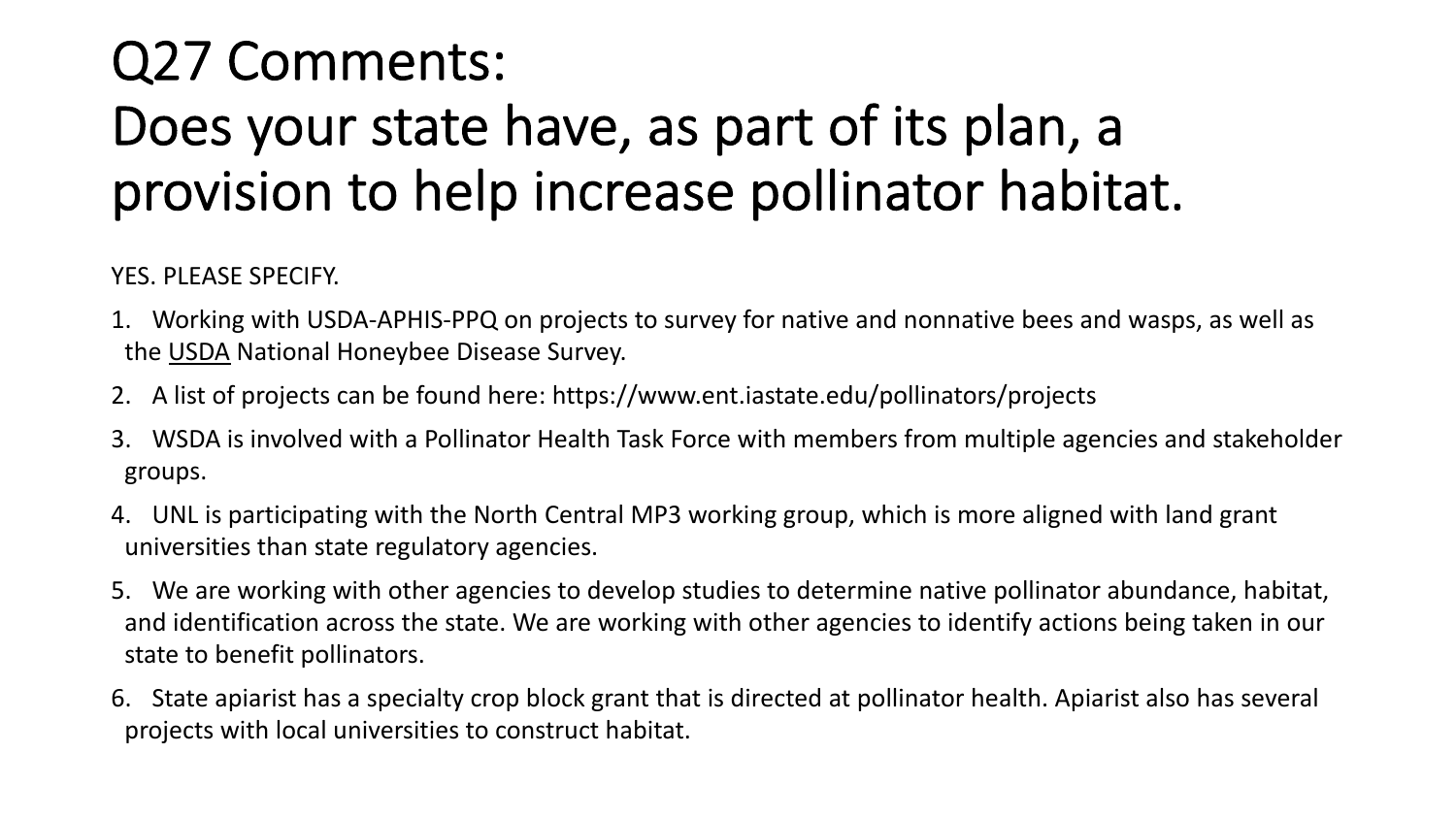# Q27 Comments: Does your state have, as part of its plan, a provision to help increase pollinator habitat.

YES. PLEASE SPECIFY.

- 1. Working with USDA-APHIS-PPQ on projects to survey for native and nonnative bees and wasps, as well as the USDA National Honeybee Disease Survey.
- 2. A list of projects can be found here: https://www.ent.iastate.edu/pollinators/projects
- 3. WSDA is involved with a Pollinator Health Task Force with members from multiple agencies and stakeholder groups.
- 4. UNL is participating with the North Central MP3 working group, which is more aligned with land grant universities than state regulatory agencies.
- 5. We are working with other agencies to develop studies to determine native pollinator abundance, habitat, and identification across the state. We are working with other agencies to identify actions being taken in our state to benefit pollinators.
- 6. State apiarist has a specialty crop block grant that is directed at pollinator health. Apiarist also has several projects with local universities to construct habitat.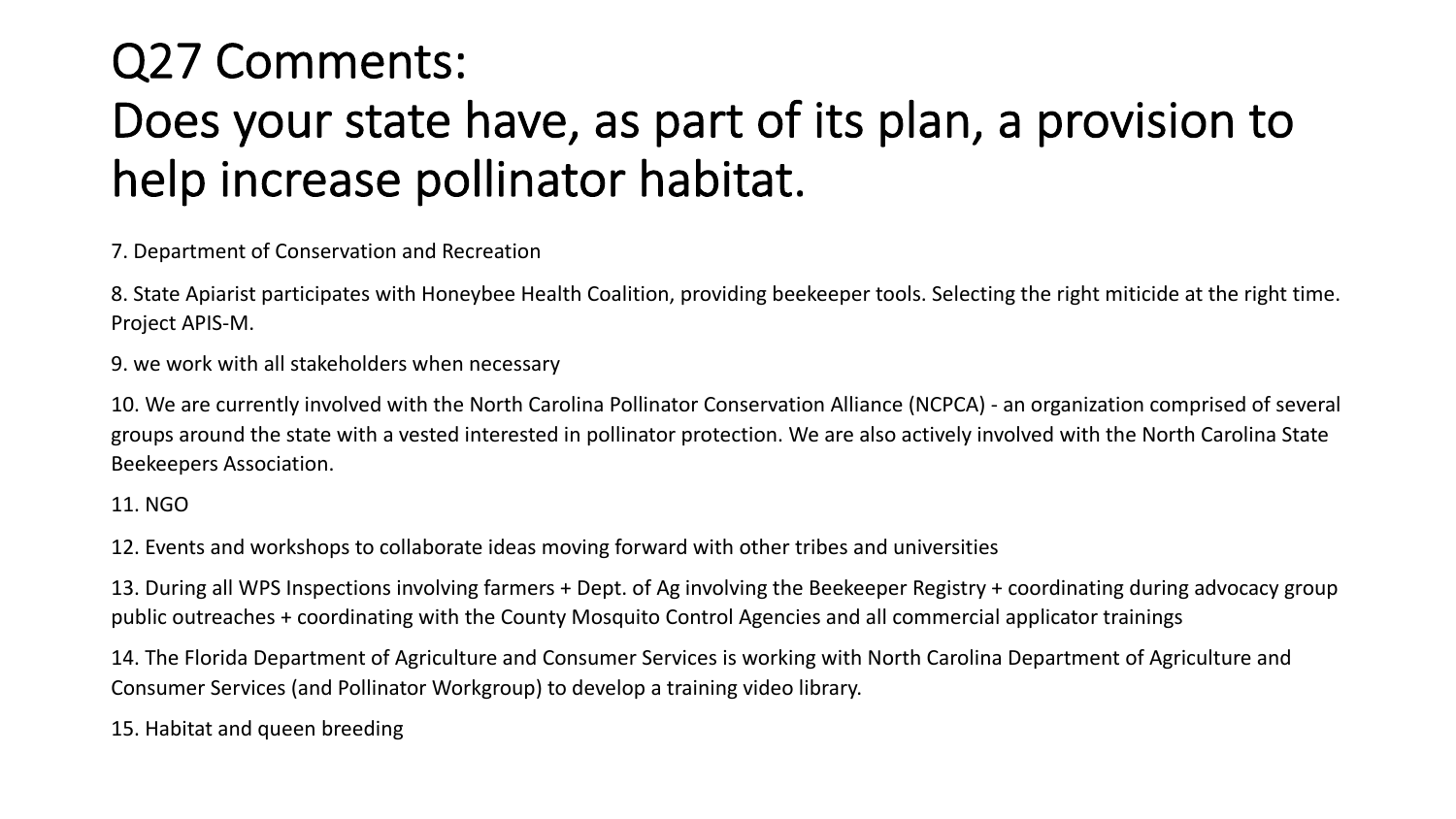## Q27 Comments: Does your state have, as part of its plan, a provision to help increase pollinator habitat.

7. Department of Conservation and Recreation

8. State Apiarist participates with Honeybee Health Coalition, providing beekeeper tools. Selecting the right miticide at the right time. Project APIS-M.

9. we work with all stakeholders when necessary

10. We are currently involved with the North Carolina Pollinator Conservation Alliance (NCPCA) - an organization comprised of several groups around the state with a vested interested in pollinator protection. We are also actively involved with the North Carolina State Beekeepers Association.

#### 11. NGO

12. Events and workshops to collaborate ideas moving forward with other tribes and universities

13. During all WPS Inspections involving farmers + Dept. of Ag involving the Beekeeper Registry + coordinating during advocacy group public outreaches + coordinating with the County Mosquito Control Agencies and all commercial applicator trainings

14. The Florida Department of Agriculture and Consumer Services is working with North Carolina Department of Agriculture and Consumer Services (and Pollinator Workgroup) to develop a training video library.

15. Habitat and queen breeding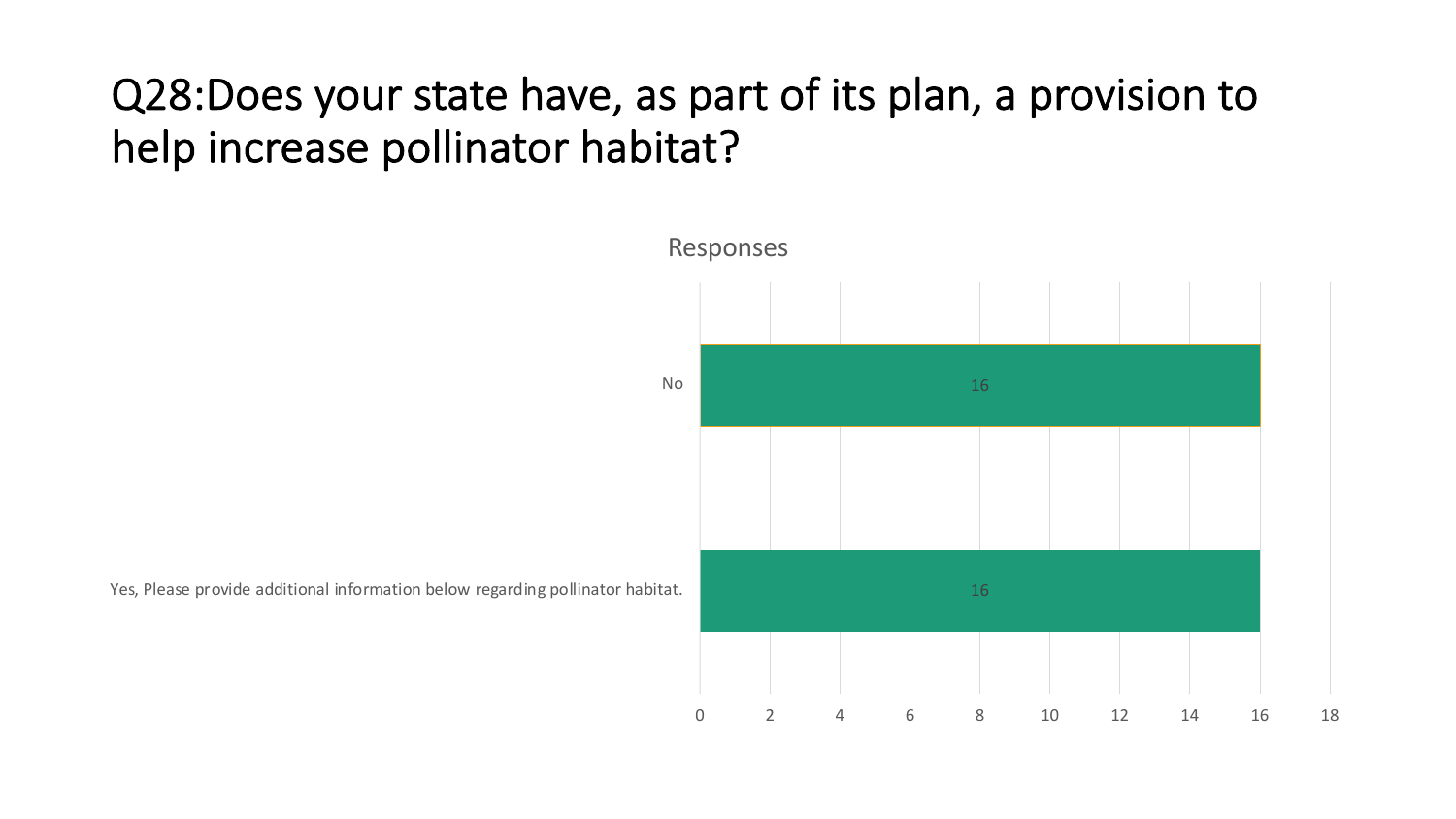## Q28:Does your state have, as part of its plan, a provision to help increase pollinator habitat?



Yes, Please provide additional information below regarding pollinator habitat.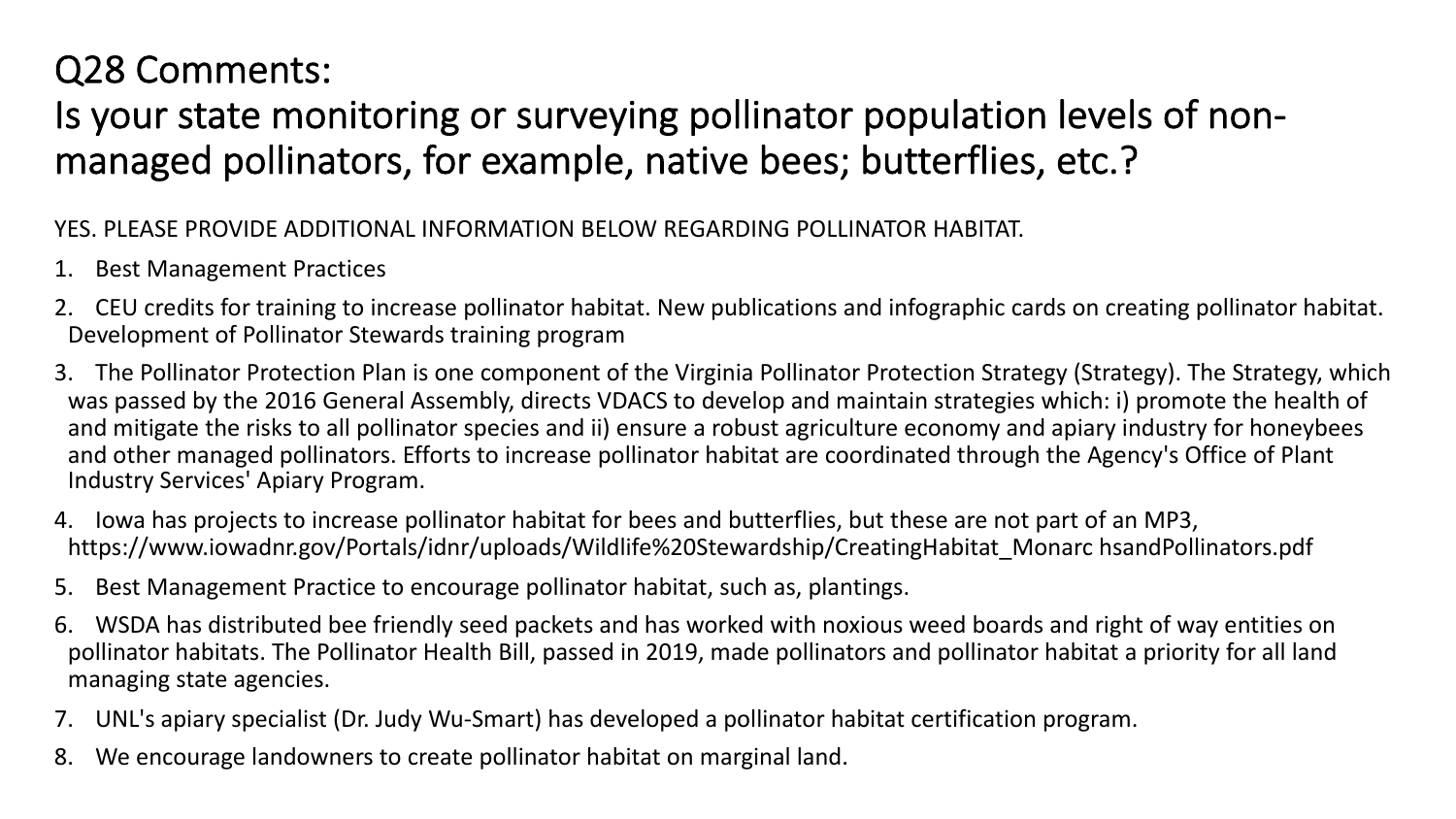### Q28 Comments:

### Is your state monitoring or surveying pollinator population levels of nonmanaged pollinators, for example, native bees; butterflies, etc.?

#### YES. PLEASE PROVIDE ADDITIONAL INFORMATION BELOW REGARDING POLLINATOR HABITAT.

- 1. Best Management Practices
- 2. CEU credits for training to increase pollinator habitat. New publications and infographic cards on creating pollinator habitat. Development of Pollinator Stewards training program
- 3. The Pollinator Protection Plan is one component of the Virginia Pollinator Protection Strategy (Strategy). The Strategy, which was passed by the 2016 General Assembly, directs VDACS to develop and maintain strategies which: i) promote the health of and mitigate the risks to all pollinator species and ii) ensure a robust agriculture economy and apiary industry for honeybees and other managed pollinators. Efforts to increase pollinator habitat are coordinated through the Agency's Office of Plant Industry Services' Apiary Program.
- 4. Iowa has projects to increase pollinator habitat for bees and butterflies, but these are not part of an MP3, https://www.iowadnr.gov/Portals/idnr/uploads/Wildlife%20Stewardship/CreatingHabitat\_Monarc hsandPollinators.pdf
- 5. Best Management Practice to encourage pollinator habitat, such as, plantings.
- 6. WSDA has distributed bee friendly seed packets and has worked with noxious weed boards and right of way entities on pollinator habitats. The Pollinator Health Bill, passed in 2019, made pollinators and pollinator habitat a priority for all land managing state agencies.
- 7. UNL's apiary specialist (Dr. Judy Wu-Smart) has developed a pollinator habitat certification program.
- 8. We encourage landowners to create pollinator habitat on marginal land.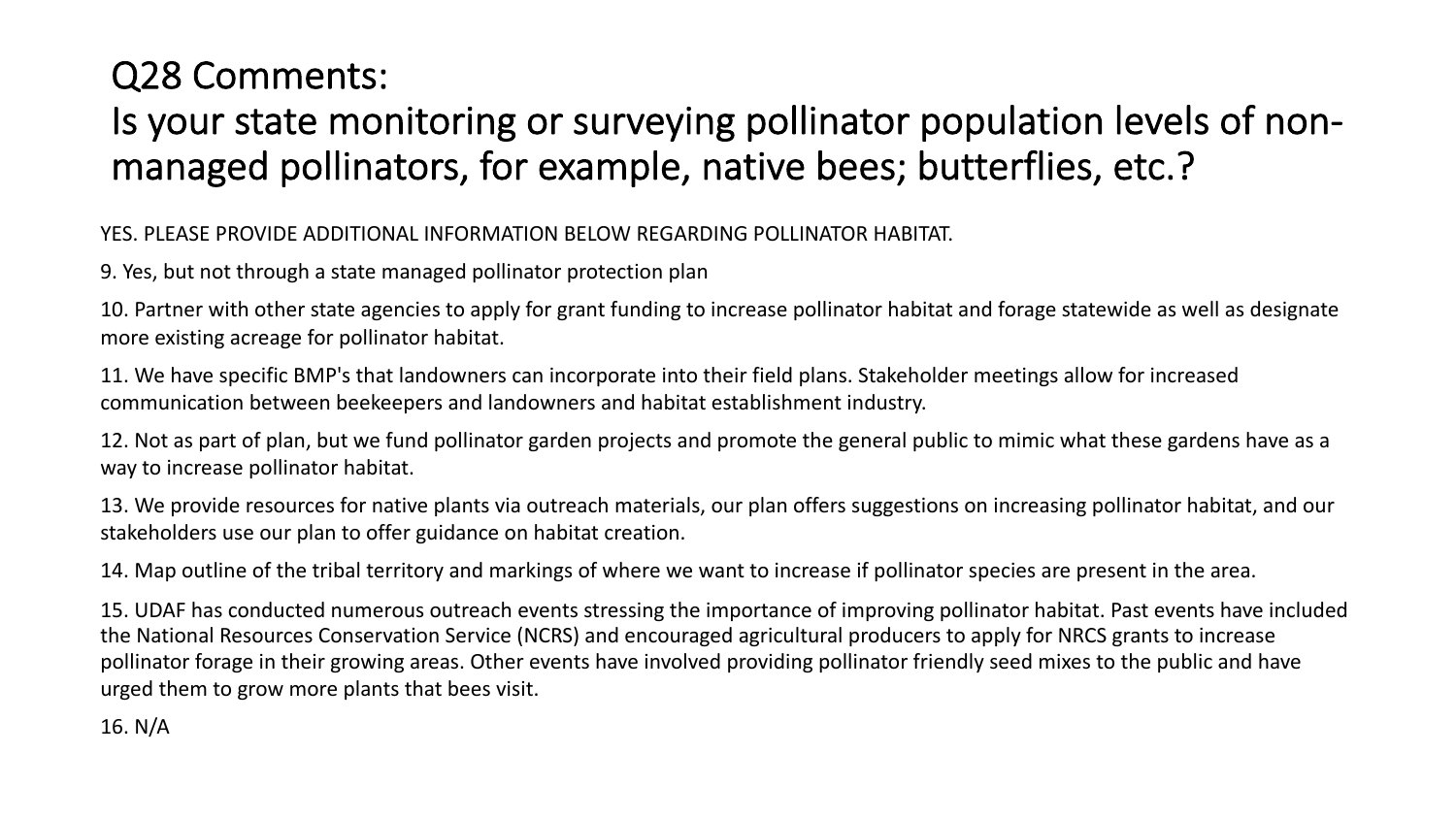### Q28 Comments: Is your state monitoring or surveying pollinator population levels of nonmanaged pollinators, for example, native bees; butterflies, etc.?

YES. PLEASE PROVIDE ADDITIONAL INFORMATION BELOW REGARDING POLLINATOR HABITAT.

9. Yes, but not through a state managed pollinator protection plan

10. Partner with other state agencies to apply for grant funding to increase pollinator habitat and forage statewide as well as designate more existing acreage for pollinator habitat.

11. We have specific BMP's that landowners can incorporate into their field plans. Stakeholder meetings allow for increased communication between beekeepers and landowners and habitat establishment industry.

12. Not as part of plan, but we fund pollinator garden projects and promote the general public to mimic what these gardens have as a way to increase pollinator habitat.

13. We provide resources for native plants via outreach materials, our plan offers suggestions on increasing pollinator habitat, and our stakeholders use our plan to offer guidance on habitat creation.

14. Map outline of the tribal territory and markings of where we want to increase if pollinator species are present in the area.

15. UDAF has conducted numerous outreach events stressing the importance of improving pollinator habitat. Past events have included the National Resources Conservation Service (NCRS) and encouraged agricultural producers to apply for NRCS grants to increase pollinator forage in their growing areas. Other events have involved providing pollinator friendly seed mixes to the public and have urged them to grow more plants that bees visit.

16. N/A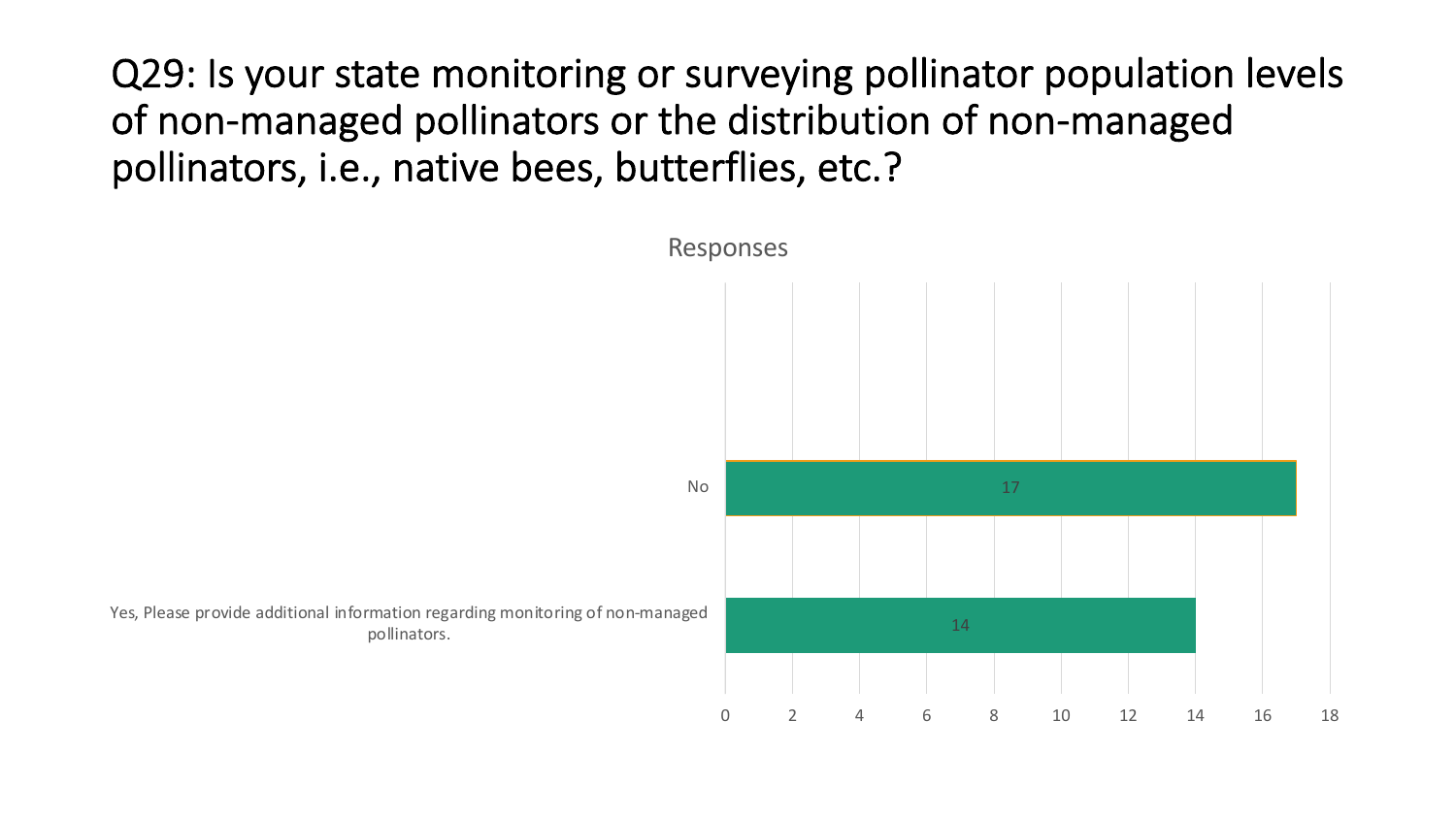Q29: Is your state monitoring or surveying pollinator population levels of non-managed pollinators or the distribution of non-managed pollinators, i.e., native bees, butterflies, etc.?

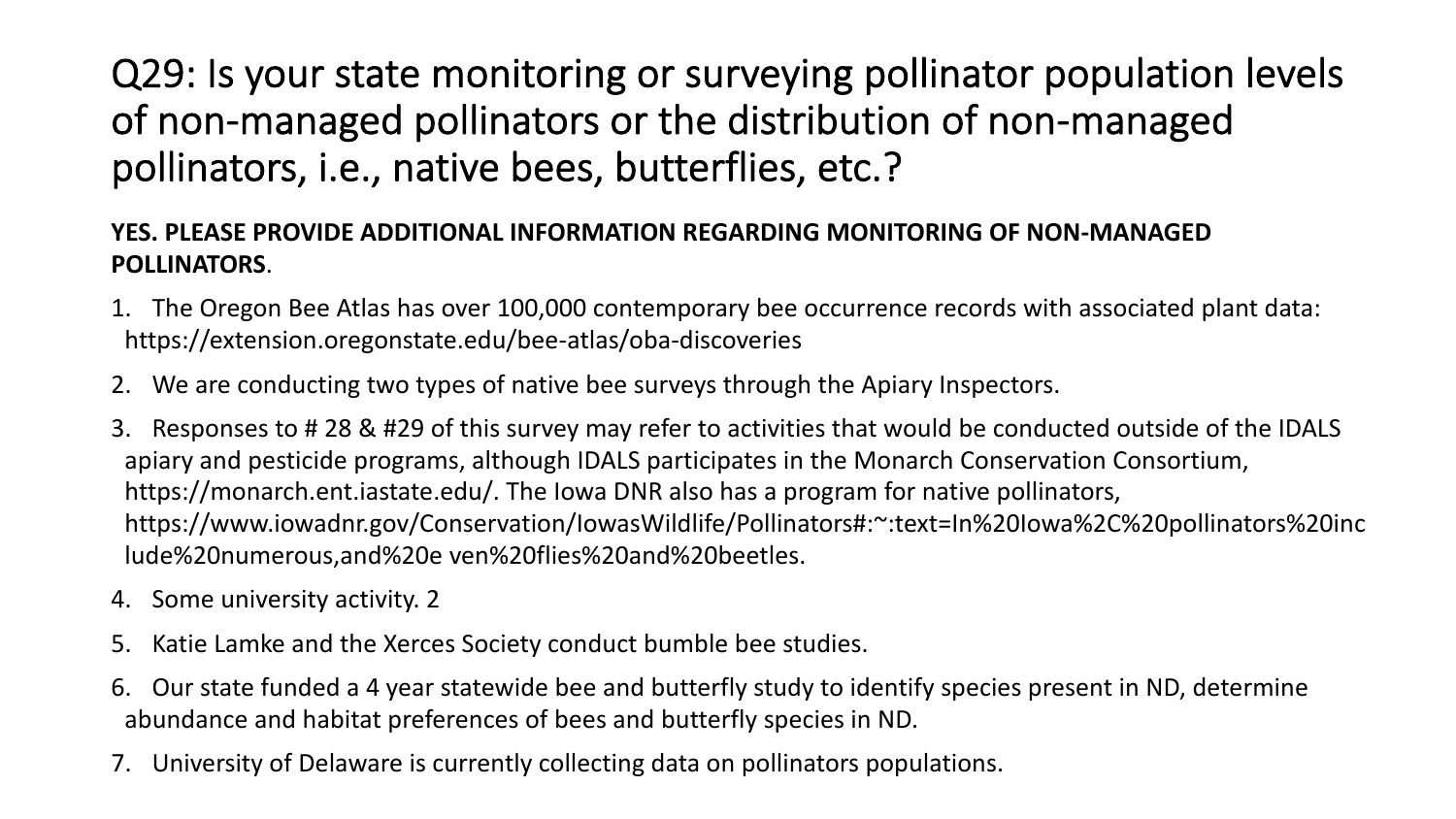### Q29: Is your state monitoring or surveying pollinator population levels of non-managed pollinators or the distribution of non-managed pollinators, i.e., native bees, butterflies, etc.?

#### **YES. PLEASE PROVIDE ADDITIONAL INFORMATION REGARDING MONITORING OF NON-MANAGED POLLINATORS**.

- 1. The Oregon Bee Atlas has over 100,000 contemporary bee occurrence records with associated plant data: https://extension.oregonstate.edu/bee-atlas/oba-discoveries
- 2. We are conducting two types of native bee surveys through the Apiary Inspectors.
- 3. Responses to # 28 & #29 of this survey may refer to activities that would be conducted outside of the IDALS apiary and pesticide programs, although IDALS participates in the Monarch Conservation Consortium, https://monarch.ent.iastate.edu/. The Iowa DNR also has a program for native pollinators, https://www.iowadnr.gov/Conservation/IowasWildlife/Pollinators#:~:text=In%20Iowa%2C%20pollinators%20inc lude%20numerous,and%20e ven%20flies%20and%20beetles.
- 4. Some university activity. 2
- 5. Katie Lamke and the Xerces Society conduct bumble bee studies.
- 6. Our state funded a 4 year statewide bee and butterfly study to identify species present in ND, determine abundance and habitat preferences of bees and butterfly species in ND.
- 7. University of Delaware is currently collecting data on pollinators populations.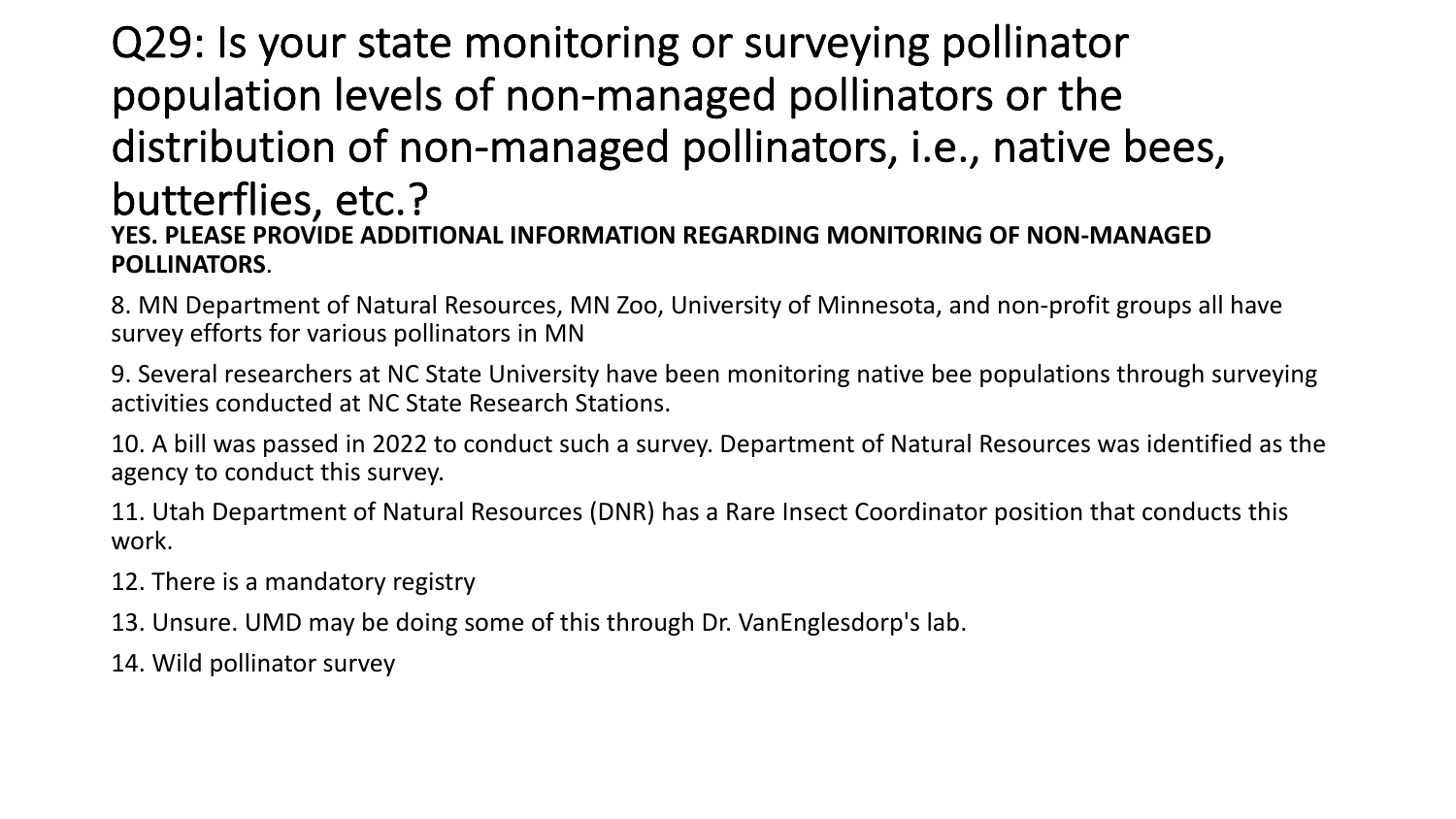### Q29: Is your state monitoring or surveying pollinator population levels of non-managed pollinators or the distribution of non-managed pollinators, i.e., native bees, butterflies, etc.? **YES. PLEASE PROVIDE ADDITIONAL INFORMATION REGARDING MONITORING OF NON-MANAGED POLLINATORS**.

8. MN Department of Natural Resources, MN Zoo, University of Minnesota, and non-profit groups all have survey efforts for various pollinators in MN

9. Several researchers at NC State University have been monitoring native bee populations through surveying activities conducted at NC State Research Stations.

10. A bill was passed in 2022 to conduct such a survey. Department of Natural Resources was identified as the agency to conduct this survey.

11. Utah Department of Natural Resources (DNR) has a Rare Insect Coordinator position that conducts this work.

- 12. There is a mandatory registry
- 13. Unsure. UMD may be doing some of this through Dr. VanEnglesdorp's lab.
- 14. Wild pollinator survey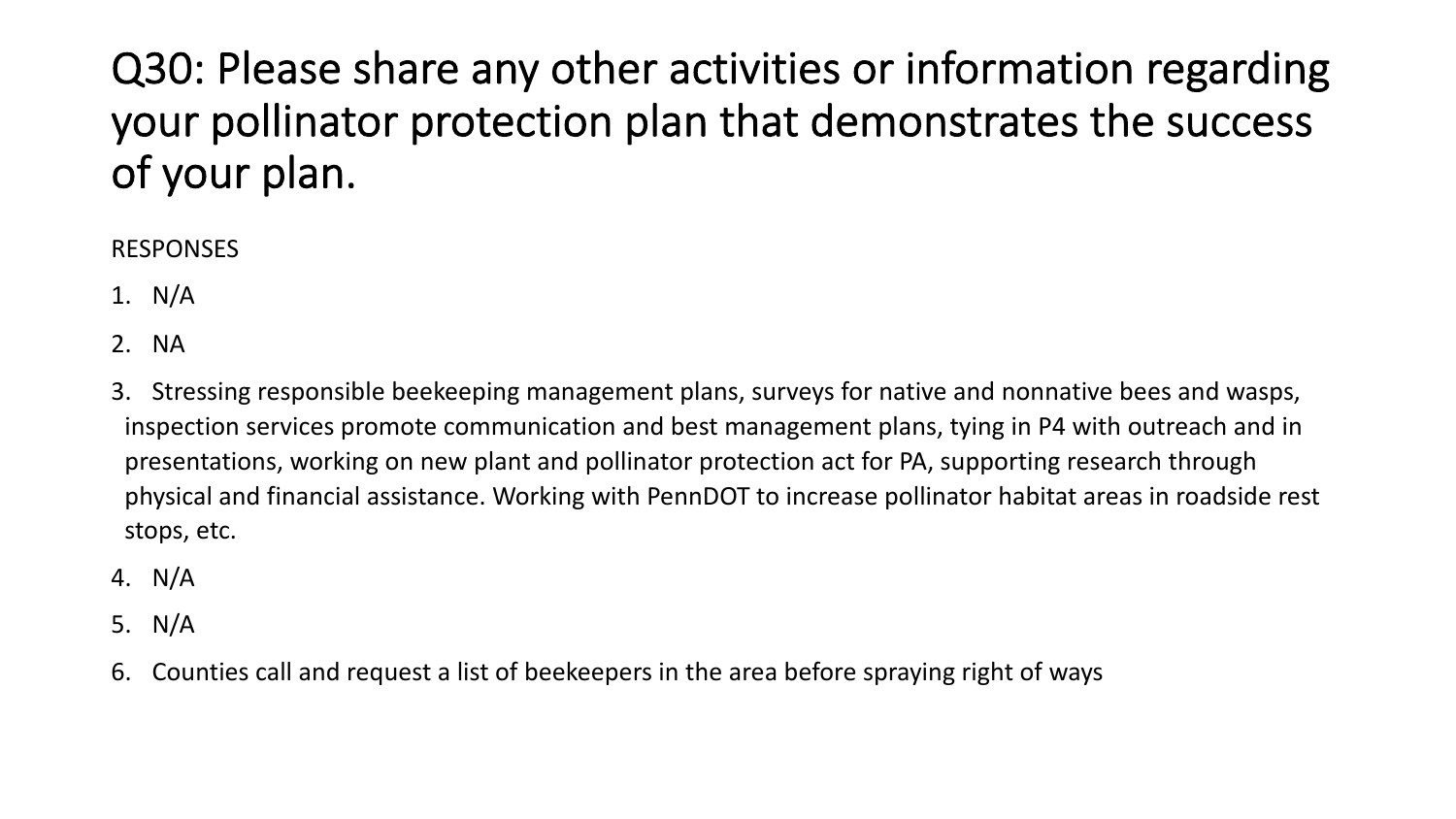## Q30: Please share any other activities or information regarding your pollinator protection plan that demonstrates the success of your plan.

#### RESPONSES

- 1. N/A
- 2. NA
- 3. Stressing responsible beekeeping management plans, surveys for native and nonnative bees and wasps, inspection services promote communication and best management plans, tying in P4 with outreach and in presentations, working on new plant and pollinator protection act for PA, supporting research through physical and financial assistance. Working with PennDOT to increase pollinator habitat areas in roadside rest stops, etc.
- 4. N/A
- 5. N/A
- 6. Counties call and request a list of beekeepers in the area before spraying right of ways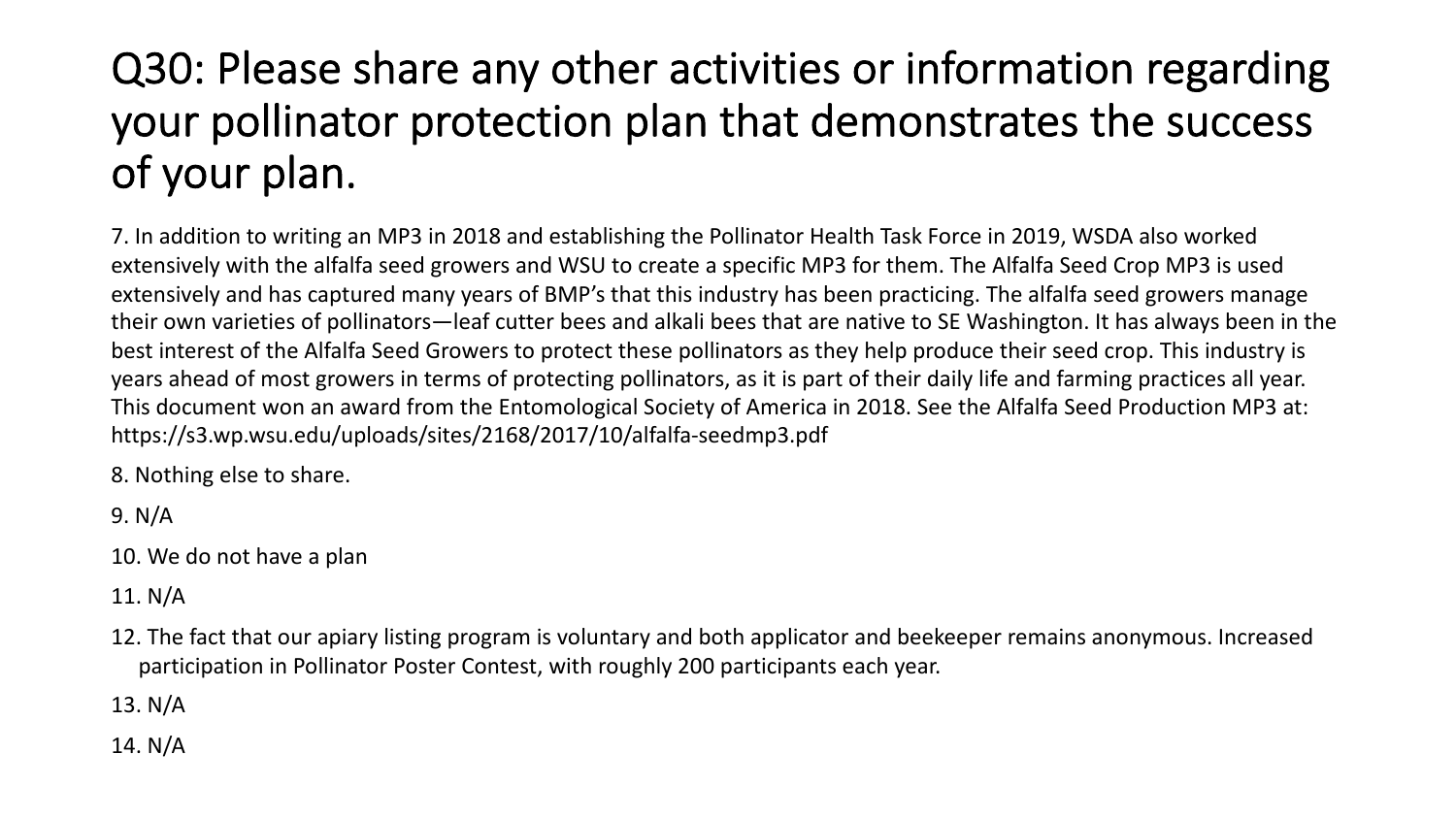## Q30: Please share any other activities or information regarding your pollinator protection plan that demonstrates the success of your plan.

7. In addition to writing an MP3 in 2018 and establishing the Pollinator Health Task Force in 2019, WSDA also worked extensively with the alfalfa seed growers and WSU to create a specific MP3 for them. The Alfalfa Seed Crop MP3 is used extensively and has captured many years of BMP's that this industry has been practicing. The alfalfa seed growers manage their own varieties of pollinators—leaf cutter bees and alkali bees that are native to SE Washington. It has always been in the best interest of the Alfalfa Seed Growers to protect these pollinators as they help produce their seed crop. This industry is years ahead of most growers in terms of protecting pollinators, as it is part of their daily life and farming practices all year. This document won an award from the Entomological Society of America in 2018. See the Alfalfa Seed Production MP3 at: https://s3.wp.wsu.edu/uploads/sites/2168/2017/10/alfalfa-seedmp3.pdf

8. Nothing else to share.

- 9. N/A
- 10. We do not have a plan
- 11. N/A
- 12. The fact that our apiary listing program is voluntary and both applicator and beekeeper remains anonymous. Increased participation in Pollinator Poster Contest, with roughly 200 participants each year.
- 13. N/A
- 14. N/A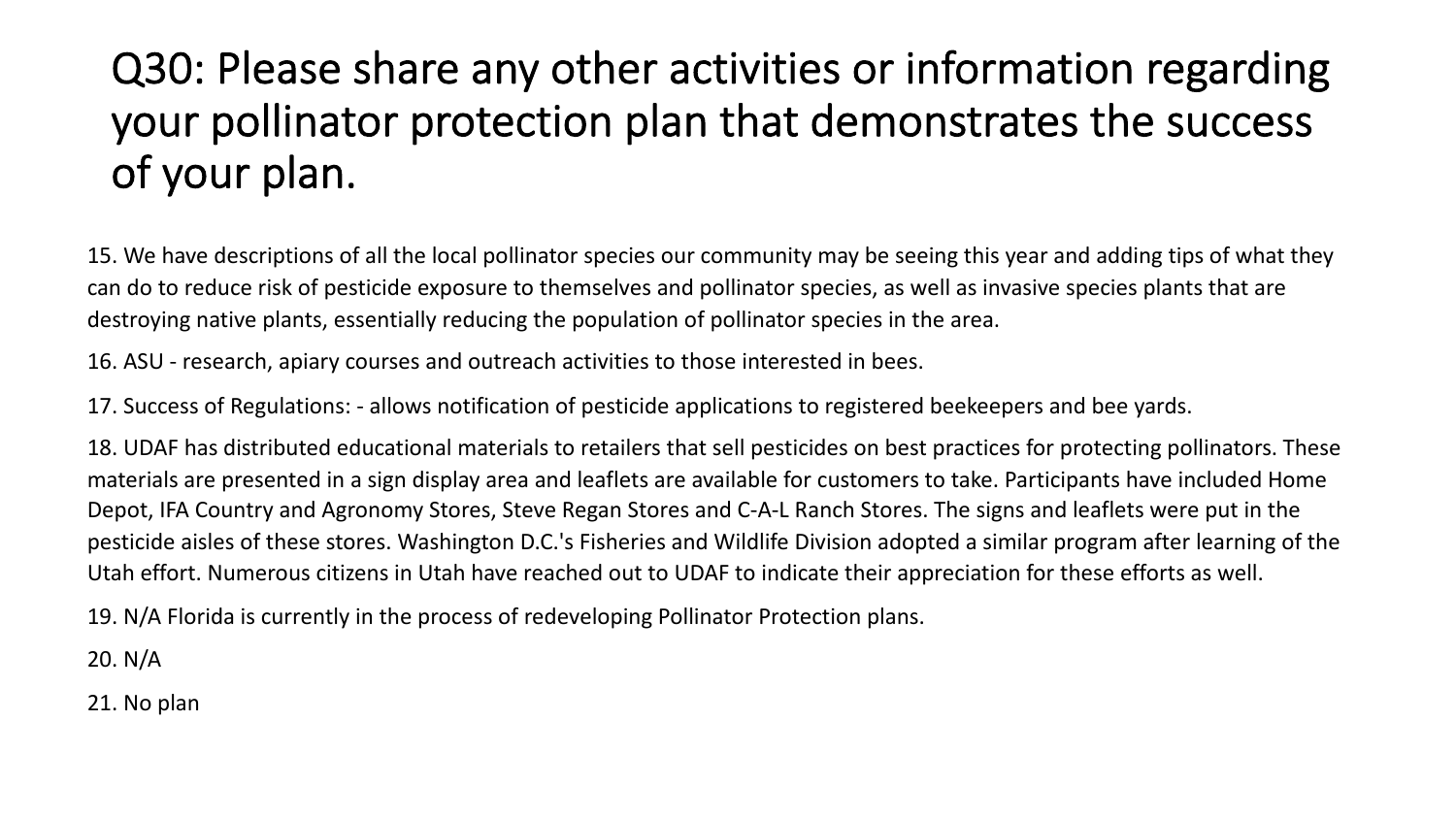## Q30: Please share any other activities or information regarding your pollinator protection plan that demonstrates the success of your plan.

15. We have descriptions of all the local pollinator species our community may be seeing this year and adding tips of what they can do to reduce risk of pesticide exposure to themselves and pollinator species, as well as invasive species plants that are destroying native plants, essentially reducing the population of pollinator species in the area.

16. ASU - research, apiary courses and outreach activities to those interested in bees.

17. Success of Regulations: - allows notification of pesticide applications to registered beekeepers and bee yards.

18. UDAF has distributed educational materials to retailers that sell pesticides on best practices for protecting pollinators. These materials are presented in a sign display area and leaflets are available for customers to take. Participants have included Home Depot, IFA Country and Agronomy Stores, Steve Regan Stores and C-A-L Ranch Stores. The signs and leaflets were put in the pesticide aisles of these stores. Washington D.C.'s Fisheries and Wildlife Division adopted a similar program after learning of the Utah effort. Numerous citizens in Utah have reached out to UDAF to indicate their appreciation for these efforts as well.

19. N/A Florida is currently in the process of redeveloping Pollinator Protection plans.

20. N/A

21. No plan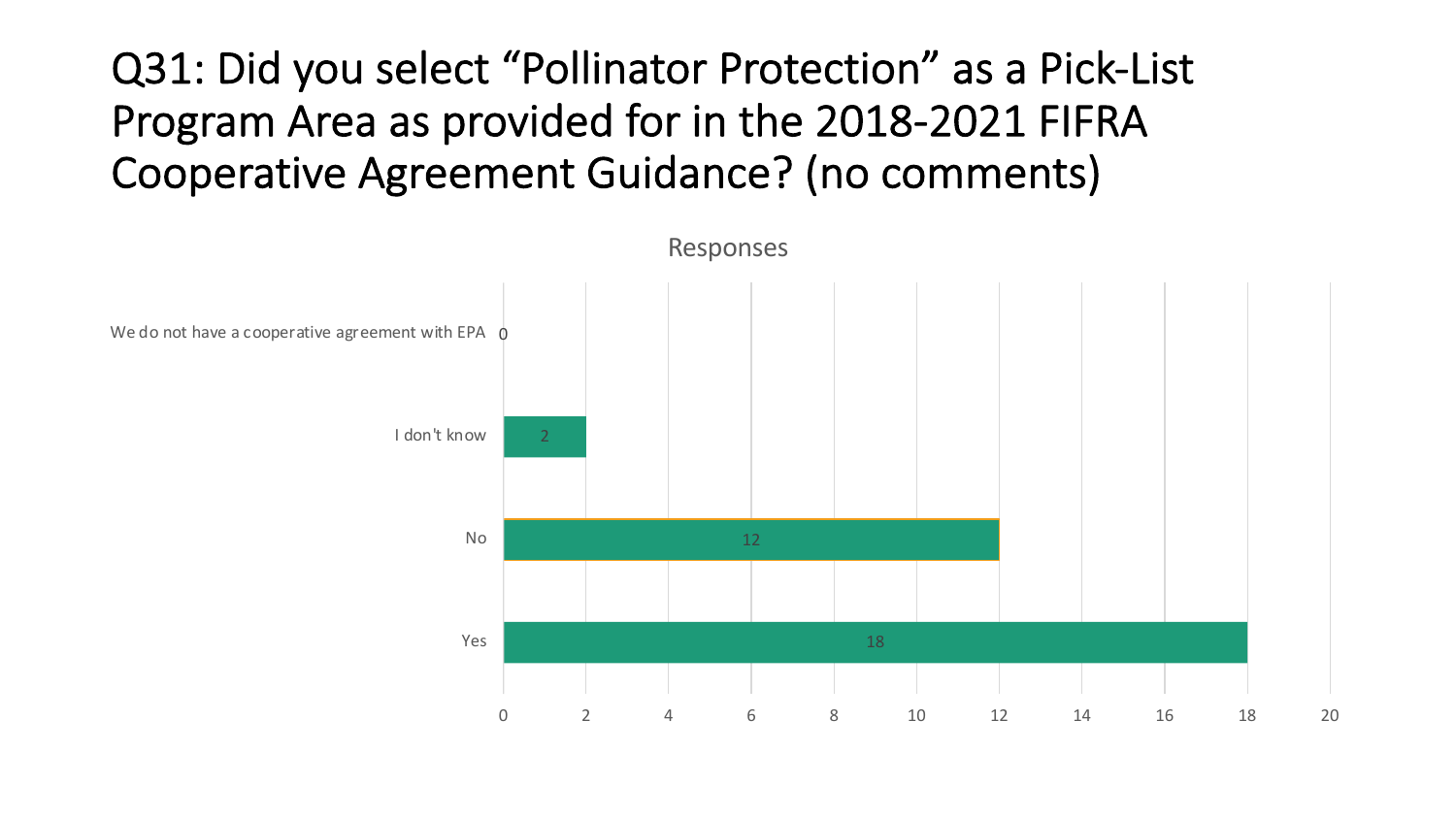## Q31: Did you select "Pollinator Protection" as a Pick-List Program Area as provided for in the 2018-2021 FIFRA Cooperative Agreement Guidance? (no comments)

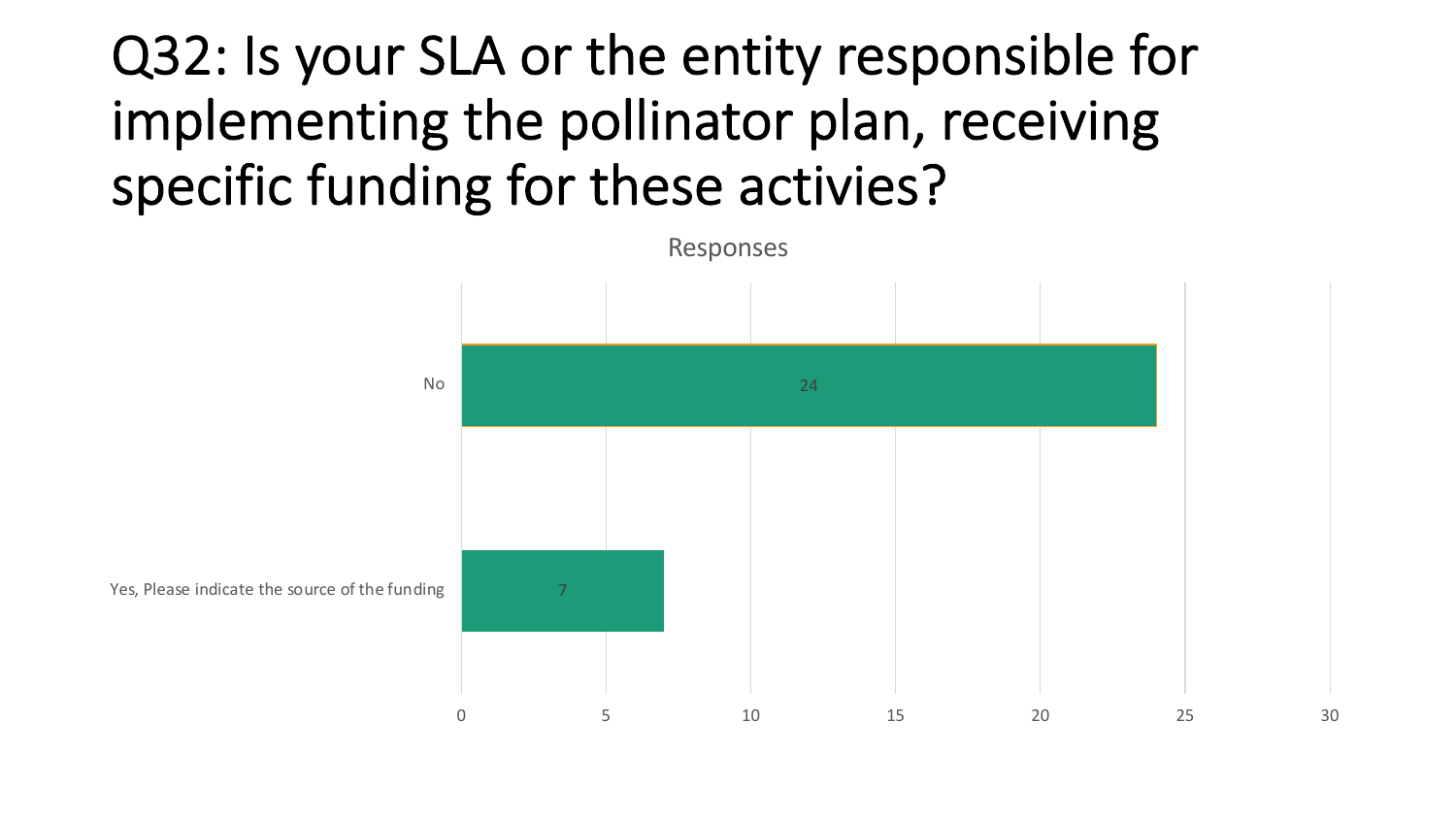# Q32: Is your SLA or the entity responsible for implementing the pollinator plan, receiving specific funding for these activies?



Yes, Please indicate the source of the funding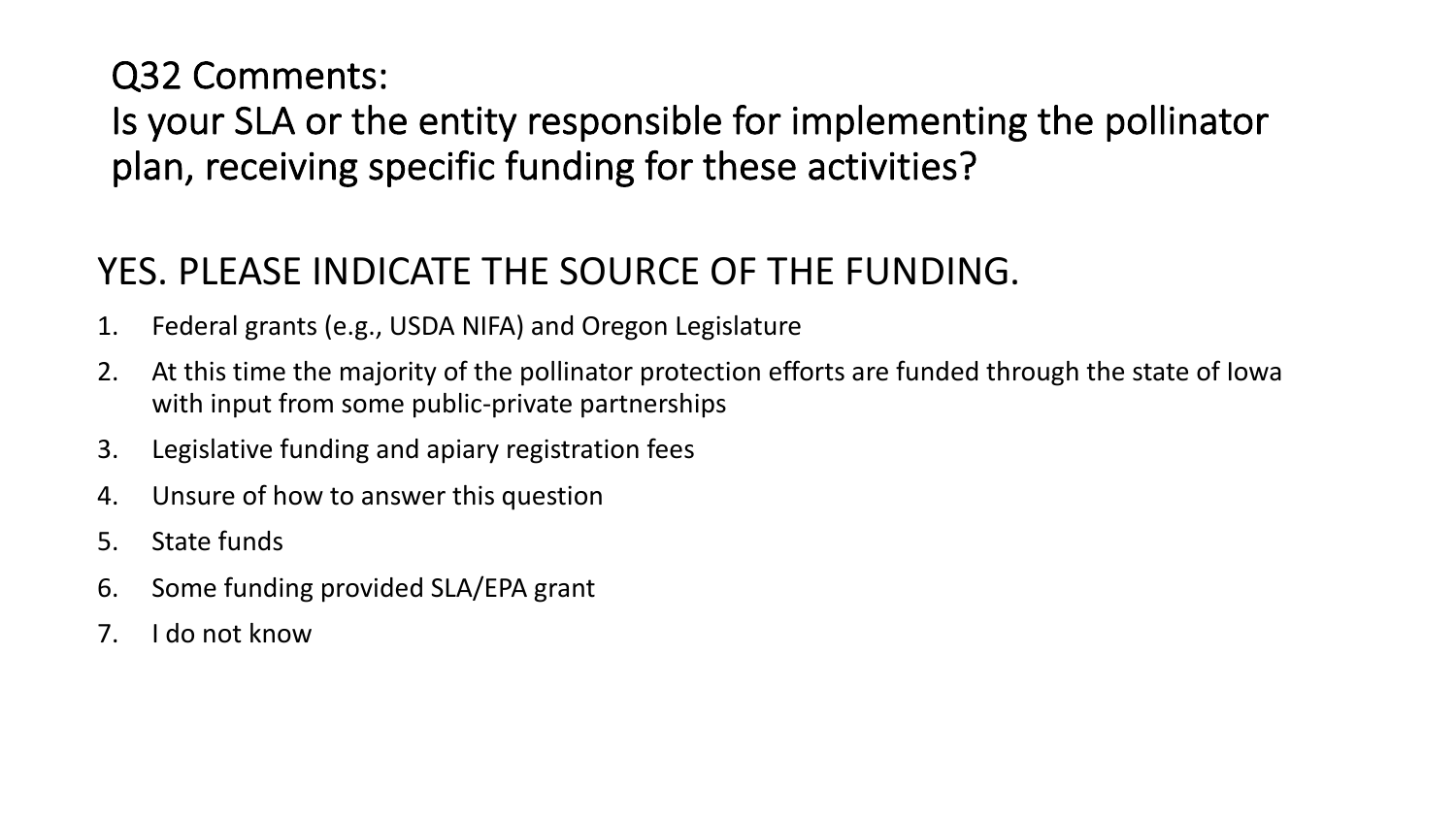Q32 Comments:

Is your SLA or the entity responsible for implementing the pollinator plan, receiving specific funding for these activities?

### YES. PLEASE INDICATE THE SOURCE OF THE FUNDING.

- 1. Federal grants (e.g., USDA NIFA) and Oregon Legislature
- 2. At this time the majority of the pollinator protection efforts are funded through the state of Iowa with input from some public-private partnerships
- 3. Legislative funding and apiary registration fees
- 4. Unsure of how to answer this question
- 5. State funds
- 6. Some funding provided SLA/EPA grant
- 7. I do not know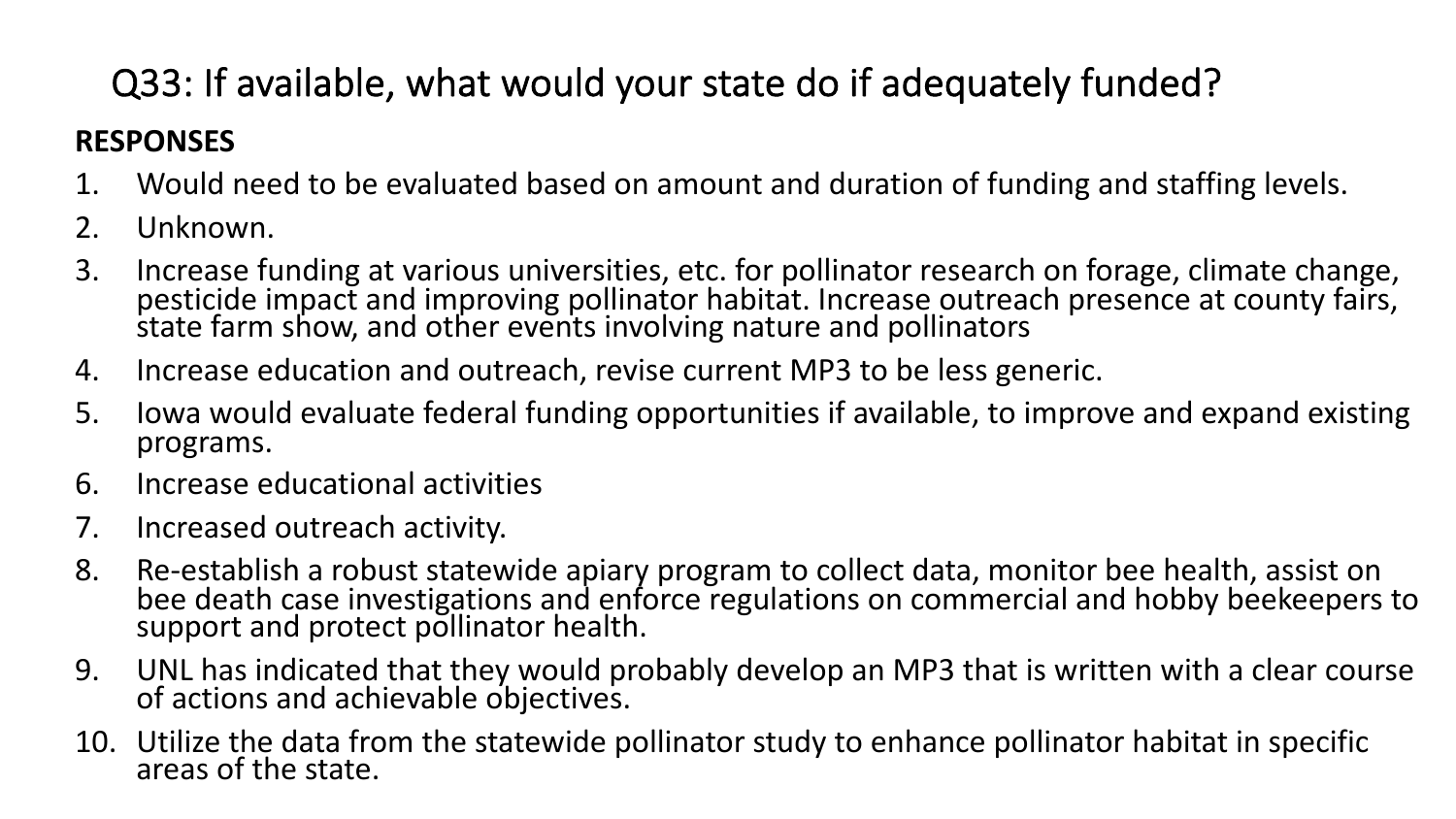## Q33: If available, what would your state do if adequately funded?

#### **RESPONSES**

- 1. Would need to be evaluated based on amount and duration of funding and staffing levels.
- 2. Unknown.
- 3. Increase funding at various universities, etc. for pollinator research on forage, climate change, pesticide impact and improving pollinator habitat. Increase outreach presence at county fairs, state farm show, and other events involving nature and pollinators
- 4. Increase education and outreach, revise current MP3 to be less generic.
- 5. Iowa would evaluate federal funding opportunities if available, to improve and expand existing programs.
- 6. Increase educational activities
- 7. Increased outreach activity.
- 8. Re-establish a robust statewide apiary program to collect data, monitor bee health, assist on bee death case investigations and enforce regulations on commercial and hobby beekeepers to support and protect pollinator health.
- 9. UNL has indicated that they would probably develop an MP3 that is written with a clear course of actions and achievable objectives.
- 10. Utilize the data from the statewide pollinator study to enhance pollinator habitat in specific areas of the state.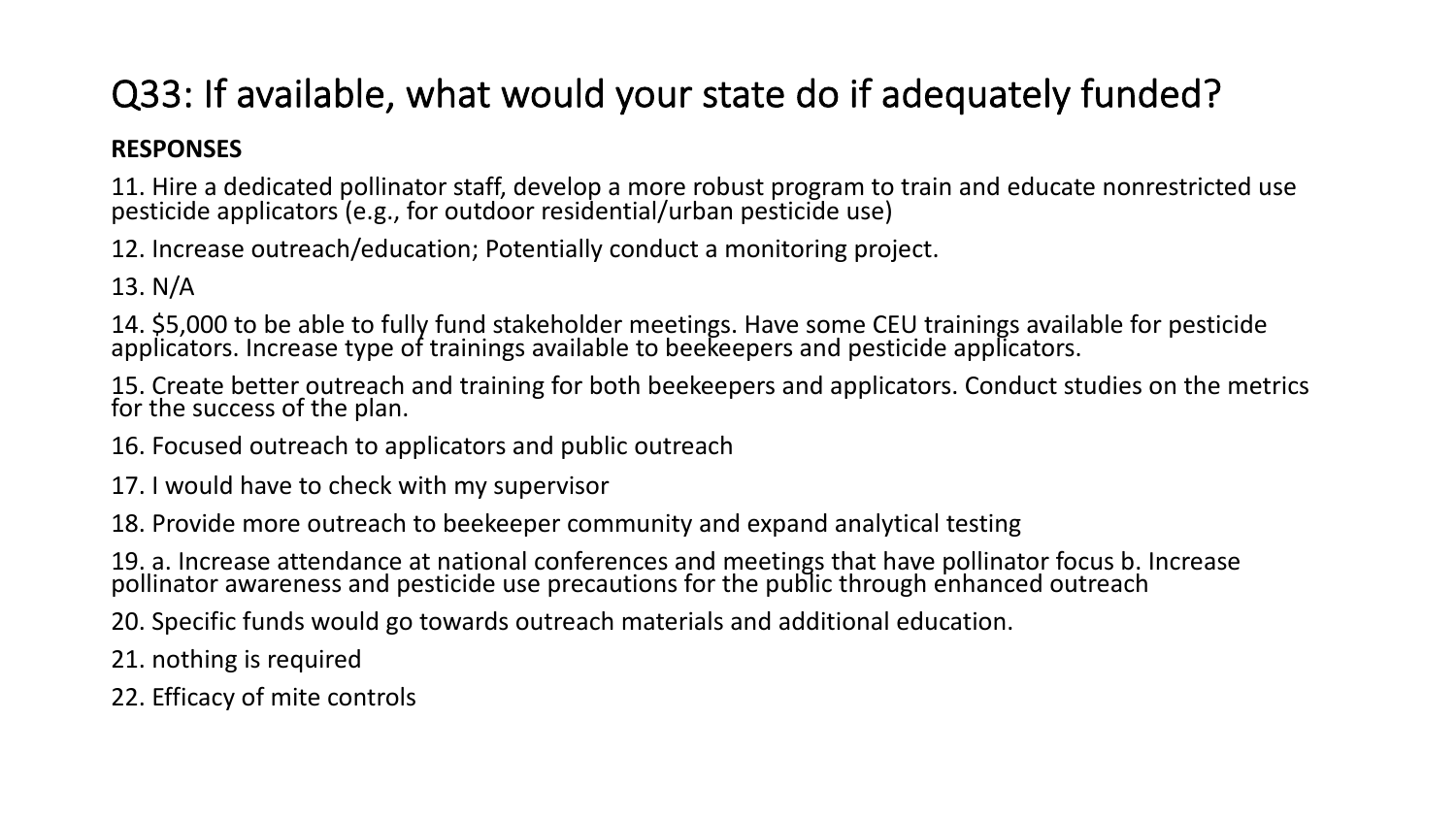### Q33: If available, what would your state do if adequately funded?

#### **RESPONSES**

11. Hire a dedicated pollinator staff, develop a more robust program to train and educate nonrestricted use pesticide applicators (e.g., for outdoor residential/urban pesticide use)

12. Increase outreach/education; Potentially conduct a monitoring project.

13. N/A

14. \$5,000 to be able to fully fund stakeholder meetings. Have some CEU trainings available for pesticide applicators. Increase type of trainings available to beekeepers and pesticide applicators.

15. Create better outreach and training for both beekeepers and applicators. Conduct studies on the metrics for the success of the plan.

16. Focused outreach to applicators and public outreach

17. I would have to check with my supervisor

18. Provide more outreach to beekeeper community and expand analytical testing

19. a. Increase attendance at national conferences and meetings that have pollinator focus b. Increase pollinator awareness and pesticide use precautions for the public through enhanced outreach

20. Specific funds would go towards outreach materials and additional education.

21. nothing is required

22. Efficacy of mite controls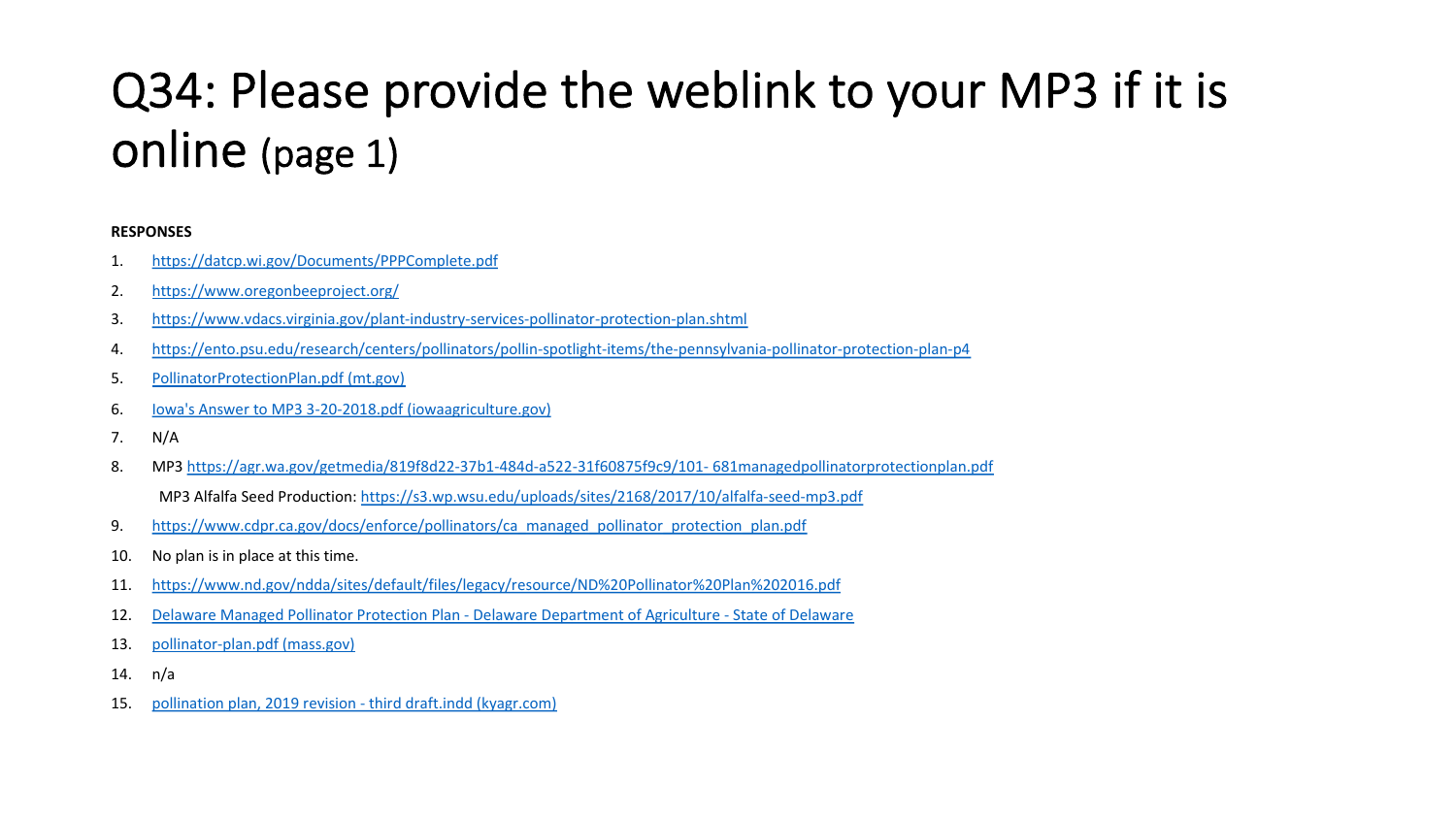## Q34: Please provide the weblink to your [online \(page 1\)](https://www.cdpr.ca.gov/docs/enforce/pollinators/ca_managed_pollinator_protection_plan.pdf)

#### **[RESPONSES](https://agriculture.delaware.gov/pesticide-management/pollinator-protection-plan/)**

- 1. [https://datcp.wi.gov/Documen](https://www.mass.gov/files/documents/2017/06/zw/pollinator-plan.pdf)ts/PPPComplete.pdf
- 2. https://www.oregonbeeproject.org/
- 3. [https://www.vdacs.virginia.gov/plant-industry-services-polli](https://www.kyagr.com/statevet/documents/OSV_Bee_KY-Pollinator-Pro-Plan.pdf)nator-protection-plan.shtml
- 4. https://ento.psu.edu/research/centers/pollinators/pollin-spotlight-items/the-pennsylvania-pollinator-protection-p
- 5. PollinatorProtectionPlan.pdf (mt.gov)
- 6. Iowa's Answer to MP3 3-20-2018.pdf (iowaagriculture.gov)
- 7. N/A
- 8. MP3 https://agr.wa.gov/getmedia/819f8d22-37b1-484d-a522-31f60875f9c9/101-681managedpollinatorprotection MP3 Alfalfa Seed Production: https://s3.wp.wsu.edu/uploads/sites/2168/2017/10/alfalfa-seed-mp3.pdf
- 9. https://www.cdpr.ca.gov/docs/enforce/pollinators/ca\_managed\_pollinator\_protection\_plan.pdf
- 10. No plan is in place at this time.
- 11. https://www.nd.gov/ndda/sites/default/files/legacy/resource/ND%20Pollinator%20Plan%202016.pdf
- 12. Delaware Managed Pollinator Protection Plan Delaware Department of Agriculture State of Delaware
- 13. pollinator-plan.pdf (mass.gov)
- 14. n/a
- 15. pollination plan, 2019 revision third draft.indd (kyagr.com)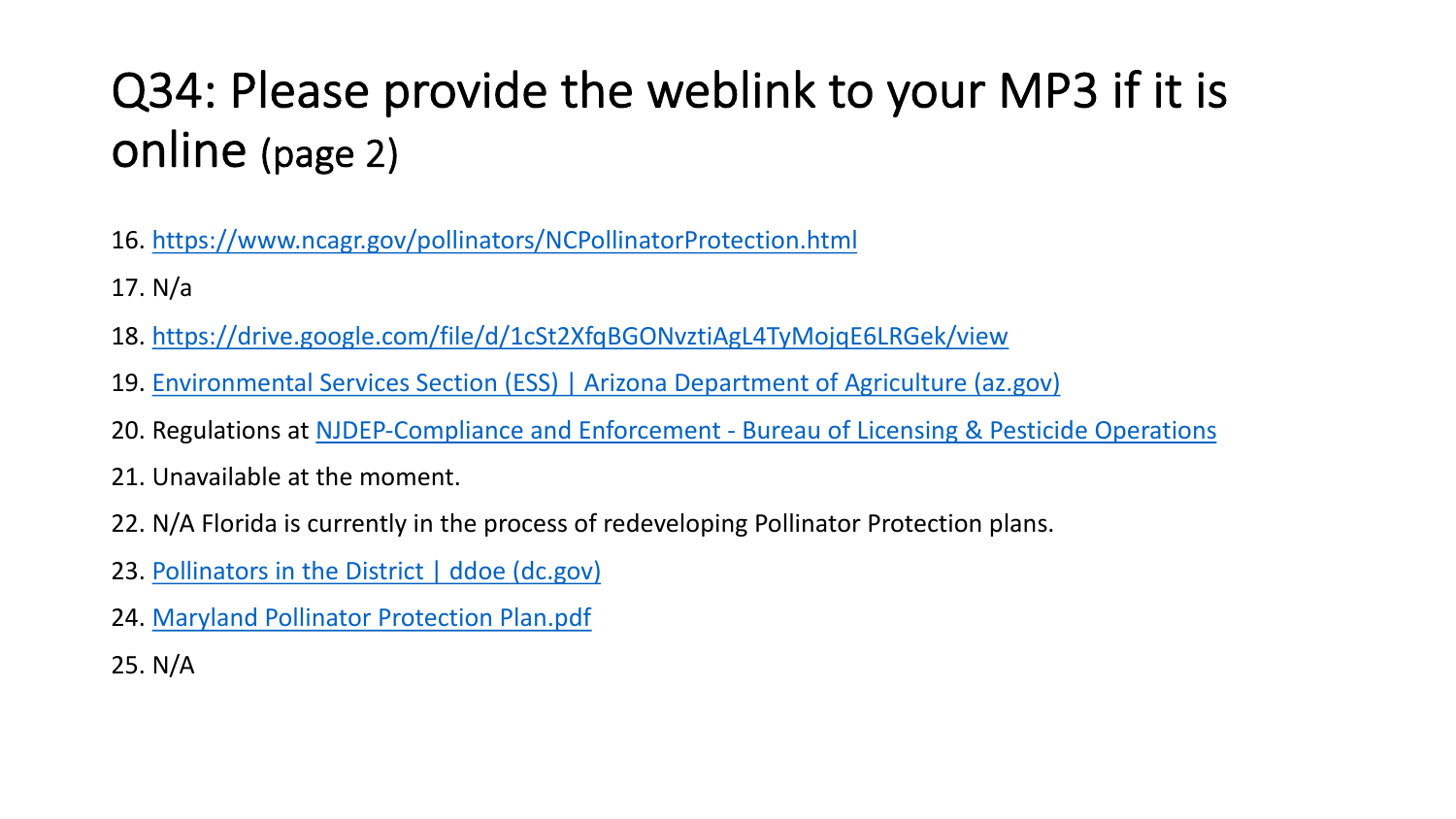## Q34: Please provide the weblink to your online (page 2)

- 16. [https://www.ncagr.gov/pollinators/NCPo](https://mda.maryland.gov/plants-pests/Documents/Maryland%20Pollinator%20Protection%20Plan.pdf)llinatorProtection.html
- 17. N/a
- 18. https://drive.google.com/file/d/1cSt2XfqBGONvztiAgL4TyMojqE6LRGe
- 19. Environmental Services Section (ESS) | Arizona Department of Agricult
- 20. Regulations at NJDEP-Compliance and Enforcement Bureau of Licensi
- 21. Unavailable at the moment.
- 22. N/A Florida is currently in the process of redeveloping Pollinator Prote
- 23. Pollinators in the District | ddoe (dc.gov)
- 24. Maryland Pollinator Protection Plan.pdf
- 25. N/A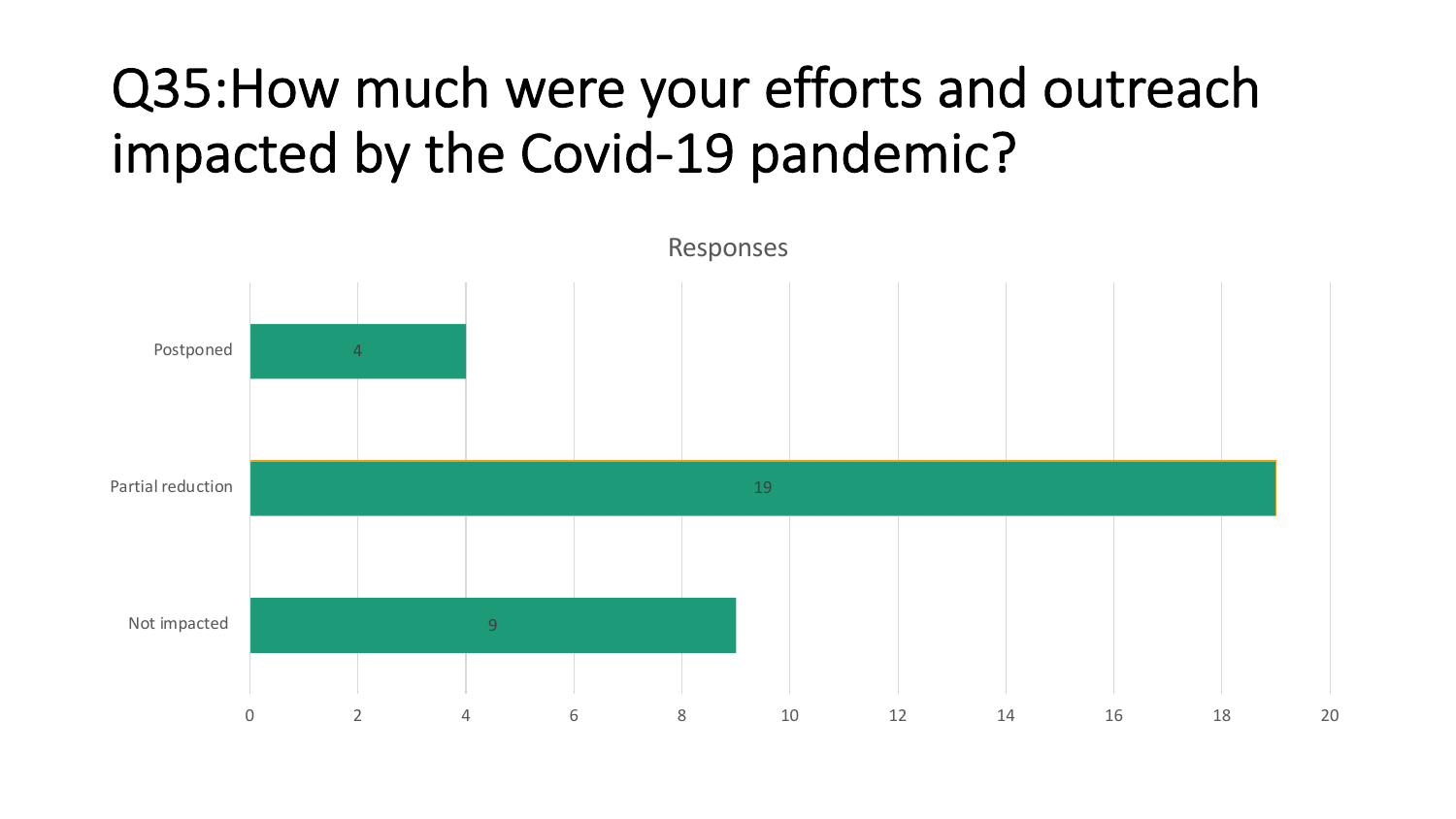# Q35:How much were your efforts and outreach impacted by the Covid-19 pandemic?

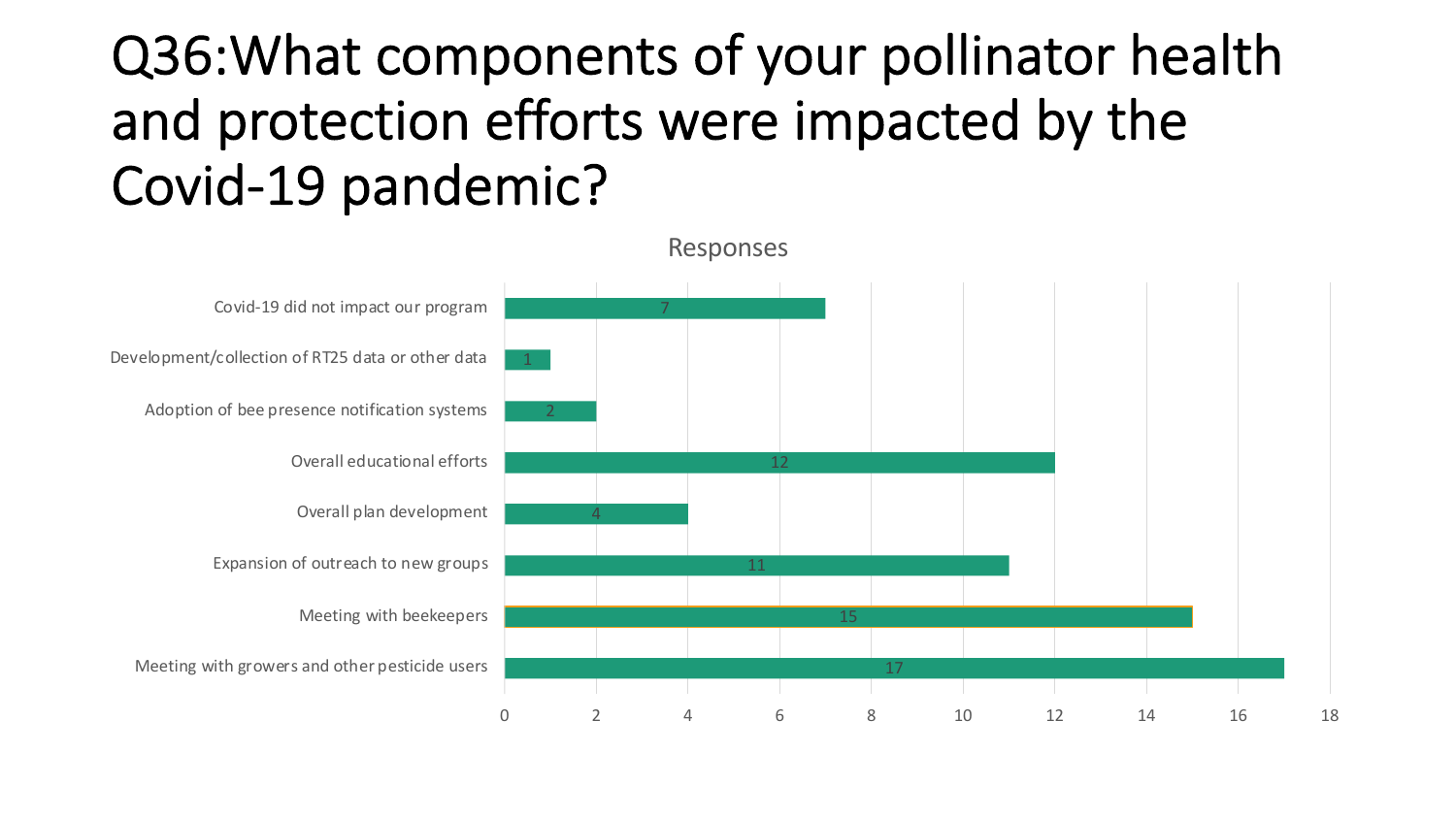# Q36:What components of your pollinator health and protection efforts were impacted by the Covid-19 pandemic?

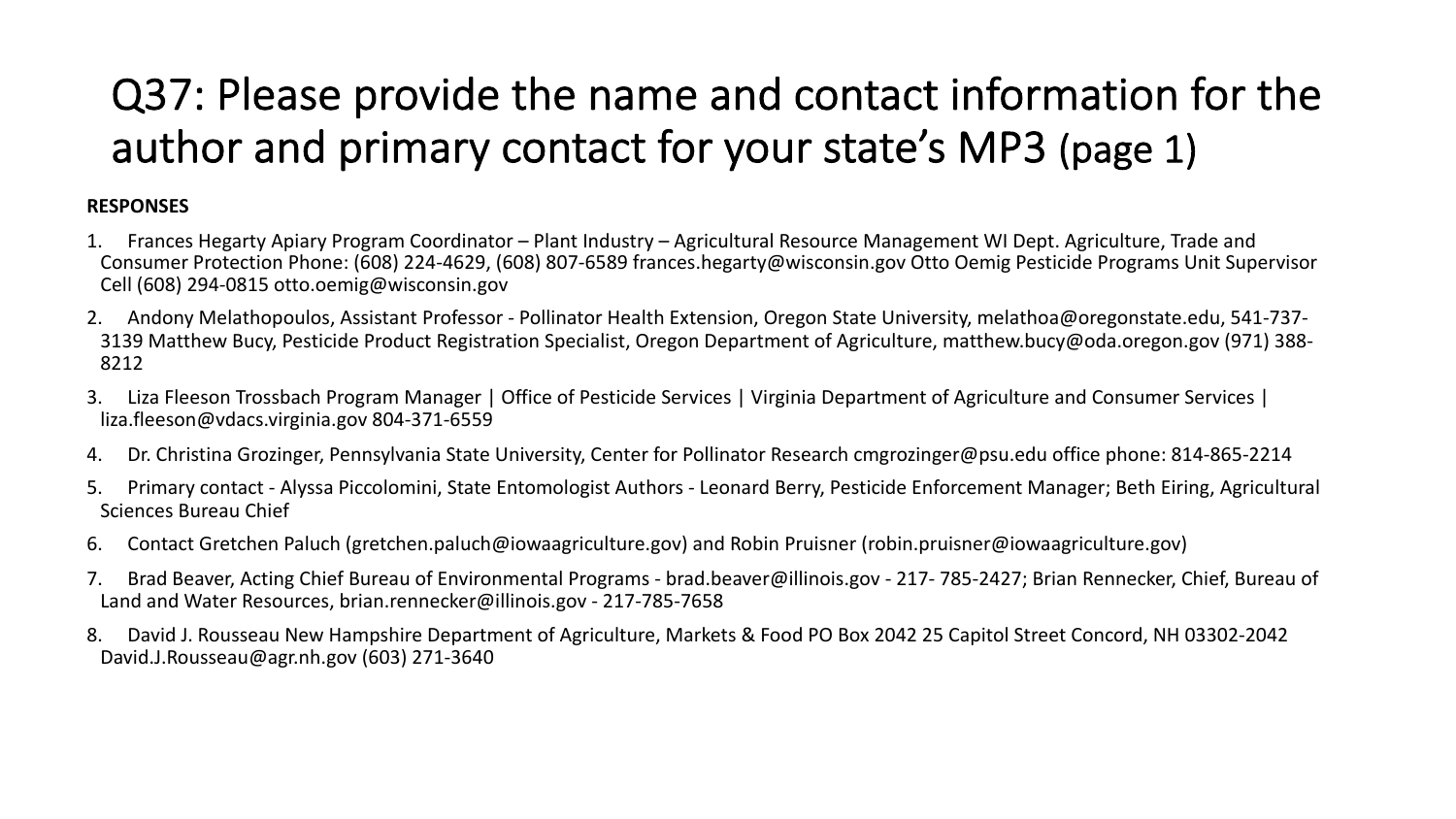## Q37: Please provide the name and contact information for the author and primary contact for your state's MP3 (page 1)

#### **RESPONSES**

- 1. Frances Hegarty Apiary Program Coordinator Plant Industry Agricultural Resource Management WI Dept. Agriculture, Trade and Consumer Protection Phone: (608) 224-4629, (608) 807-6589 frances.hegarty@wisconsin.gov Otto Oemig Pesticide Programs Unit Supervisor Cell (608) 294-0815 otto.oemig@wisconsin.gov
- 2. Andony Melathopoulos, Assistant Professor Pollinator Health Extension, Oregon State University, melathoa@oregonstate.edu, 541-737- 3139 Matthew Bucy, Pesticide Product Registration Specialist, Oregon Department of Agriculture, matthew.bucy@oda.oregon.gov (971) 388- 8212
- 3. Liza Fleeson Trossbach Program Manager | Office of Pesticide Services | Virginia Department of Agriculture and Consumer Services | liza.fleeson@vdacs.virginia.gov 804-371-6559
- 4. Dr. Christina Grozinger, Pennsylvania State University, Center for Pollinator Research cmgrozinger@psu.edu office phone: 814-865-2214
- 5. Primary contact Alyssa Piccolomini, State Entomologist Authors Leonard Berry, Pesticide Enforcement Manager; Beth Eiring, Agricultural Sciences Bureau Chief
- 6. Contact Gretchen Paluch (gretchen.paluch@iowaagriculture.gov) and Robin Pruisner (robin.pruisner@iowaagriculture.gov)
- 7. Brad Beaver, Acting Chief Bureau of Environmental Programs brad.beaver@illinois.gov 217- 785-2427; Brian Rennecker, Chief, Bureau of Land and Water Resources, brian.rennecker@illinois.gov - 217-785-7658
- 8. David J. Rousseau New Hampshire Department of Agriculture, Markets & Food PO Box 2042 25 Capitol Street Concord, NH 03302-2042 David.J.Rousseau@agr.nh.gov (603) 271-3640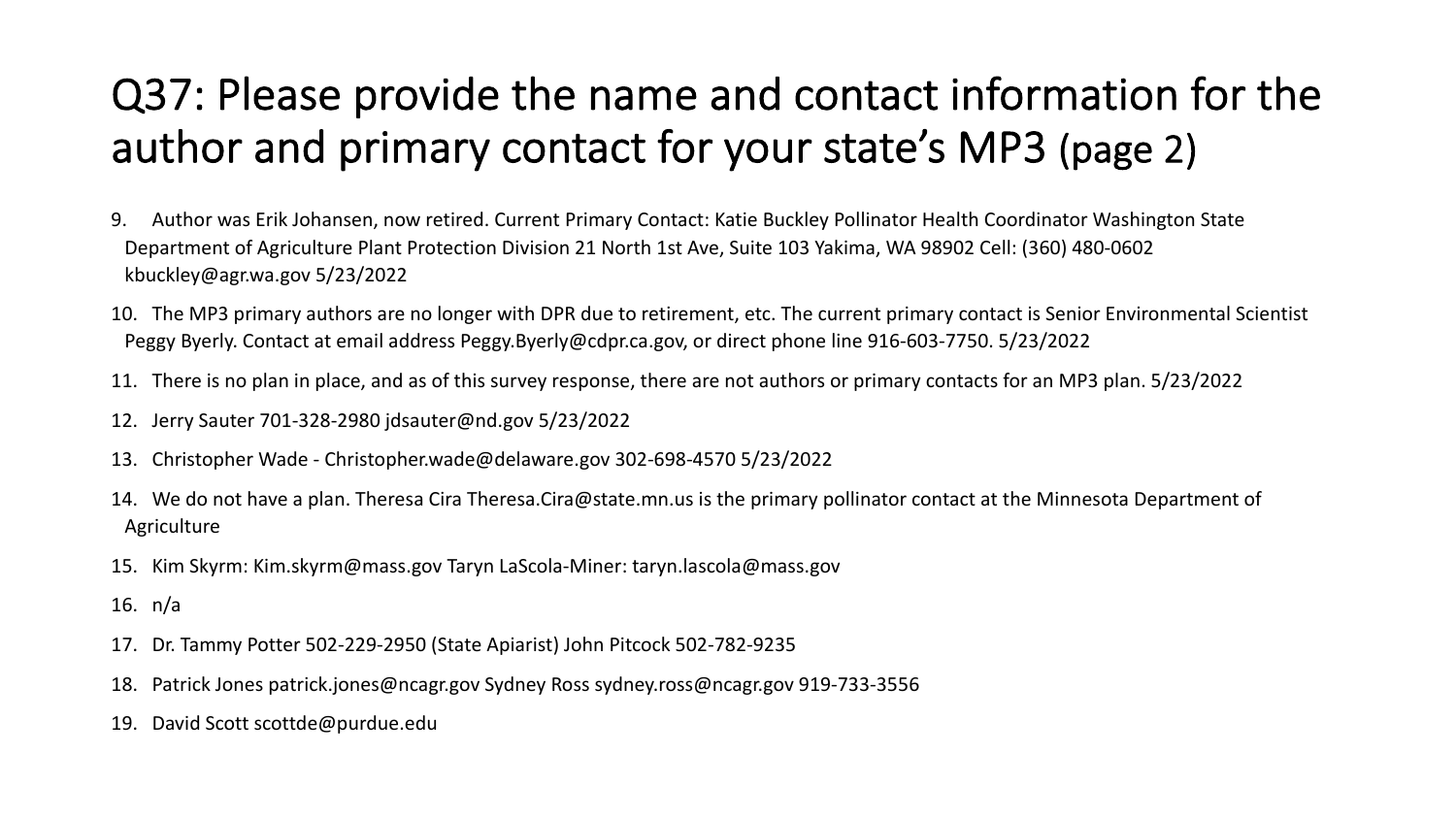## Q37: Please provide the name and contact information for the author and primary contact for your state's MP3 (page 2)

- 9. Author was Erik Johansen, now retired. Current Primary Contact: Katie Buckley Pollinator Health Coordinator Washington State Department of Agriculture Plant Protection Division 21 North 1st Ave, Suite 103 Yakima, WA 98902 Cell: (360) 480-0602 kbuckley@agr.wa.gov 5/23/2022
- 10. The MP3 primary authors are no longer with DPR due to retirement, etc. The current primary contact is Senior Environmental Scientist Peggy Byerly. Contact at email address Peggy.Byerly@cdpr.ca.gov, or direct phone line 916-603-7750. 5/23/2022
- 11. There is no plan in place, and as of this survey response, there are not authors or primary contacts for an MP3 plan. 5/23/2022
- 12. Jerry Sauter 701-328-2980 jdsauter@nd.gov 5/23/2022
- 13. Christopher Wade Christopher.wade@delaware.gov 302-698-4570 5/23/2022
- 14. We do not have a plan. Theresa Cira Theresa.Cira@state.mn.us is the primary pollinator contact at the Minnesota Department of Agriculture
- 15. Kim Skyrm: Kim.skyrm@mass.gov Taryn LaScola-Miner: taryn.lascola@mass.gov
- 16. n/a
- 17. Dr. Tammy Potter 502-229-2950 (State Apiarist) John Pitcock 502-782-9235
- 18. Patrick Jones patrick.jones@ncagr.gov Sydney Ross sydney.ross@ncagr.gov 919-733-3556
- 19. David Scott scottde@purdue.edu